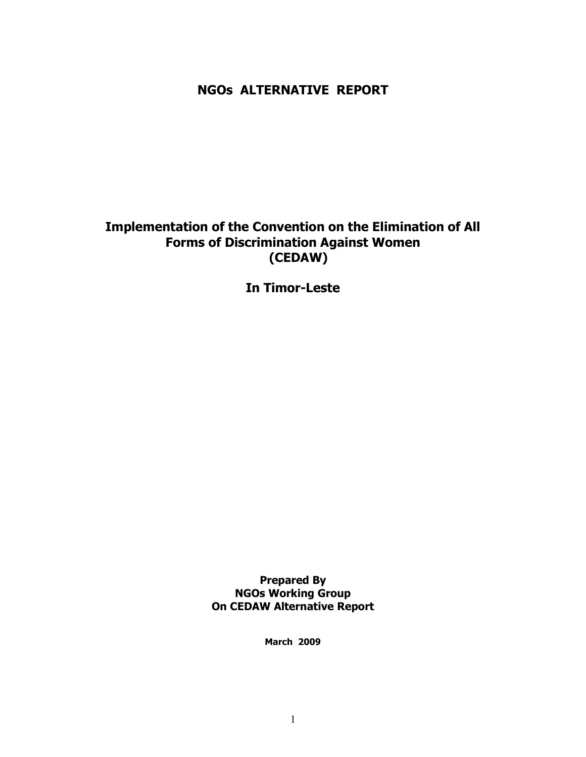# NGOs ALTERNATIVE REPORT

# Implementation of the Convention on the Elimination of All Forms of Discrimination Against Women (CEDAW)

In Timor-Leste

Prepared By NGOs Working Group On CEDAW Alternative Report

March 2009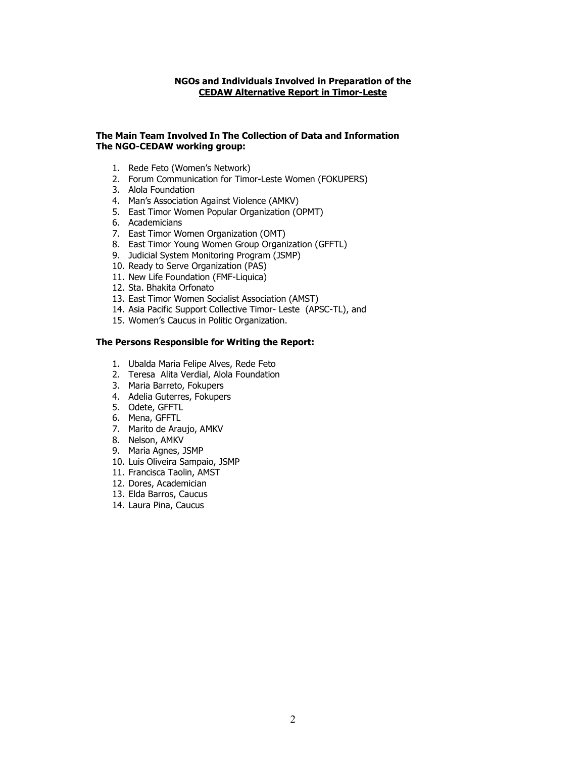#### NGOs and Individuals Involved in Preparation of the CEDAW Alternative Report in Timor-Leste

#### The Main Team Involved In The Collection of Data and Information The NGO-CEDAW working group:

- 1. Rede Feto (Women's Network)
- 2. Forum Communication for Timor-Leste Women (FOKUPERS)
- 3. Alola Foundation
- 4. Man's Association Against Violence (AMKV)
- 5. East Timor Women Popular Organization (OPMT)
- 6. Academicians
- 7. East Timor Women Organization (OMT)
- 8. East Timor Young Women Group Organization (GFFTL)
- 9. Judicial System Monitoring Program (JSMP)
- 10. Ready to Serve Organization (PAS)
- 11. New Life Foundation (FMF-Liquica)
- 12. Sta. Bhakita Orfonato
- 13. East Timor Women Socialist Association (AMST)
- 14. Asia Pacific Support Collective Timor- Leste (APSC-TL), and
- 15. Women's Caucus in Politic Organization.

#### The Persons Responsible for Writing the Report:

- 1. Ubalda Maria Felipe Alves, Rede Feto
- 2. Teresa Alita Verdial, Alola Foundation
- 3. Maria Barreto, Fokupers
- 4. Adelia Guterres, Fokupers
- 5. Odete, GFFTL
- 6. Mena, GFFTL
- 7. Marito de Araujo, AMKV
- 8. Nelson, AMKV
- 9. Maria Agnes, JSMP
- 10. Luis Oliveira Sampaio, JSMP
- 11. Francisca Taolin, AMST
- 12. Dores, Academician
- 13. Elda Barros, Caucus
- 14. Laura Pina, Caucus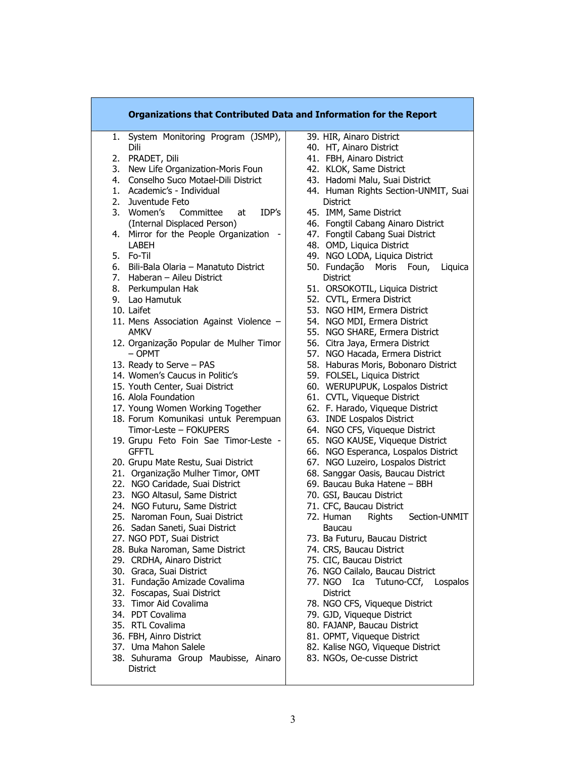| Organizations that Contributed Data and Information for the Report       |                                                                 |
|--------------------------------------------------------------------------|-----------------------------------------------------------------|
| System Monitoring Program (JSMP),<br>1.                                  | 39. HIR, Ainaro District                                        |
| Dili                                                                     | 40. HT, Ainaro District                                         |
| 2. PRADET, Dili                                                          | 41. FBH, Ainaro District                                        |
| New Life Organization-Moris Foun<br>3.                                   | 42. KLOK, Same District                                         |
| 4. Conselho Suco Motael-Dili District                                    | 43. Hadomi Malu, Suai District                                  |
| 1. Academic's - Individual                                               | 44. Human Rights Section-UNMIT, Suai                            |
| 2.<br>Juventude Feto                                                     | <b>District</b>                                                 |
| 3. Women's<br>IDP's<br>Committee<br>at                                   | 45. IMM, Same District                                          |
| (Internal Displaced Person)                                              | 46. Fongtil Cabang Ainaro District                              |
| 4. Mirror for the People Organization                                    | 47. Fongtil Cabang Suai District                                |
| <b>LABEH</b>                                                             | 48. OMD, Liquica District                                       |
| 5. Fo-Til                                                                | 49. NGO LODA, Liquica District                                  |
| 6. Bili-Bala Olaria - Manatuto District                                  | 50. Fundação Moris Foun,<br>Liquica                             |
| 7. Haberan - Aileu District                                              | District                                                        |
| 8. Perkumpulan Hak                                                       | 51. ORSOKOTIL, Liquica District                                 |
| 9. Lao Hamutuk                                                           | 52. CVTL, Ermera District                                       |
| 10. Laifet                                                               | 53. NGO HIM, Ermera District                                    |
| 11. Mens Association Against Violence -                                  | 54. NGO MDI, Ermera District                                    |
| <b>AMKV</b>                                                              | NGO SHARE, Ermera District<br>55.                               |
|                                                                          | 56. Citra Jaya, Ermera District                                 |
| 12. Organização Popular de Mulher Timor<br>$-$ OPMT                      | 57. NGO Hacada, Ermera District                                 |
|                                                                          |                                                                 |
| 13. Ready to Serve - PAS                                                 | 58. Haburas Moris, Bobonaro District                            |
| 14. Women's Caucus in Politic's                                          | 59. FOLSEL, Liquica District                                    |
| 15. Youth Center, Suai District                                          | 60. WERUPUPUK, Lospalos District                                |
| 16. Alola Foundation                                                     | 61. CVTL, Viqueque District<br>62. F. Harado, Viqueque District |
| 17. Young Women Working Together<br>18. Forum Komunikasi untuk Perempuan | 63. INDE Lospalos District                                      |
| Timor-Leste - FOKUPERS                                                   | 64. NGO CFS, Viqueque District                                  |
| 19. Grupu Feto Foin Sae Timor-Leste -                                    | NGO KAUSE, Viqueque District<br>65.                             |
| <b>GFFTL</b>                                                             | 66. NGO Esperanca, Lospalos District                            |
| 20. Grupu Mate Restu, Suai District                                      | 67. NGO Luzeiro, Lospalos District                              |
| 21. Organização Mulher Timor, OMT                                        | 68. Sanggar Oasis, Baucau District                              |
| 22. NGO Caridade, Suai District                                          | 69. Baucau Buka Hatene - BBH                                    |
| 23. NGO Altasul, Same District                                           | 70. GSI, Baucau District                                        |
| 24. NGO Futuru, Same District                                            | 71. CFC, Baucau District                                        |
| 25. Naroman Foun, Suai District                                          | 72. Human<br>Section-UNMIT<br><b>Rights</b>                     |
| 26. Sadan Saneti, Suai District                                          | Baucau                                                          |
| 27. NGO PDT, Suai District                                               | 73. Ba Futuru, Baucau District                                  |
| 28. Buka Naroman, Same District                                          | 74. CRS, Baucau District                                        |
| 29. CRDHA, Ainaro District                                               | 75. CIC, Baucau District                                        |
| 30. Graca, Suai District                                                 | 76. NGO Cailalo, Baucau District                                |
| 31. Fundação Amizade Covalima                                            | 77. NGO Ica Tutuno-CCf, Lospalos                                |
| 32. Foscapas, Suai District                                              | District                                                        |
| 33. Timor Aid Covalima                                                   | 78. NGO CFS, Viqueque District                                  |
| 34. PDT Covalima                                                         | 79. GJD, Viqueque District                                      |
| 35. RTL Covalima                                                         | 80. FAJANP, Baucau District                                     |
| 36. FBH, Ainro District                                                  | 81. OPMT, Viqueque District                                     |
| 37. Uma Mahon Salele                                                     | 82. Kalise NGO, Viqueque District                               |
| 38. Suhurama Group Maubisse, Ainaro                                      | 83. NGOs, Oe-cusse District                                     |
| District                                                                 |                                                                 |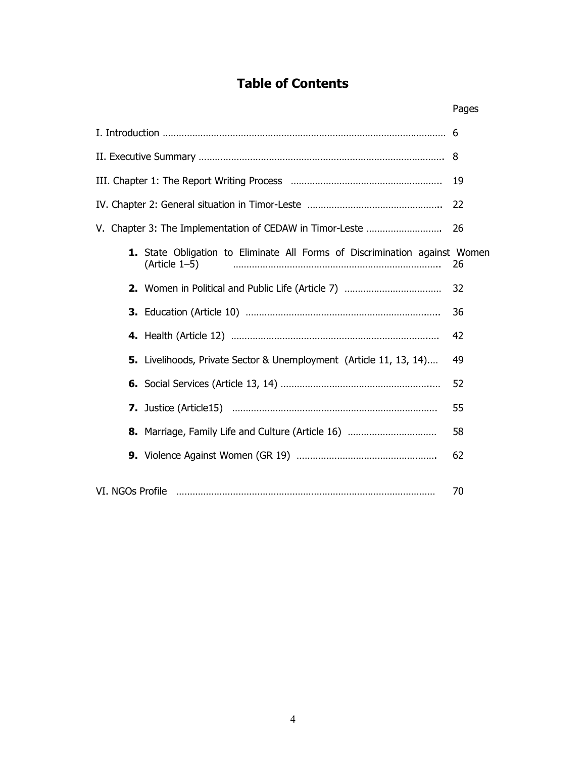# Table of Contents

|                                                                                             | Pages |
|---------------------------------------------------------------------------------------------|-------|
|                                                                                             |       |
|                                                                                             | 8     |
|                                                                                             | 19    |
|                                                                                             | 22    |
|                                                                                             | 26    |
| 1. State Obligation to Eliminate All Forms of Discrimination against Women<br>(Article 1-5) | 26    |
|                                                                                             | 32    |
|                                                                                             | 36    |
|                                                                                             | 42    |
| 5. Livelihoods, Private Sector & Unemployment (Article 11, 13, 14)                          | 49    |
|                                                                                             | 52    |
|                                                                                             | 55    |
| 8. Marriage, Family Life and Culture (Article 16)                                           | 58    |
|                                                                                             | 62    |
| VI. NGOs Profile                                                                            | 70    |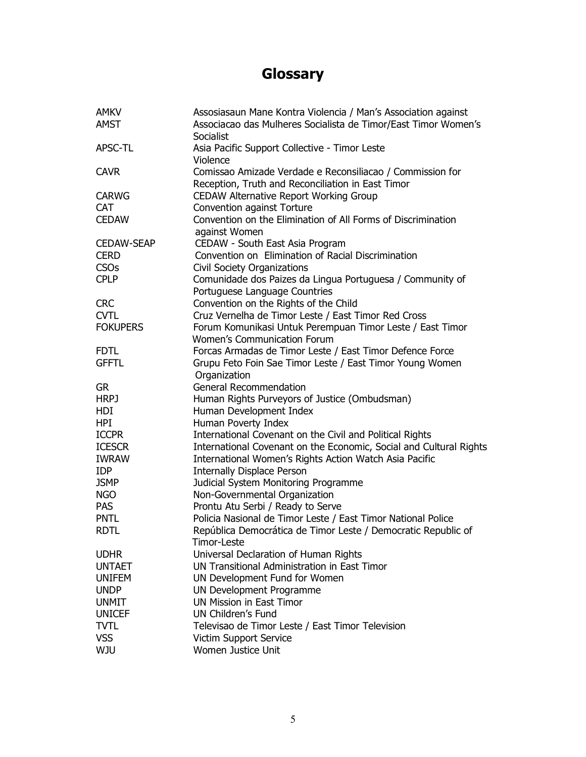# **Glossary**

| <b>AMKV</b>       | Assosiasaun Mane Kontra Violencia / Man's Association against                                                  |
|-------------------|----------------------------------------------------------------------------------------------------------------|
| <b>AMST</b>       | Associacao das Mulheres Socialista de Timor/East Timor Women's<br>Socialist                                    |
| APSC-TL           | Asia Pacific Support Collective - Timor Leste<br>Violence                                                      |
| <b>CAVR</b>       | Comissao Amizade Verdade e Reconsiliacao / Commission for<br>Reception, Truth and Reconciliation in East Timor |
| <b>CARWG</b>      | <b>CEDAW Alternative Report Working Group</b>                                                                  |
| <b>CAT</b>        | Convention against Torture                                                                                     |
| <b>CEDAW</b>      | Convention on the Elimination of All Forms of Discrimination                                                   |
|                   | against Women                                                                                                  |
| <b>CEDAW-SEAP</b> | CEDAW - South East Asia Program                                                                                |
| <b>CERD</b>       | Convention on Elimination of Racial Discrimination                                                             |
| <b>CSOs</b>       | <b>Civil Society Organizations</b>                                                                             |
| <b>CPLP</b>       | Comunidade dos Paizes da Lingua Portuguesa / Community of                                                      |
|                   | Portuguese Language Countries                                                                                  |
| <b>CRC</b>        | Convention on the Rights of the Child                                                                          |
| <b>CVTL</b>       | Cruz Vernelha de Timor Leste / East Timor Red Cross                                                            |
| <b>FOKUPERS</b>   | Forum Komunikasi Untuk Perempuan Timor Leste / East Timor                                                      |
|                   | <b>Women's Communication Forum</b>                                                                             |
| <b>FDTL</b>       | Forcas Armadas de Timor Leste / East Timor Defence Force                                                       |
| <b>GFFTL</b>      | Grupu Feto Foin Sae Timor Leste / East Timor Young Women                                                       |
|                   | Organization                                                                                                   |
| <b>GR</b>         | <b>General Recommendation</b>                                                                                  |
| <b>HRPJ</b>       | Human Rights Purveyors of Justice (Ombudsman)                                                                  |
| HDI               | Human Development Index                                                                                        |
| <b>HPI</b>        | Human Poverty Index                                                                                            |
| <b>ICCPR</b>      | International Covenant on the Civil and Political Rights                                                       |
| <b>ICESCR</b>     | International Covenant on the Economic, Social and Cultural Rights                                             |
| <b>IWRAW</b>      | International Women's Rights Action Watch Asia Pacific                                                         |
| <b>IDP</b>        | <b>Internally Displace Person</b>                                                                              |
| <b>JSMP</b>       | Judicial System Monitoring Programme                                                                           |
| <b>NGO</b>        | Non-Governmental Organization                                                                                  |
| <b>PAS</b>        | Prontu Atu Serbi / Ready to Serve                                                                              |
| <b>PNTL</b>       | Policia Nasional de Timor Leste / East Timor National Police                                                   |
| <b>RDTL</b>       | República Democrática de Timor Leste / Democratic Republic of<br>Timor-Leste                                   |
| <b>UDHR</b>       | Universal Declaration of Human Rights                                                                          |
| <b>UNTAET</b>     | UN Transitional Administration in East Timor                                                                   |
| <b>UNIFEM</b>     | UN Development Fund for Women                                                                                  |
| <b>UNDP</b>       | UN Development Programme                                                                                       |
| <b>UNMIT</b>      | <b>UN Mission in East Timor</b>                                                                                |
| <b>UNICEF</b>     | UN Children's Fund                                                                                             |
| <b>TVTL</b>       | Televisao de Timor Leste / East Timor Television                                                               |
| <b>VSS</b>        | Victim Support Service                                                                                         |
| <b>WJU</b>        | Women Justice Unit                                                                                             |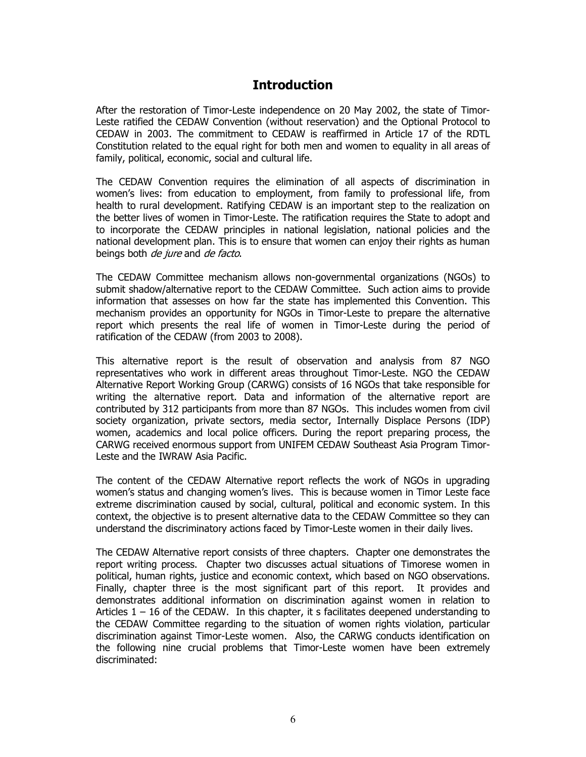# **Introduction**

After the restoration of Timor-Leste independence on 20 May 2002, the state of Timor-Leste ratified the CEDAW Convention (without reservation) and the Optional Protocol to CEDAW in 2003. The commitment to CEDAW is reaffirmed in Article 17 of the RDTL Constitution related to the equal right for both men and women to equality in all areas of family, political, economic, social and cultural life.

The CEDAW Convention requires the elimination of all aspects of discrimination in women's lives: from education to employment, from family to professional life, from health to rural development. Ratifying CEDAW is an important step to the realization on the better lives of women in Timor-Leste. The ratification requires the State to adopt and to incorporate the CEDAW principles in national legislation, national policies and the national development plan. This is to ensure that women can enjoy their rights as human beings both *de jure* and *de facto*.

The CEDAW Committee mechanism allows non-governmental organizations (NGOs) to submit shadow/alternative report to the CEDAW Committee. Such action aims to provide information that assesses on how far the state has implemented this Convention. This mechanism provides an opportunity for NGOs in Timor-Leste to prepare the alternative report which presents the real life of women in Timor-Leste during the period of ratification of the CEDAW (from 2003 to 2008).

This alternative report is the result of observation and analysis from 87 NGO representatives who work in different areas throughout Timor-Leste. NGO the CEDAW Alternative Report Working Group (CARWG) consists of 16 NGOs that take responsible for writing the alternative report. Data and information of the alternative report are contributed by 312 participants from more than 87 NGOs. This includes women from civil society organization, private sectors, media sector, Internally Displace Persons (IDP) women, academics and local police officers. During the report preparing process, the CARWG received enormous support from UNIFEM CEDAW Southeast Asia Program Timor-Leste and the IWRAW Asia Pacific.

The content of the CEDAW Alternative report reflects the work of NGOs in upgrading women's status and changing women's lives. This is because women in Timor Leste face extreme discrimination caused by social, cultural, political and economic system. In this context, the objective is to present alternative data to the CEDAW Committee so they can understand the discriminatory actions faced by Timor-Leste women in their daily lives.

The CEDAW Alternative report consists of three chapters. Chapter one demonstrates the report writing process. Chapter two discusses actual situations of Timorese women in political, human rights, justice and economic context, which based on NGO observations. Finally, chapter three is the most significant part of this report. It provides and demonstrates additional information on discrimination against women in relation to Articles  $1 - 16$  of the CEDAW. In this chapter, it s facilitates deepened understanding to the CEDAW Committee regarding to the situation of women rights violation, particular discrimination against Timor-Leste women. Also, the CARWG conducts identification on the following nine crucial problems that Timor-Leste women have been extremely discriminated: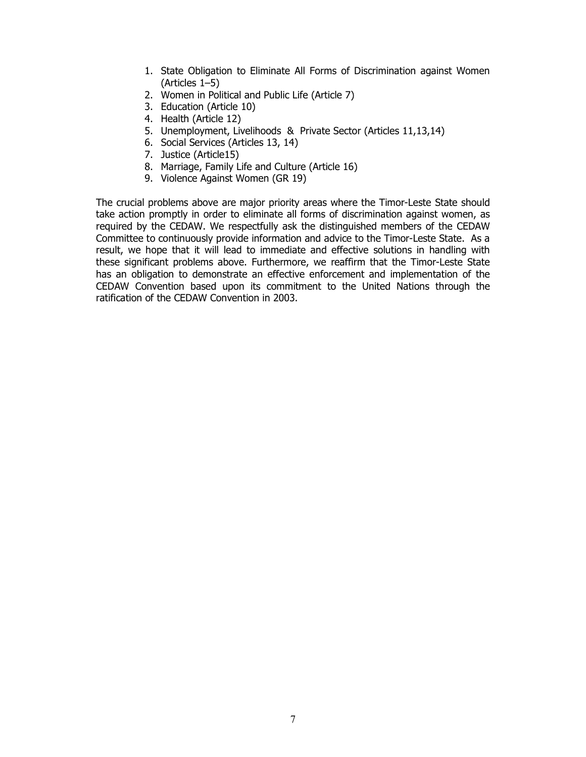- 1. State Obligation to Eliminate All Forms of Discrimination against Women (Articles 1–5)
- 2. Women in Political and Public Life (Article 7)
- 3. Education (Article 10)
- 4. Health (Article 12)
- 5. Unemployment, Livelihoods & Private Sector (Articles 11,13,14)
- 6. Social Services (Articles 13, 14)
- 7. Justice (Article15)
- 8. Marriage, Family Life and Culture (Article 16)
- 9. Violence Against Women (GR 19)

The crucial problems above are major priority areas where the Timor-Leste State should take action promptly in order to eliminate all forms of discrimination against women, as required by the CEDAW. We respectfully ask the distinguished members of the CEDAW Committee to continuously provide information and advice to the Timor-Leste State. As a result, we hope that it will lead to immediate and effective solutions in handling with these significant problems above. Furthermore, we reaffirm that the Timor-Leste State has an obligation to demonstrate an effective enforcement and implementation of the CEDAW Convention based upon its commitment to the United Nations through the ratification of the CEDAW Convention in 2003.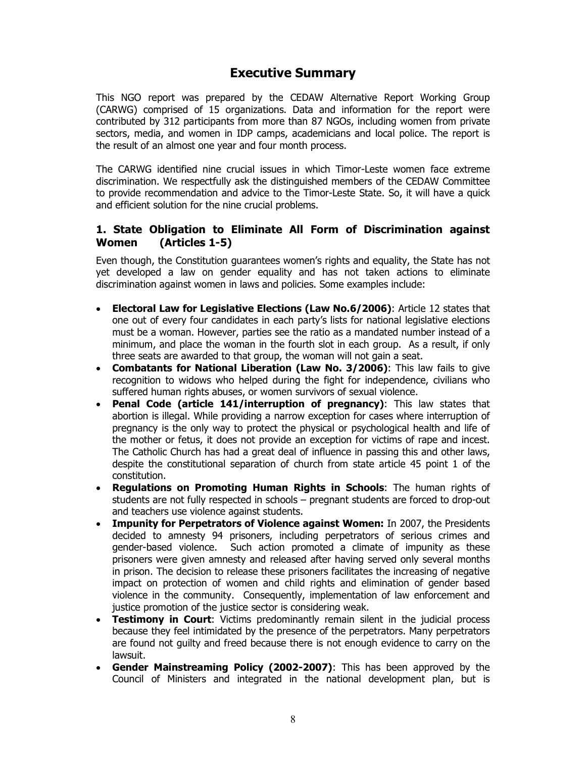# Executive Summary

This NGO report was prepared by the CEDAW Alternative Report Working Group (CARWG) comprised of 15 organizations. Data and information for the report were contributed by 312 participants from more than 87 NGOs, including women from private sectors, media, and women in IDP camps, academicians and local police. The report is the result of an almost one year and four month process.

The CARWG identified nine crucial issues in which Timor-Leste women face extreme discrimination. We respectfully ask the distinguished members of the CEDAW Committee to provide recommendation and advice to the Timor-Leste State. So, it will have a quick and efficient solution for the nine crucial problems.

## 1. State Obligation to Eliminate All Form of Discrimination against Women (Articles 1-5)

Even though, the Constitution guarantees women's rights and equality, the State has not yet developed a law on gender equality and has not taken actions to eliminate discrimination against women in laws and policies. Some examples include:

- Electoral Law for Legislative Elections (Law No.6/2006): Article 12 states that one out of every four candidates in each party's lists for national legislative elections must be a woman. However, parties see the ratio as a mandated number instead of a minimum, and place the woman in the fourth slot in each group. As a result, if only three seats are awarded to that group, the woman will not gain a seat.
- Combatants for National Liberation (Law No. 3/2006): This law fails to give recognition to widows who helped during the fight for independence, civilians who suffered human rights abuses, or women survivors of sexual violence.
- **Penal Code (article 141/interruption of pregnancy):** This law states that abortion is illegal. While providing a narrow exception for cases where interruption of pregnancy is the only way to protect the physical or psychological health and life of the mother or fetus, it does not provide an exception for victims of rape and incest. The Catholic Church has had a great deal of influence in passing this and other laws, despite the constitutional separation of church from state article 45 point 1 of the constitution.
- Regulations on Promoting Human Rights in Schools: The human rights of students are not fully respected in schools – pregnant students are forced to drop-out and teachers use violence against students.
- Impunity for Perpetrators of Violence against Women: In 2007, the Presidents decided to amnesty 94 prisoners, including perpetrators of serious crimes and gender-based violence. Such action promoted a climate of impunity as these prisoners were given amnesty and released after having served only several months in prison. The decision to release these prisoners facilitates the increasing of negative impact on protection of women and child rights and elimination of gender based violence in the community. Consequently, implementation of law enforcement and justice promotion of the justice sector is considering weak.
- Testimony in Court: Victims predominantly remain silent in the judicial process because they feel intimidated by the presence of the perpetrators. Many perpetrators are found not guilty and freed because there is not enough evidence to carry on the lawsuit.
- Gender Mainstreaming Policy (2002-2007): This has been approved by the Council of Ministers and integrated in the national development plan, but is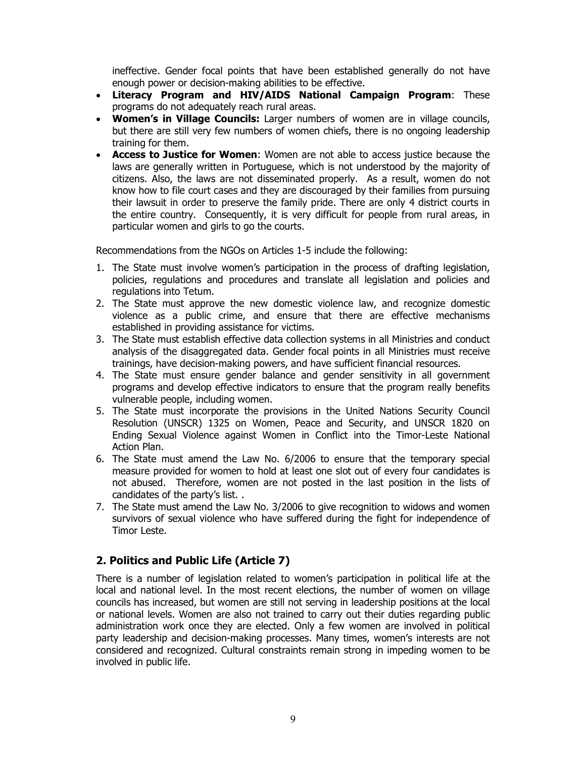ineffective. Gender focal points that have been established generally do not have enough power or decision-making abilities to be effective.

- Literacy Program and HIV/AIDS National Campaign Program: These programs do not adequately reach rural areas.
- Women's in Village Councils: Larger numbers of women are in village councils, but there are still very few numbers of women chiefs, there is no ongoing leadership training for them.
- Access to Justice for Women: Women are not able to access justice because the laws are generally written in Portuguese, which is not understood by the majority of citizens. Also, the laws are not disseminated properly. As a result, women do not know how to file court cases and they are discouraged by their families from pursuing their lawsuit in order to preserve the family pride. There are only 4 district courts in the entire country. Consequently, it is very difficult for people from rural areas, in particular women and girls to go the courts.

Recommendations from the NGOs on Articles 1-5 include the following:

- 1. The State must involve women's participation in the process of drafting legislation, policies, regulations and procedures and translate all legislation and policies and regulations into Tetum.
- 2. The State must approve the new domestic violence law, and recognize domestic violence as a public crime, and ensure that there are effective mechanisms established in providing assistance for victims.
- 3. The State must establish effective data collection systems in all Ministries and conduct analysis of the disaggregated data. Gender focal points in all Ministries must receive trainings, have decision-making powers, and have sufficient financial resources.
- 4. The State must ensure gender balance and gender sensitivity in all government programs and develop effective indicators to ensure that the program really benefits vulnerable people, including women.
- 5. The State must incorporate the provisions in the United Nations Security Council Resolution (UNSCR) 1325 on Women, Peace and Security, and UNSCR 1820 on Ending Sexual Violence against Women in Conflict into the Timor-Leste National Action Plan.
- 6. The State must amend the Law No. 6/2006 to ensure that the temporary special measure provided for women to hold at least one slot out of every four candidates is not abused. Therefore, women are not posted in the last position in the lists of candidates of the party's list. .
- 7. The State must amend the Law No. 3/2006 to give recognition to widows and women survivors of sexual violence who have suffered during the fight for independence of Timor Leste.

## 2. Politics and Public Life (Article 7)

There is a number of legislation related to women's participation in political life at the local and national level. In the most recent elections, the number of women on village councils has increased, but women are still not serving in leadership positions at the local or national levels. Women are also not trained to carry out their duties regarding public administration work once they are elected. Only a few women are involved in political party leadership and decision-making processes. Many times, women's interests are not considered and recognized. Cultural constraints remain strong in impeding women to be involved in public life.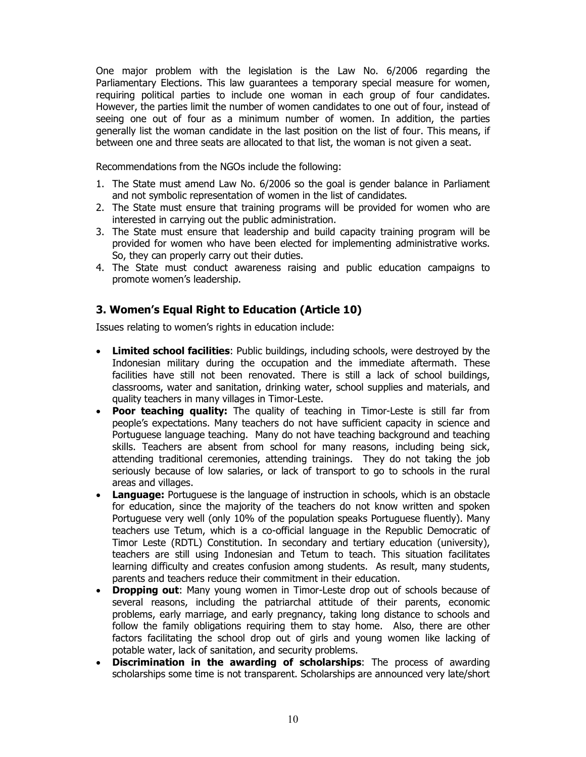One major problem with the legislation is the Law No. 6/2006 regarding the Parliamentary Elections. This law guarantees a temporary special measure for women, requiring political parties to include one woman in each group of four candidates. However, the parties limit the number of women candidates to one out of four, instead of seeing one out of four as a minimum number of women. In addition, the parties generally list the woman candidate in the last position on the list of four. This means, if between one and three seats are allocated to that list, the woman is not given a seat.

Recommendations from the NGOs include the following:

- 1. The State must amend Law No. 6/2006 so the goal is gender balance in Parliament and not symbolic representation of women in the list of candidates.
- 2. The State must ensure that training programs will be provided for women who are interested in carrying out the public administration.
- 3. The State must ensure that leadership and build capacity training program will be provided for women who have been elected for implementing administrative works. So, they can properly carry out their duties.
- 4. The State must conduct awareness raising and public education campaigns to promote women's leadership.

## 3. Women's Equal Right to Education (Article 10)

Issues relating to women's rights in education include:

- Limited school facilities: Public buildings, including schools, were destroyed by the Indonesian military during the occupation and the immediate aftermath. These facilities have still not been renovated. There is still a lack of school buildings, classrooms, water and sanitation, drinking water, school supplies and materials, and quality teachers in many villages in Timor-Leste.
- **Poor teaching quality:** The quality of teaching in Timor-Leste is still far from people's expectations. Many teachers do not have sufficient capacity in science and Portuguese language teaching. Many do not have teaching background and teaching skills. Teachers are absent from school for many reasons, including being sick, attending traditional ceremonies, attending trainings. They do not taking the job seriously because of low salaries, or lack of transport to go to schools in the rural areas and villages.
- **Language:** Portuguese is the language of instruction in schools, which is an obstacle for education, since the majority of the teachers do not know written and spoken Portuguese very well (only 10% of the population speaks Portuguese fluently). Many teachers use Tetum, which is a co-official language in the Republic Democratic of Timor Leste (RDTL) Constitution. In secondary and tertiary education (university), teachers are still using Indonesian and Tetum to teach. This situation facilitates learning difficulty and creates confusion among students. As result, many students, parents and teachers reduce their commitment in their education.
- Dropping out: Many young women in Timor-Leste drop out of schools because of several reasons, including the patriarchal attitude of their parents, economic problems, early marriage, and early pregnancy, taking long distance to schools and follow the family obligations requiring them to stay home. Also, there are other factors facilitating the school drop out of girls and young women like lacking of potable water, lack of sanitation, and security problems.
- Discrimination in the awarding of scholarships: The process of awarding scholarships some time is not transparent. Scholarships are announced very late/short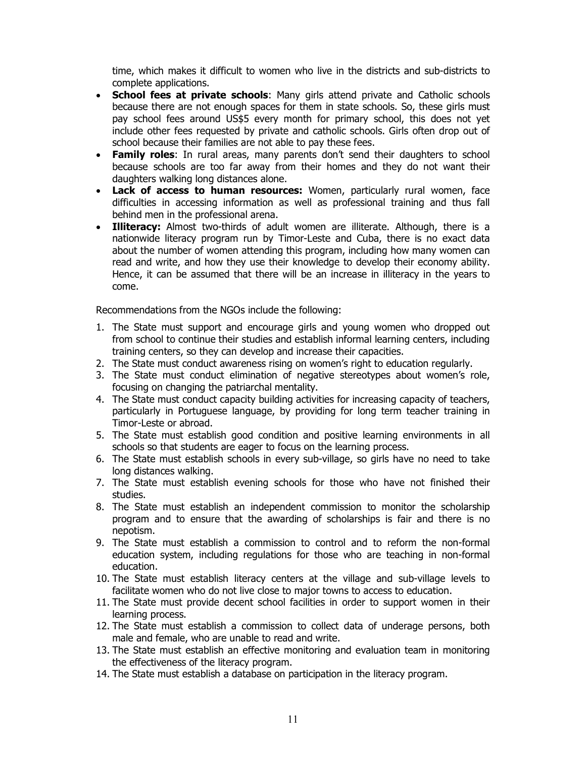time, which makes it difficult to women who live in the districts and sub-districts to complete applications.

- School fees at private schools: Many girls attend private and Catholic schools because there are not enough spaces for them in state schools. So, these girls must pay school fees around US\$5 every month for primary school, this does not yet include other fees requested by private and catholic schools. Girls often drop out of school because their families are not able to pay these fees.
- Family roles: In rural areas, many parents don't send their daughters to school because schools are too far away from their homes and they do not want their daughters walking long distances alone.
- **Lack of access to human resources:** Women, particularly rural women, face difficulties in accessing information as well as professional training and thus fall behind men in the professional arena.
- Illiteracy: Almost two-thirds of adult women are illiterate. Although, there is a nationwide literacy program run by Timor-Leste and Cuba, there is no exact data about the number of women attending this program, including how many women can read and write, and how they use their knowledge to develop their economy ability. Hence, it can be assumed that there will be an increase in illiteracy in the years to come.

Recommendations from the NGOs include the following:

- 1. The State must support and encourage girls and young women who dropped out from school to continue their studies and establish informal learning centers, including training centers, so they can develop and increase their capacities.
- 2. The State must conduct awareness rising on women's right to education regularly.
- 3. The State must conduct elimination of negative stereotypes about women's role, focusing on changing the patriarchal mentality.
- 4. The State must conduct capacity building activities for increasing capacity of teachers, particularly in Portuguese language, by providing for long term teacher training in Timor-Leste or abroad.
- 5. The State must establish good condition and positive learning environments in all schools so that students are eager to focus on the learning process.
- 6. The State must establish schools in every sub-village, so girls have no need to take long distances walking.
- 7. The State must establish evening schools for those who have not finished their studies.
- 8. The State must establish an independent commission to monitor the scholarship program and to ensure that the awarding of scholarships is fair and there is no nepotism.
- 9. The State must establish a commission to control and to reform the non-formal education system, including regulations for those who are teaching in non-formal education.
- 10. The State must establish literacy centers at the village and sub-village levels to facilitate women who do not live close to major towns to access to education.
- 11. The State must provide decent school facilities in order to support women in their learning process.
- 12. The State must establish a commission to collect data of underage persons, both male and female, who are unable to read and write.
- 13. The State must establish an effective monitoring and evaluation team in monitoring the effectiveness of the literacy program.
- 14. The State must establish a database on participation in the literacy program.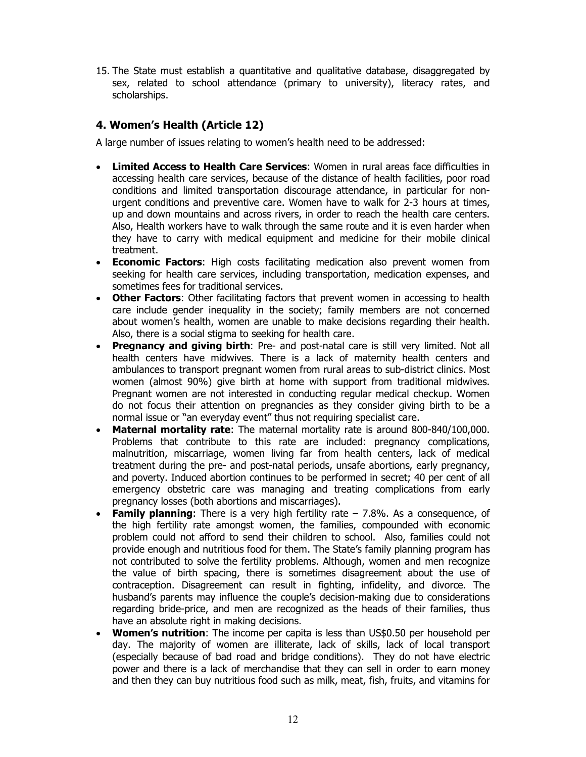15. The State must establish a quantitative and qualitative database, disaggregated by sex, related to school attendance (primary to university), literacy rates, and scholarships.

# 4. Women's Health (Article 12)

A large number of issues relating to women's health need to be addressed:

- Limited Access to Health Care Services: Women in rural areas face difficulties in accessing health care services, because of the distance of health facilities, poor road conditions and limited transportation discourage attendance, in particular for nonurgent conditions and preventive care. Women have to walk for 2-3 hours at times, up and down mountains and across rivers, in order to reach the health care centers. Also, Health workers have to walk through the same route and it is even harder when they have to carry with medical equipment and medicine for their mobile clinical treatment.
- Economic Factors: High costs facilitating medication also prevent women from seeking for health care services, including transportation, medication expenses, and sometimes fees for traditional services.
- Other Factors: Other facilitating factors that prevent women in accessing to health care include gender inequality in the society; family members are not concerned about women's health, women are unable to make decisions regarding their health. Also, there is a social stigma to seeking for health care.
- **Pregnancy and giving birth:** Pre- and post-natal care is still very limited. Not all health centers have midwives. There is a lack of maternity health centers and ambulances to transport pregnant women from rural areas to sub-district clinics. Most women (almost 90%) give birth at home with support from traditional midwives. Pregnant women are not interested in conducting regular medical checkup. Women do not focus their attention on pregnancies as they consider giving birth to be a normal issue or "an everyday event" thus not requiring specialist care.
- **Maternal mortality rate:** The maternal mortality rate is around 800-840/100,000. Problems that contribute to this rate are included: pregnancy complications, malnutrition, miscarriage, women living far from health centers, lack of medical treatment during the pre- and post-natal periods, unsafe abortions, early pregnancy, and poverty. Induced abortion continues to be performed in secret; 40 per cent of all emergency obstetric care was managing and treating complications from early pregnancy losses (both abortions and miscarriages).
- **Family planning:** There is a very high fertility rate  $-7.8\%$ . As a consequence, of the high fertility rate amongst women, the families, compounded with economic problem could not afford to send their children to school. Also, families could not provide enough and nutritious food for them. The State's family planning program has not contributed to solve the fertility problems. Although, women and men recognize the value of birth spacing, there is sometimes disagreement about the use of contraception. Disagreement can result in fighting, infidelity, and divorce. The husband's parents may influence the couple's decision-making due to considerations regarding bride-price, and men are recognized as the heads of their families, thus have an absolute right in making decisions.
- **Women's nutrition:** The income per capita is less than US\$0.50 per household per day. The majority of women are illiterate, lack of skills, lack of local transport (especially because of bad road and bridge conditions). They do not have electric power and there is a lack of merchandise that they can sell in order to earn money and then they can buy nutritious food such as milk, meat, fish, fruits, and vitamins for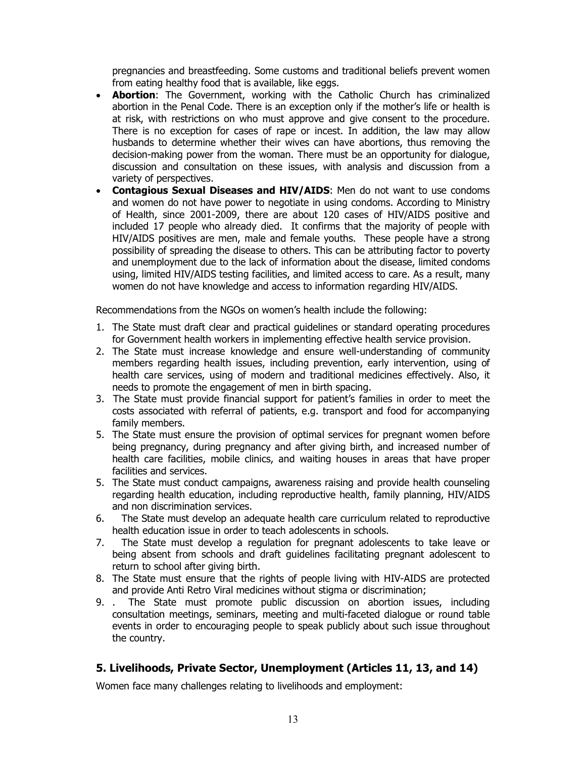pregnancies and breastfeeding. Some customs and traditional beliefs prevent women from eating healthy food that is available, like eggs.

- **Abortion**: The Government, working with the Catholic Church has criminalized abortion in the Penal Code. There is an exception only if the mother's life or health is at risk, with restrictions on who must approve and give consent to the procedure. There is no exception for cases of rape or incest. In addition, the law may allow husbands to determine whether their wives can have abortions, thus removing the decision-making power from the woman. There must be an opportunity for dialogue, discussion and consultation on these issues, with analysis and discussion from a variety of perspectives.
- Contagious Sexual Diseases and HIV/AIDS: Men do not want to use condoms and women do not have power to negotiate in using condoms. According to Ministry of Health, since 2001-2009, there are about 120 cases of HIV/AIDS positive and included 17 people who already died. It confirms that the majority of people with HIV/AIDS positives are men, male and female youths. These people have a strong possibility of spreading the disease to others. This can be attributing factor to poverty and unemployment due to the lack of information about the disease, limited condoms using, limited HIV/AIDS testing facilities, and limited access to care. As a result, many women do not have knowledge and access to information regarding HIV/AIDS.

Recommendations from the NGOs on women's health include the following:

- 1. The State must draft clear and practical guidelines or standard operating procedures for Government health workers in implementing effective health service provision.
- 2. The State must increase knowledge and ensure well-understanding of community members regarding health issues, including prevention, early intervention, using of health care services, using of modern and traditional medicines effectively. Also, it needs to promote the engagement of men in birth spacing.
- 3. The State must provide financial support for patient's families in order to meet the costs associated with referral of patients, e.g. transport and food for accompanying family members.
- 5. The State must ensure the provision of optimal services for pregnant women before being pregnancy, during pregnancy and after giving birth, and increased number of health care facilities, mobile clinics, and waiting houses in areas that have proper facilities and services.
- 5. The State must conduct campaigns, awareness raising and provide health counseling regarding health education, including reproductive health, family planning, HIV/AIDS and non discrimination services.
- 6. The State must develop an adequate health care curriculum related to reproductive health education issue in order to teach adolescents in schools.
- 7. The State must develop a regulation for pregnant adolescents to take leave or being absent from schools and draft guidelines facilitating pregnant adolescent to return to school after giving birth.
- 8. The State must ensure that the rights of people living with HIV-AIDS are protected and provide Anti Retro Viral medicines without stigma or discrimination;
- 9. . The State must promote public discussion on abortion issues, including consultation meetings, seminars, meeting and multi-faceted dialogue or round table events in order to encouraging people to speak publicly about such issue throughout the country.

## 5. Livelihoods, Private Sector, Unemployment (Articles 11, 13, and 14)

Women face many challenges relating to livelihoods and employment: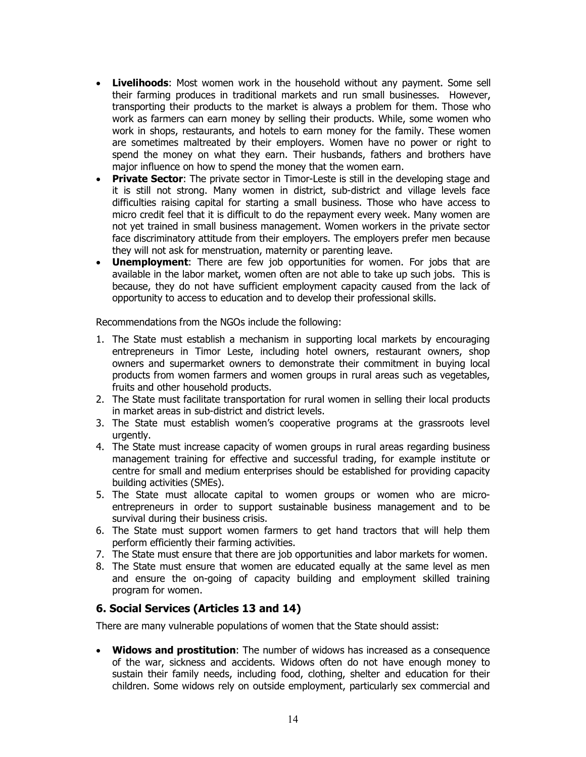- Livelihoods: Most women work in the household without any payment. Some sell their farming produces in traditional markets and run small businesses. However, transporting their products to the market is always a problem for them. Those who work as farmers can earn money by selling their products. While, some women who work in shops, restaurants, and hotels to earn money for the family. These women are sometimes maltreated by their employers. Women have no power or right to spend the money on what they earn. Their husbands, fathers and brothers have major influence on how to spend the money that the women earn.
- **Private Sector:** The private sector in Timor-Leste is still in the developing stage and it is still not strong. Many women in district, sub-district and village levels face difficulties raising capital for starting a small business. Those who have access to micro credit feel that it is difficult to do the repayment every week. Many women are not yet trained in small business management. Women workers in the private sector face discriminatory attitude from their employers. The employers prefer men because they will not ask for menstruation, maternity or parenting leave.
- **Unemployment:** There are few job opportunities for women. For jobs that are available in the labor market, women often are not able to take up such jobs. This is because, they do not have sufficient employment capacity caused from the lack of opportunity to access to education and to develop their professional skills.

Recommendations from the NGOs include the following:

- 1. The State must establish a mechanism in supporting local markets by encouraging entrepreneurs in Timor Leste, including hotel owners, restaurant owners, shop owners and supermarket owners to demonstrate their commitment in buying local products from women farmers and women groups in rural areas such as vegetables, fruits and other household products.
- 2. The State must facilitate transportation for rural women in selling their local products in market areas in sub-district and district levels.
- 3. The State must establish women's cooperative programs at the grassroots level urgently.
- 4. The State must increase capacity of women groups in rural areas regarding business management training for effective and successful trading, for example institute or centre for small and medium enterprises should be established for providing capacity building activities (SMEs).
- 5. The State must allocate capital to women groups or women who are microentrepreneurs in order to support sustainable business management and to be survival during their business crisis.
- 6. The State must support women farmers to get hand tractors that will help them perform efficiently their farming activities.
- 7. The State must ensure that there are job opportunities and labor markets for women.
- 8. The State must ensure that women are educated equally at the same level as men and ensure the on-going of capacity building and employment skilled training program for women.

## 6. Social Services (Articles 13 and 14)

There are many vulnerable populations of women that the State should assist:

• Widows and prostitution: The number of widows has increased as a consequence of the war, sickness and accidents. Widows often do not have enough money to sustain their family needs, including food, clothing, shelter and education for their children. Some widows rely on outside employment, particularly sex commercial and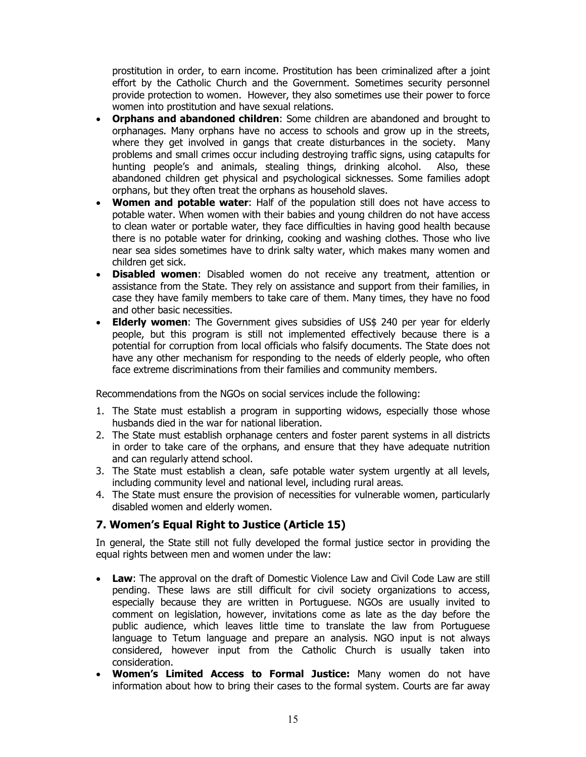prostitution in order, to earn income. Prostitution has been criminalized after a joint effort by the Catholic Church and the Government. Sometimes security personnel provide protection to women. However, they also sometimes use their power to force women into prostitution and have sexual relations.

- Orphans and abandoned children: Some children are abandoned and brought to orphanages. Many orphans have no access to schools and grow up in the streets, where they get involved in gangs that create disturbances in the society. Many problems and small crimes occur including destroying traffic signs, using catapults for hunting people's and animals, stealing things, drinking alcohol. Also, these abandoned children get physical and psychological sicknesses. Some families adopt orphans, but they often treat the orphans as household slaves.
- Women and potable water: Half of the population still does not have access to potable water. When women with their babies and young children do not have access to clean water or portable water, they face difficulties in having good health because there is no potable water for drinking, cooking and washing clothes. Those who live near sea sides sometimes have to drink salty water, which makes many women and children get sick.
- Disabled women: Disabled women do not receive any treatment, attention or assistance from the State. They rely on assistance and support from their families, in case they have family members to take care of them. Many times, they have no food and other basic necessities.
- **Elderly women:** The Government gives subsidies of US\$ 240 per year for elderly people, but this program is still not implemented effectively because there is a potential for corruption from local officials who falsify documents. The State does not have any other mechanism for responding to the needs of elderly people, who often face extreme discriminations from their families and community members.

Recommendations from the NGOs on social services include the following:

- 1. The State must establish a program in supporting widows, especially those whose husbands died in the war for national liberation.
- 2. The State must establish orphanage centers and foster parent systems in all districts in order to take care of the orphans, and ensure that they have adequate nutrition and can regularly attend school.
- 3. The State must establish a clean, safe potable water system urgently at all levels, including community level and national level, including rural areas.
- 4. The State must ensure the provision of necessities for vulnerable women, particularly disabled women and elderly women.

## 7. Women's Equal Right to Justice (Article 15)

In general, the State still not fully developed the formal justice sector in providing the equal rights between men and women under the law:

- Law: The approval on the draft of Domestic Violence Law and Civil Code Law are still pending. These laws are still difficult for civil society organizations to access, especially because they are written in Portuguese. NGOs are usually invited to comment on legislation, however, invitations come as late as the day before the public audience, which leaves little time to translate the law from Portuguese language to Tetum language and prepare an analysis. NGO input is not always considered, however input from the Catholic Church is usually taken into consideration.
- **Women's Limited Access to Formal Justice:** Many women do not have information about how to bring their cases to the formal system. Courts are far away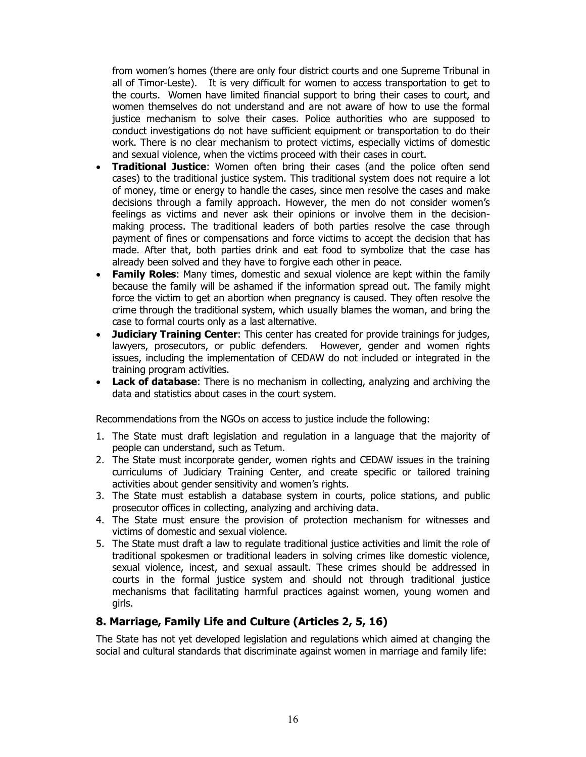from women's homes (there are only four district courts and one Supreme Tribunal in all of Timor-Leste). It is very difficult for women to access transportation to get to the courts. Women have limited financial support to bring their cases to court, and women themselves do not understand and are not aware of how to use the formal justice mechanism to solve their cases. Police authorities who are supposed to conduct investigations do not have sufficient equipment or transportation to do their work. There is no clear mechanism to protect victims, especially victims of domestic and sexual violence, when the victims proceed with their cases in court.

- **Traditional Justice:** Women often bring their cases (and the police often send cases) to the traditional justice system. This traditional system does not require a lot of money, time or energy to handle the cases, since men resolve the cases and make decisions through a family approach. However, the men do not consider women's feelings as victims and never ask their opinions or involve them in the decisionmaking process. The traditional leaders of both parties resolve the case through payment of fines or compensations and force victims to accept the decision that has made. After that, both parties drink and eat food to symbolize that the case has already been solved and they have to forgive each other in peace.
- **Family Roles:** Many times, domestic and sexual violence are kept within the family because the family will be ashamed if the information spread out. The family might force the victim to get an abortion when pregnancy is caused. They often resolve the crime through the traditional system, which usually blames the woman, and bring the case to formal courts only as a last alternative.
- **Judiciary Training Center:** This center has created for provide trainings for judges, lawyers, prosecutors, or public defenders. However, gender and women rights issues, including the implementation of CEDAW do not included or integrated in the training program activities.
- **Lack of database:** There is no mechanism in collecting, analyzing and archiving the data and statistics about cases in the court system.

Recommendations from the NGOs on access to justice include the following:

- 1. The State must draft legislation and regulation in a language that the majority of people can understand, such as Tetum.
- 2. The State must incorporate gender, women rights and CEDAW issues in the training curriculums of Judiciary Training Center, and create specific or tailored training activities about gender sensitivity and women's rights.
- 3. The State must establish a database system in courts, police stations, and public prosecutor offices in collecting, analyzing and archiving data.
- 4. The State must ensure the provision of protection mechanism for witnesses and victims of domestic and sexual violence.
- 5. The State must draft a law to regulate traditional justice activities and limit the role of traditional spokesmen or traditional leaders in solving crimes like domestic violence, sexual violence, incest, and sexual assault. These crimes should be addressed in courts in the formal justice system and should not through traditional justice mechanisms that facilitating harmful practices against women, young women and girls.

## 8. Marriage, Family Life and Culture (Articles 2, 5, 16)

The State has not yet developed legislation and regulations which aimed at changing the social and cultural standards that discriminate against women in marriage and family life: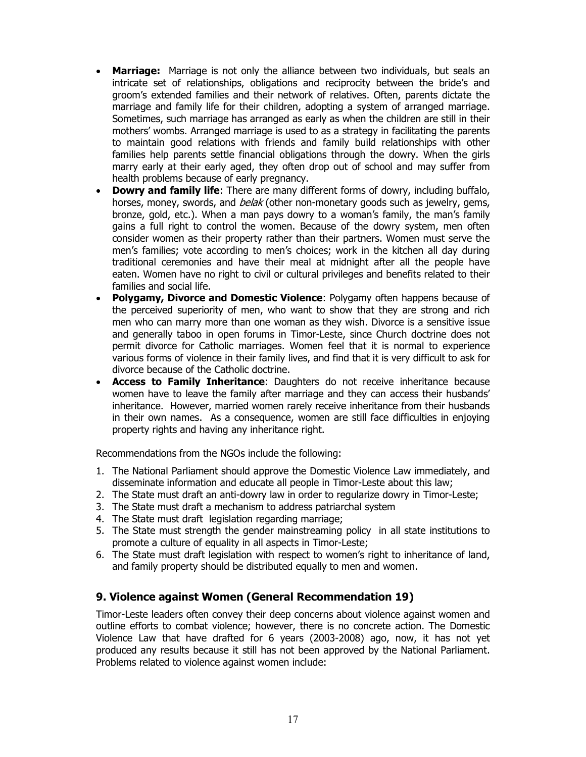- Marriage: Marriage is not only the alliance between two individuals, but seals an intricate set of relationships, obligations and reciprocity between the bride's and groom's extended families and their network of relatives. Often, parents dictate the marriage and family life for their children, adopting a system of arranged marriage. Sometimes, such marriage has arranged as early as when the children are still in their mothers' wombs. Arranged marriage is used to as a strategy in facilitating the parents to maintain good relations with friends and family build relationships with other families help parents settle financial obligations through the dowry. When the girls marry early at their early aged, they often drop out of school and may suffer from health problems because of early pregnancy.
- **Dowry and family life:** There are many different forms of dowry, including buffalo, horses, money, swords, and *belak* (other non-monetary goods such as jewelry, gems, bronze, gold, etc.). When a man pays dowry to a woman's family, the man's family gains a full right to control the women. Because of the dowry system, men often consider women as their property rather than their partners. Women must serve the men's families; vote according to men's choices; work in the kitchen all day during traditional ceremonies and have their meal at midnight after all the people have eaten. Women have no right to civil or cultural privileges and benefits related to their families and social life.
- Polygamy, Divorce and Domestic Violence: Polygamy often happens because of the perceived superiority of men, who want to show that they are strong and rich men who can marry more than one woman as they wish. Divorce is a sensitive issue and generally taboo in open forums in Timor-Leste, since Church doctrine does not permit divorce for Catholic marriages. Women feel that it is normal to experience various forms of violence in their family lives, and find that it is very difficult to ask for divorce because of the Catholic doctrine.
- Access to Family Inheritance: Daughters do not receive inheritance because women have to leave the family after marriage and they can access their husbands' inheritance. However, married women rarely receive inheritance from their husbands in their own names. As a consequence, women are still face difficulties in enjoying property rights and having any inheritance right.

Recommendations from the NGOs include the following:

- 1. The National Parliament should approve the Domestic Violence Law immediately, and disseminate information and educate all people in Timor-Leste about this law;
- 2. The State must draft an anti-dowry law in order to regularize dowry in Timor-Leste;
- 3. The State must draft a mechanism to address patriarchal system
- 4. The State must draft legislation regarding marriage;
- 5. The State must strength the gender mainstreaming policy in all state institutions to promote a culture of equality in all aspects in Timor-Leste;
- 6. The State must draft legislation with respect to women's right to inheritance of land, and family property should be distributed equally to men and women.

## 9. Violence against Women (General Recommendation 19)

Timor-Leste leaders often convey their deep concerns about violence against women and outline efforts to combat violence; however, there is no concrete action. The Domestic Violence Law that have drafted for 6 years (2003-2008) ago, now, it has not yet produced any results because it still has not been approved by the National Parliament. Problems related to violence against women include: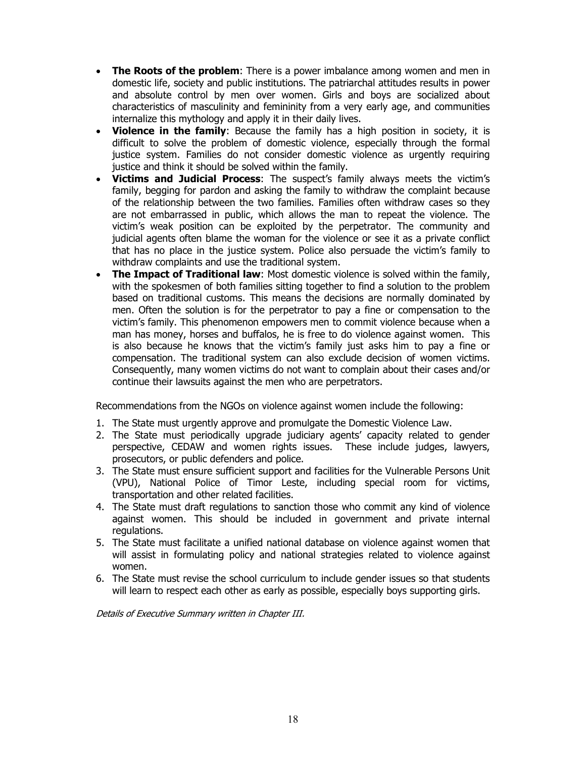- The Roots of the problem: There is a power imbalance among women and men in domestic life, society and public institutions. The patriarchal attitudes results in power and absolute control by men over women. Girls and boys are socialized about characteristics of masculinity and femininity from a very early age, and communities internalize this mythology and apply it in their daily lives.
- **Violence in the family:** Because the family has a high position in society, it is difficult to solve the problem of domestic violence, especially through the formal justice system. Families do not consider domestic violence as urgently requiring justice and think it should be solved within the family.
- **Victims and Judicial Process:** The suspect's family always meets the victim's family, begging for pardon and asking the family to withdraw the complaint because of the relationship between the two families. Families often withdraw cases so they are not embarrassed in public, which allows the man to repeat the violence. The victim's weak position can be exploited by the perpetrator. The community and judicial agents often blame the woman for the violence or see it as a private conflict that has no place in the justice system. Police also persuade the victim's family to withdraw complaints and use the traditional system.
- **The Impact of Traditional law:** Most domestic violence is solved within the family, with the spokesmen of both families sitting together to find a solution to the problem based on traditional customs. This means the decisions are normally dominated by men. Often the solution is for the perpetrator to pay a fine or compensation to the victim's family. This phenomenon empowers men to commit violence because when a man has money, horses and buffalos, he is free to do violence against women. This is also because he knows that the victim's family just asks him to pay a fine or compensation. The traditional system can also exclude decision of women victims. Consequently, many women victims do not want to complain about their cases and/or continue their lawsuits against the men who are perpetrators.

Recommendations from the NGOs on violence against women include the following:

- 1. The State must urgently approve and promulgate the Domestic Violence Law.
- 2. The State must periodically upgrade judiciary agents' capacity related to gender perspective, CEDAW and women rights issues. These include judges, lawyers, prosecutors, or public defenders and police.
- 3. The State must ensure sufficient support and facilities for the Vulnerable Persons Unit (VPU), National Police of Timor Leste, including special room for victims, transportation and other related facilities.
- 4. The State must draft regulations to sanction those who commit any kind of violence against women. This should be included in government and private internal regulations.
- 5. The State must facilitate a unified national database on violence against women that will assist in formulating policy and national strategies related to violence against women.
- 6. The State must revise the school curriculum to include gender issues so that students will learn to respect each other as early as possible, especially boys supporting girls.

Details of Executive Summary written in Chapter III.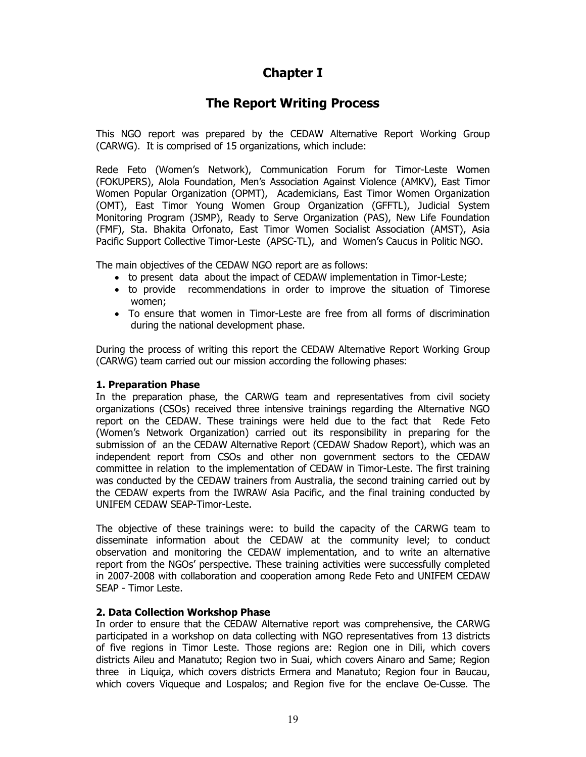# Chapter I

# The Report Writing Process

This NGO report was prepared by the CEDAW Alternative Report Working Group (CARWG). It is comprised of 15 organizations, which include:

Rede Feto (Women's Network), Communication Forum for Timor-Leste Women (FOKUPERS), Alola Foundation, Men's Association Against Violence (AMKV), East Timor Women Popular Organization (OPMT), Academicians, East Timor Women Organization (OMT), East Timor Young Women Group Organization (GFFTL), Judicial System Monitoring Program (JSMP), Ready to Serve Organization (PAS), New Life Foundation (FMF), Sta. Bhakita Orfonato, East Timor Women Socialist Association (AMST), Asia Pacific Support Collective Timor-Leste (APSC-TL), and Women's Caucus in Politic NGO.

The main objectives of the CEDAW NGO report are as follows:

- to present data about the impact of CEDAW implementation in Timor-Leste;
- to provide recommendations in order to improve the situation of Timorese women;
- To ensure that women in Timor-Leste are free from all forms of discrimination during the national development phase.

During the process of writing this report the CEDAW Alternative Report Working Group (CARWG) team carried out our mission according the following phases:

#### 1. Preparation Phase

In the preparation phase, the CARWG team and representatives from civil society organizations (CSOs) received three intensive trainings regarding the Alternative NGO report on the CEDAW. These trainings were held due to the fact that Rede Feto (Women's Network Organization) carried out its responsibility in preparing for the submission of an the CEDAW Alternative Report (CEDAW Shadow Report), which was an independent report from CSOs and other non government sectors to the CEDAW committee in relation to the implementation of CEDAW in Timor-Leste. The first training was conducted by the CEDAW trainers from Australia, the second training carried out by the CEDAW experts from the IWRAW Asia Pacific, and the final training conducted by UNIFEM CEDAW SEAP-Timor-Leste.

The objective of these trainings were: to build the capacity of the CARWG team to disseminate information about the CEDAW at the community level; to conduct observation and monitoring the CEDAW implementation, and to write an alternative report from the NGOs' perspective. These training activities were successfully completed in 2007-2008 with collaboration and cooperation among Rede Feto and UNIFEM CEDAW SEAP - Timor Leste.

## 2. Data Collection Workshop Phase

In order to ensure that the CEDAW Alternative report was comprehensive, the CARWG participated in a workshop on data collecting with NGO representatives from 13 districts of five regions in Timor Leste. Those regions are: Region one in Dili, which covers districts Aileu and Manatuto; Region two in Suai, which covers Ainaro and Same; Region three in Liquiça, which covers districts Ermera and Manatuto; Region four in Baucau, which covers Viqueque and Lospalos; and Region five for the enclave Oe-Cusse. The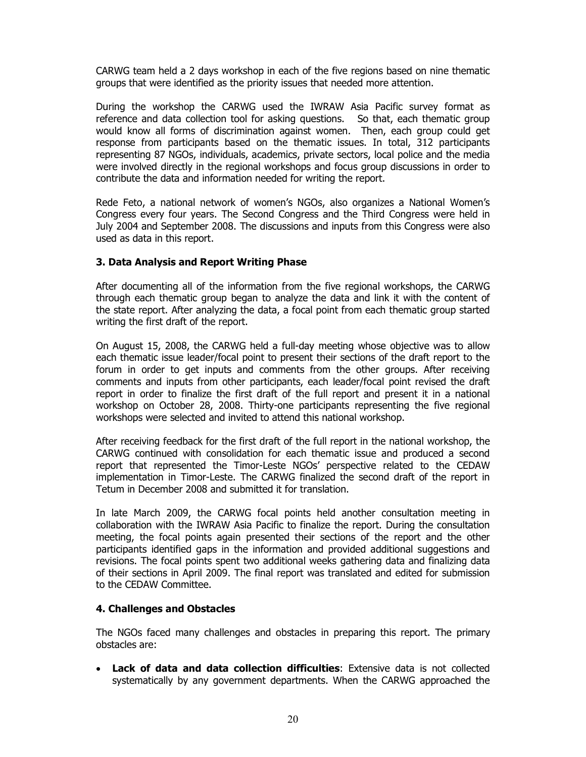CARWG team held a 2 days workshop in each of the five regions based on nine thematic groups that were identified as the priority issues that needed more attention.

During the workshop the CARWG used the IWRAW Asia Pacific survey format as reference and data collection tool for asking questions. So that, each thematic group would know all forms of discrimination against women. Then, each group could get response from participants based on the thematic issues. In total, 312 participants representing 87 NGOs, individuals, academics, private sectors, local police and the media were involved directly in the regional workshops and focus group discussions in order to contribute the data and information needed for writing the report.

Rede Feto, a national network of women's NGOs, also organizes a National Women's Congress every four years. The Second Congress and the Third Congress were held in July 2004 and September 2008. The discussions and inputs from this Congress were also used as data in this report.

#### 3. Data Analysis and Report Writing Phase

After documenting all of the information from the five regional workshops, the CARWG through each thematic group began to analyze the data and link it with the content of the state report. After analyzing the data, a focal point from each thematic group started writing the first draft of the report.

On August 15, 2008, the CARWG held a full-day meeting whose objective was to allow each thematic issue leader/focal point to present their sections of the draft report to the forum in order to get inputs and comments from the other groups. After receiving comments and inputs from other participants, each leader/focal point revised the draft report in order to finalize the first draft of the full report and present it in a national workshop on October 28, 2008. Thirty-one participants representing the five regional workshops were selected and invited to attend this national workshop.

After receiving feedback for the first draft of the full report in the national workshop, the CARWG continued with consolidation for each thematic issue and produced a second report that represented the Timor-Leste NGOs' perspective related to the CEDAW implementation in Timor-Leste. The CARWG finalized the second draft of the report in Tetum in December 2008 and submitted it for translation.

In late March 2009, the CARWG focal points held another consultation meeting in collaboration with the IWRAW Asia Pacific to finalize the report. During the consultation meeting, the focal points again presented their sections of the report and the other participants identified gaps in the information and provided additional suggestions and revisions. The focal points spent two additional weeks gathering data and finalizing data of their sections in April 2009. The final report was translated and edited for submission to the CEDAW Committee.

#### 4. Challenges and Obstacles

The NGOs faced many challenges and obstacles in preparing this report. The primary obstacles are:

• Lack of data and data collection difficulties: Extensive data is not collected systematically by any government departments. When the CARWG approached the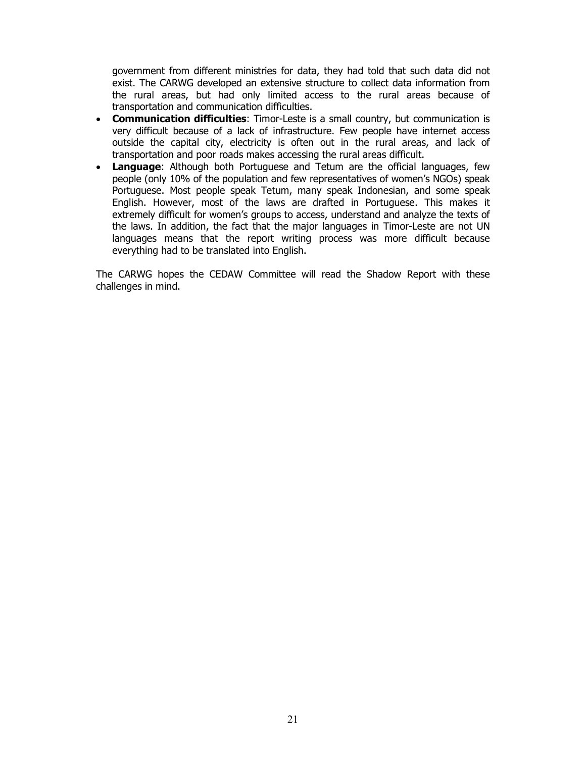government from different ministries for data, they had told that such data did not exist. The CARWG developed an extensive structure to collect data information from the rural areas, but had only limited access to the rural areas because of transportation and communication difficulties.

- Communication difficulties: Timor-Leste is a small country, but communication is very difficult because of a lack of infrastructure. Few people have internet access outside the capital city, electricity is often out in the rural areas, and lack of transportation and poor roads makes accessing the rural areas difficult.
- Language: Although both Portuguese and Tetum are the official languages, few people (only 10% of the population and few representatives of women's NGOs) speak Portuguese. Most people speak Tetum, many speak Indonesian, and some speak English. However, most of the laws are drafted in Portuguese. This makes it extremely difficult for women's groups to access, understand and analyze the texts of the laws. In addition, the fact that the major languages in Timor-Leste are not UN languages means that the report writing process was more difficult because everything had to be translated into English.

The CARWG hopes the CEDAW Committee will read the Shadow Report with these challenges in mind.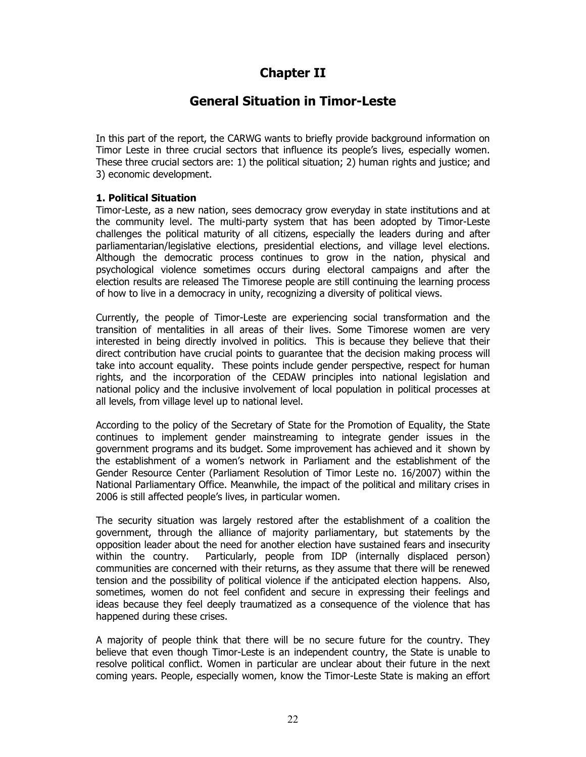# Chapter II

# General Situation in Timor-Leste

In this part of the report, the CARWG wants to briefly provide background information on Timor Leste in three crucial sectors that influence its people's lives, especially women. These three crucial sectors are: 1) the political situation; 2) human rights and justice; and 3) economic development.

## 1. Political Situation

Timor-Leste, as a new nation, sees democracy grow everyday in state institutions and at the community level. The multi-party system that has been adopted by Timor-Leste challenges the political maturity of all citizens, especially the leaders during and after parliamentarian/legislative elections, presidential elections, and village level elections. Although the democratic process continues to grow in the nation, physical and psychological violence sometimes occurs during electoral campaigns and after the election results are released The Timorese people are still continuing the learning process of how to live in a democracy in unity, recognizing a diversity of political views.

Currently, the people of Timor-Leste are experiencing social transformation and the transition of mentalities in all areas of their lives. Some Timorese women are very interested in being directly involved in politics. This is because they believe that their direct contribution have crucial points to guarantee that the decision making process will take into account equality. These points include gender perspective, respect for human rights, and the incorporation of the CEDAW principles into national legislation and national policy and the inclusive involvement of local population in political processes at all levels, from village level up to national level.

According to the policy of the Secretary of State for the Promotion of Equality, the State continues to implement gender mainstreaming to integrate gender issues in the government programs and its budget. Some improvement has achieved and it shown by the establishment of a women's network in Parliament and the establishment of the Gender Resource Center (Parliament Resolution of Timor Leste no. 16/2007) within the National Parliamentary Office. Meanwhile, the impact of the political and military crises in 2006 is still affected people's lives, in particular women.

The security situation was largely restored after the establishment of a coalition the government, through the alliance of majority parliamentary, but statements by the opposition leader about the need for another election have sustained fears and insecurity within the country. Particularly, people from IDP (internally displaced person) communities are concerned with their returns, as they assume that there will be renewed tension and the possibility of political violence if the anticipated election happens. Also, sometimes, women do not feel confident and secure in expressing their feelings and ideas because they feel deeply traumatized as a consequence of the violence that has happened during these crises.

A majority of people think that there will be no secure future for the country. They believe that even though Timor-Leste is an independent country, the State is unable to resolve political conflict. Women in particular are unclear about their future in the next coming years. People, especially women, know the Timor-Leste State is making an effort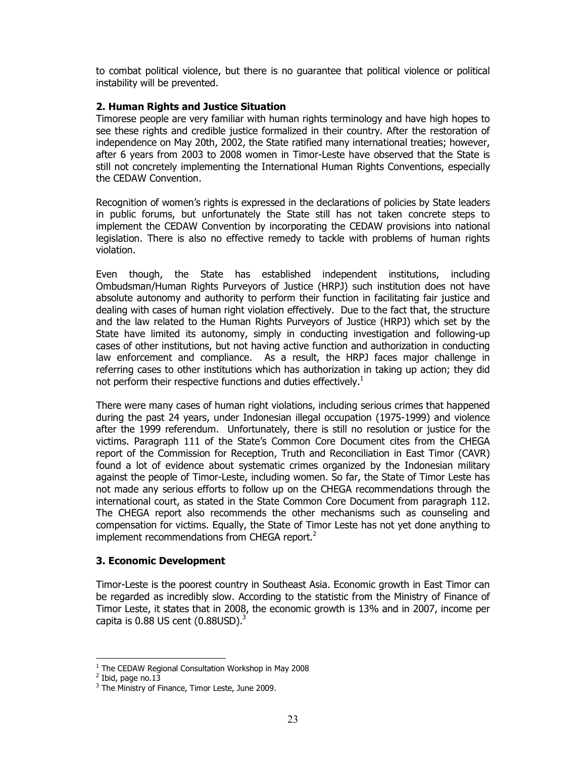to combat political violence, but there is no guarantee that political violence or political instability will be prevented.

#### 2. Human Rights and Justice Situation

Timorese people are very familiar with human rights terminology and have high hopes to see these rights and credible justice formalized in their country. After the restoration of independence on May 20th, 2002, the State ratified many international treaties; however, after 6 years from 2003 to 2008 women in Timor-Leste have observed that the State is still not concretely implementing the International Human Rights Conventions, especially the CEDAW Convention.

Recognition of women's rights is expressed in the declarations of policies by State leaders in public forums, but unfortunately the State still has not taken concrete steps to implement the CEDAW Convention by incorporating the CEDAW provisions into national legislation. There is also no effective remedy to tackle with problems of human rights violation.

Even though, the State has established independent institutions, including Ombudsman/Human Rights Purveyors of Justice (HRPJ) such institution does not have absolute autonomy and authority to perform their function in facilitating fair justice and dealing with cases of human right violation effectively. Due to the fact that, the structure and the law related to the Human Rights Purveyors of Justice (HRPJ) which set by the State have limited its autonomy, simply in conducting investigation and following-up cases of other institutions, but not having active function and authorization in conducting law enforcement and compliance. As a result, the HRPJ faces major challenge in referring cases to other institutions which has authorization in taking up action; they did not perform their respective functions and duties effectively.<sup>1</sup>

There were many cases of human right violations, including serious crimes that happened during the past 24 years, under Indonesian illegal occupation (1975-1999) and violence after the 1999 referendum. Unfortunately, there is still no resolution or justice for the victims. Paragraph 111 of the State's Common Core Document cites from the CHEGA report of the Commission for Reception, Truth and Reconciliation in East Timor (CAVR) found a lot of evidence about systematic crimes organized by the Indonesian military against the people of Timor-Leste, including women. So far, the State of Timor Leste has not made any serious efforts to follow up on the CHEGA recommendations through the international court, as stated in the State Common Core Document from paragraph 112. The CHEGA report also recommends the other mechanisms such as counseling and compensation for victims. Equally, the State of Timor Leste has not yet done anything to implement recommendations from CHEGA report. $2$ 

#### 3. Economic Development

Timor-Leste is the poorest country in Southeast Asia. Economic growth in East Timor can be regarded as incredibly slow. According to the statistic from the Ministry of Finance of Timor Leste, it states that in 2008, the economic growth is 13% and in 2007, income per capita is  $0.88$  US cent  $(0.88$ USD $)^3$ 

 $\ddot{\phantom{a}}$ 

<sup>&</sup>lt;sup>1</sup> The CEDAW Regional Consultation Workshop in May 2008

<sup>&</sup>lt;sup>2</sup> Ibid, page no.13

<sup>&</sup>lt;sup>3</sup> The Ministry of Finance, Timor Leste, June 2009.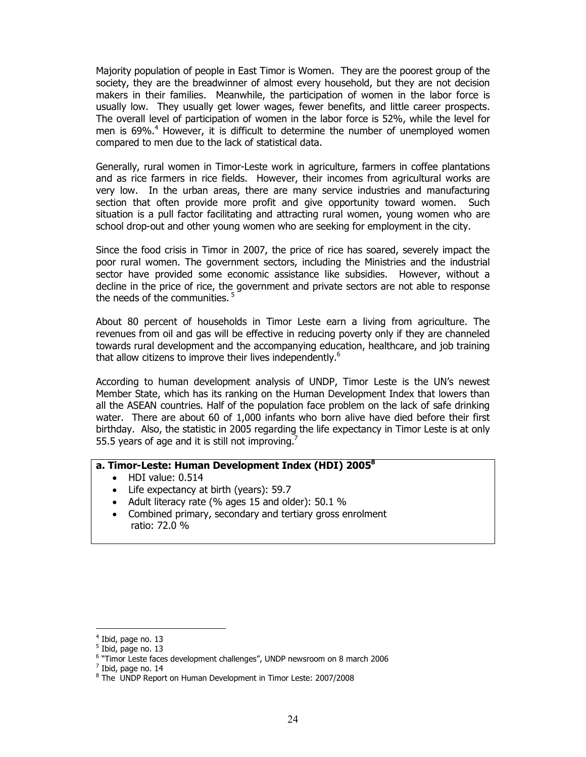Majority population of people in East Timor is Women. They are the poorest group of the society, they are the breadwinner of almost every household, but they are not decision makers in their families. Meanwhile, the participation of women in the labor force is usually low. They usually get lower wages, fewer benefits, and little career prospects. The overall level of participation of women in the labor force is 52%, while the level for men is 69%.<sup>4</sup> However, it is difficult to determine the number of unemployed women compared to men due to the lack of statistical data.

Generally, rural women in Timor-Leste work in agriculture, farmers in coffee plantations and as rice farmers in rice fields. However, their incomes from agricultural works are very low. In the urban areas, there are many service industries and manufacturing section that often provide more profit and give opportunity toward women. Such situation is a pull factor facilitating and attracting rural women, young women who are school drop-out and other young women who are seeking for employment in the city.

Since the food crisis in Timor in 2007, the price of rice has soared, severely impact the poor rural women. The government sectors, including the Ministries and the industrial sector have provided some economic assistance like subsidies. However, without a decline in the price of rice, the government and private sectors are not able to response the needs of the communities.<sup>5</sup>

About 80 percent of households in Timor Leste earn a living from agriculture. The revenues from oil and gas will be effective in reducing poverty only if they are channeled towards rural development and the accompanying education, healthcare, and job training that allow citizens to improve their lives independently.<sup>6</sup>

According to human development analysis of UNDP, Timor Leste is the UN's newest Member State, which has its ranking on the Human Development Index that lowers than all the ASEAN countries. Half of the population face problem on the lack of safe drinking water. There are about 60 of 1,000 infants who born alive have died before their first birthday. Also, the statistic in 2005 regarding the life expectancy in Timor Leste is at only 55.5 years of age and it is still not improving.<sup>7</sup>

#### a. Timor-Leste: Human Development Index (HDI) 2005<sup>8</sup>

- HDI value: 0.514
- Life expectancy at birth (years): 59.7
- Adult literacy rate (% ages 15 and older): 50.1 %
- Combined primary, secondary and tertiary gross enrolment ratio: 72.0 %

 $\ddot{\phantom{a}}$ 

<sup>&</sup>lt;sup>4</sup> Ibid, page no. 13

<sup>&</sup>lt;sup>5</sup> Ibid, page no. 13

<sup>&</sup>lt;sup>6</sup> "Timor Leste faces development challenges", UNDP newsroom on 8 march 2006

 $<sup>7</sup>$  Ibid, page no. 14</sup>

<sup>8</sup> The UNDP Report on Human Development in Timor Leste: 2007/2008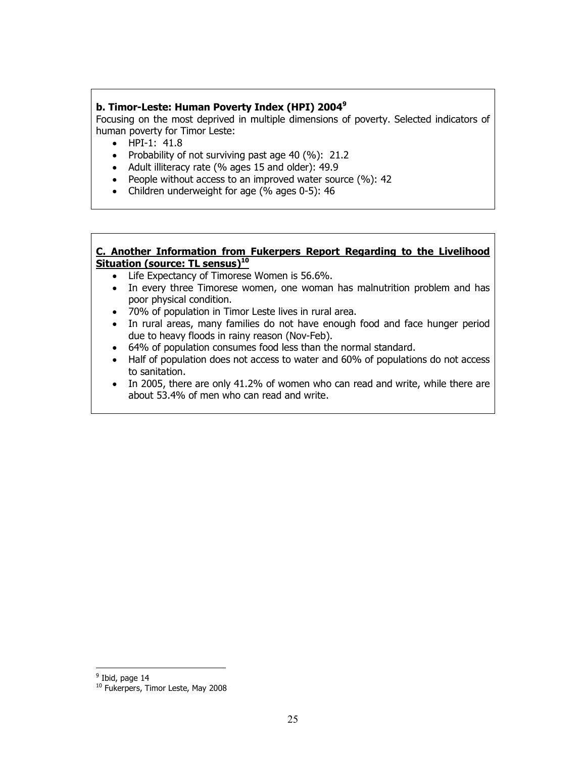#### b. Timor-Leste: Human Poverty Index (HPI) 2004<sup>9</sup>

Focusing on the most deprived in multiple dimensions of poverty. Selected indicators of human poverty for Timor Leste:

- HPI-1: 41.8
- Probability of not surviving past age 40 (%): 21.2
- Adult illiteracy rate (% ages 15 and older): 49.9
- People without access to an improved water source (%): 42
- Children underweight for age (% ages 0-5): 46

#### C. Another Information from Fukerpers Report Regarding to the Livelihood Situation (source: TL sensus)<sup>10</sup>

- Life Expectancy of Timorese Women is 56.6%.
- In every three Timorese women, one woman has malnutrition problem and has poor physical condition.
- 70% of population in Timor Leste lives in rural area.
- In rural areas, many families do not have enough food and face hunger period due to heavy floods in rainy reason (Nov-Feb).
- 64% of population consumes food less than the normal standard.
- Half of population does not access to water and 60% of populations do not access to sanitation.
- In 2005, there are only 41.2% of women who can read and write, while there are about 53.4% of men who can read and write.

<sup>&</sup>lt;sup>9</sup> Ibid, page 14

<sup>&</sup>lt;sup>10</sup> Fukerpers, Timor Leste, May 2008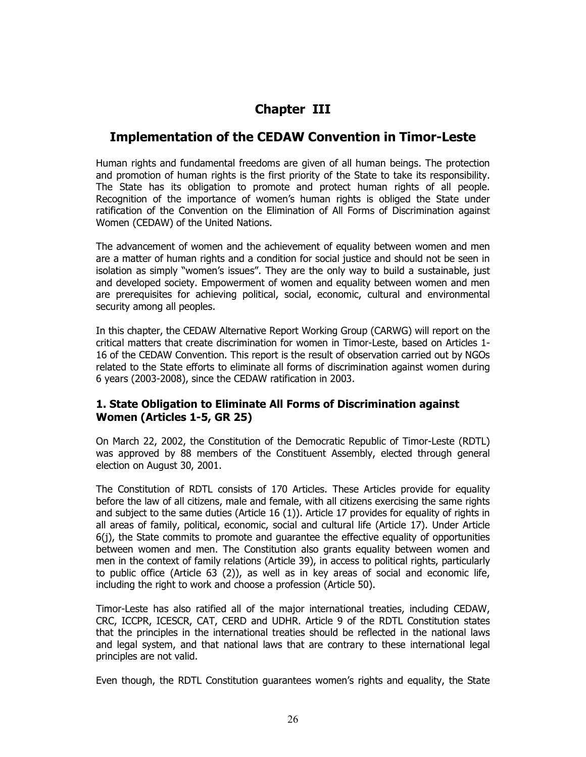# Chapter III

# Implementation of the CEDAW Convention in Timor-Leste

Human rights and fundamental freedoms are given of all human beings. The protection and promotion of human rights is the first priority of the State to take its responsibility. The State has its obligation to promote and protect human rights of all people. Recognition of the importance of women's human rights is obliged the State under ratification of the Convention on the Elimination of All Forms of Discrimination against Women (CEDAW) of the United Nations.

The advancement of women and the achievement of equality between women and men are a matter of human rights and a condition for social justice and should not be seen in isolation as simply "women's issues". They are the only way to build a sustainable, just and developed society. Empowerment of women and equality between women and men are prerequisites for achieving political, social, economic, cultural and environmental security among all peoples.

In this chapter, the CEDAW Alternative Report Working Group (CARWG) will report on the critical matters that create discrimination for women in Timor-Leste, based on Articles 1- 16 of the CEDAW Convention. This report is the result of observation carried out by NGOs related to the State efforts to eliminate all forms of discrimination against women during 6 years (2003-2008), since the CEDAW ratification in 2003.

## 1. State Obligation to Eliminate All Forms of Discrimination against Women (Articles 1-5, GR 25)

On March 22, 2002, the Constitution of the Democratic Republic of Timor-Leste (RDTL) was approved by 88 members of the Constituent Assembly, elected through general election on August 30, 2001.

The Constitution of RDTL consists of 170 Articles. These Articles provide for equality before the law of all citizens, male and female, with all citizens exercising the same rights and subject to the same duties (Article 16 (1)). Article 17 provides for equality of rights in all areas of family, political, economic, social and cultural life (Article 17). Under Article 6(j), the State commits to promote and guarantee the effective equality of opportunities between women and men. The Constitution also grants equality between women and men in the context of family relations (Article 39), in access to political rights, particularly to public office (Article 63 (2)), as well as in key areas of social and economic life, including the right to work and choose a profession (Article 50).

Timor-Leste has also ratified all of the major international treaties, including CEDAW, CRC, ICCPR, ICESCR, CAT, CERD and UDHR. Article 9 of the RDTL Constitution states that the principles in the international treaties should be reflected in the national laws and legal system, and that national laws that are contrary to these international legal principles are not valid.

Even though, the RDTL Constitution guarantees women's rights and equality, the State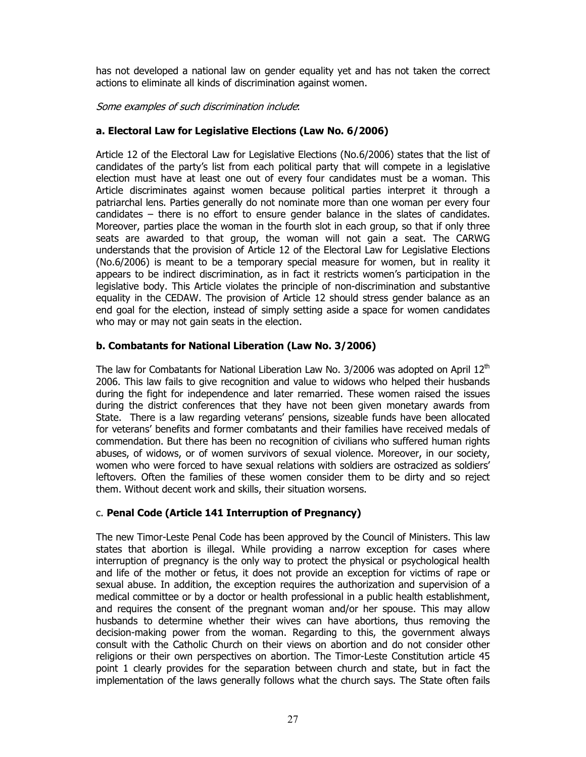has not developed a national law on gender equality yet and has not taken the correct actions to eliminate all kinds of discrimination against women.

Some examples of such discrimination include:

## a. Electoral Law for Legislative Elections (Law No. 6/2006)

Article 12 of the Electoral Law for Legislative Elections (No.6/2006) states that the list of candidates of the party's list from each political party that will compete in a legislative election must have at least one out of every four candidates must be a woman. This Article discriminates against women because political parties interpret it through a patriarchal lens. Parties generally do not nominate more than one woman per every four candidates – there is no effort to ensure gender balance in the slates of candidates. Moreover, parties place the woman in the fourth slot in each group, so that if only three seats are awarded to that group, the woman will not gain a seat. The CARWG understands that the provision of Article 12 of the Electoral Law for Legislative Elections (No.6/2006) is meant to be a temporary special measure for women, but in reality it appears to be indirect discrimination, as in fact it restricts women's participation in the legislative body. This Article violates the principle of non-discrimination and substantive equality in the CEDAW. The provision of Article 12 should stress gender balance as an end goal for the election, instead of simply setting aside a space for women candidates who may or may not gain seats in the election.

## b. Combatants for National Liberation (Law No. 3/2006)

The law for Combatants for National Liberation Law No. 3/2006 was adopted on April  $12<sup>th</sup>$ 2006. This law fails to give recognition and value to widows who helped their husbands during the fight for independence and later remarried. These women raised the issues during the district conferences that they have not been given monetary awards from State. There is a law regarding veterans' pensions, sizeable funds have been allocated for veterans' benefits and former combatants and their families have received medals of commendation. But there has been no recognition of civilians who suffered human rights abuses, of widows, or of women survivors of sexual violence. Moreover, in our society, women who were forced to have sexual relations with soldiers are ostracized as soldiers' leftovers. Often the families of these women consider them to be dirty and so reject them. Without decent work and skills, their situation worsens.

## c. Penal Code (Article 141 Interruption of Pregnancy)

The new Timor-Leste Penal Code has been approved by the Council of Ministers. This law states that abortion is illegal. While providing a narrow exception for cases where interruption of pregnancy is the only way to protect the physical or psychological health and life of the mother or fetus, it does not provide an exception for victims of rape or sexual abuse. In addition, the exception requires the authorization and supervision of a medical committee or by a doctor or health professional in a public health establishment, and requires the consent of the pregnant woman and/or her spouse. This may allow husbands to determine whether their wives can have abortions, thus removing the decision-making power from the woman. Regarding to this, the government always consult with the Catholic Church on their views on abortion and do not consider other religions or their own perspectives on abortion. The Timor-Leste Constitution article 45 point 1 clearly provides for the separation between church and state, but in fact the implementation of the laws generally follows what the church says. The State often fails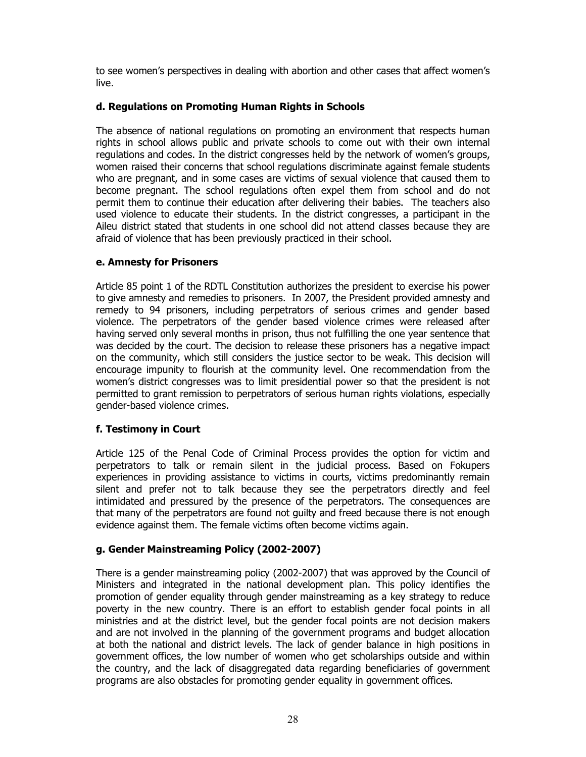to see women's perspectives in dealing with abortion and other cases that affect women's live.

#### d. Regulations on Promoting Human Rights in Schools

The absence of national regulations on promoting an environment that respects human rights in school allows public and private schools to come out with their own internal regulations and codes. In the district congresses held by the network of women's groups, women raised their concerns that school regulations discriminate against female students who are pregnant, and in some cases are victims of sexual violence that caused them to become pregnant. The school regulations often expel them from school and do not permit them to continue their education after delivering their babies. The teachers also used violence to educate their students. In the district congresses, a participant in the Aileu district stated that students in one school did not attend classes because they are afraid of violence that has been previously practiced in their school.

#### e. Amnesty for Prisoners

Article 85 point 1 of the RDTL Constitution authorizes the president to exercise his power to give amnesty and remedies to prisoners. In 2007, the President provided amnesty and remedy to 94 prisoners, including perpetrators of serious crimes and gender based violence. The perpetrators of the gender based violence crimes were released after having served only several months in prison, thus not fulfilling the one year sentence that was decided by the court. The decision to release these prisoners has a negative impact on the community, which still considers the justice sector to be weak. This decision will encourage impunity to flourish at the community level. One recommendation from the women's district congresses was to limit presidential power so that the president is not permitted to grant remission to perpetrators of serious human rights violations, especially gender-based violence crimes.

## f. Testimony in Court

Article 125 of the Penal Code of Criminal Process provides the option for victim and perpetrators to talk or remain silent in the judicial process. Based on Fokupers experiences in providing assistance to victims in courts, victims predominantly remain silent and prefer not to talk because they see the perpetrators directly and feel intimidated and pressured by the presence of the perpetrators. The consequences are that many of the perpetrators are found not guilty and freed because there is not enough evidence against them. The female victims often become victims again.

## g. Gender Mainstreaming Policy (2002-2007)

There is a gender mainstreaming policy (2002-2007) that was approved by the Council of Ministers and integrated in the national development plan. This policy identifies the promotion of gender equality through gender mainstreaming as a key strategy to reduce poverty in the new country. There is an effort to establish gender focal points in all ministries and at the district level, but the gender focal points are not decision makers and are not involved in the planning of the government programs and budget allocation at both the national and district levels. The lack of gender balance in high positions in government offices, the low number of women who get scholarships outside and within the country, and the lack of disaggregated data regarding beneficiaries of government programs are also obstacles for promoting gender equality in government offices.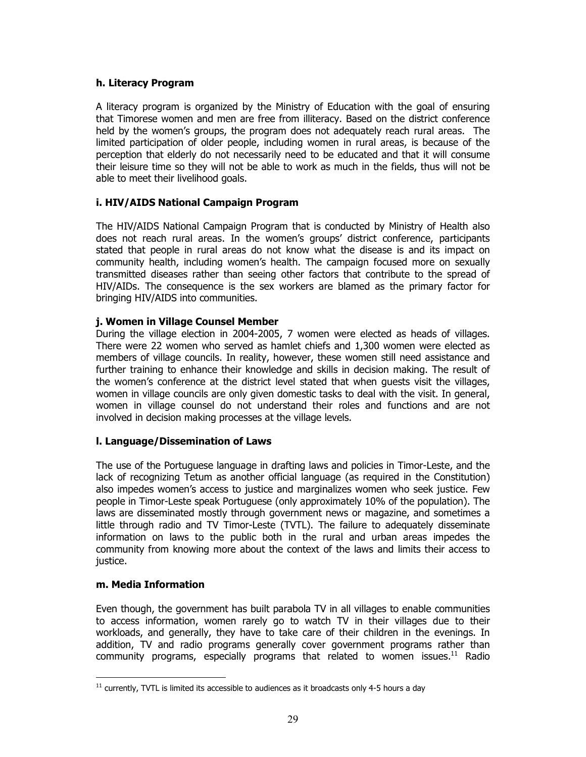#### h. Literacy Program

A literacy program is organized by the Ministry of Education with the goal of ensuring that Timorese women and men are free from illiteracy. Based on the district conference held by the women's groups, the program does not adequately reach rural areas. The limited participation of older people, including women in rural areas, is because of the perception that elderly do not necessarily need to be educated and that it will consume their leisure time so they will not be able to work as much in the fields, thus will not be able to meet their livelihood goals.

## i. HIV/AIDS National Campaign Program

The HIV/AIDS National Campaign Program that is conducted by Ministry of Health also does not reach rural areas. In the women's groups' district conference, participants stated that people in rural areas do not know what the disease is and its impact on community health, including women's health. The campaign focused more on sexually transmitted diseases rather than seeing other factors that contribute to the spread of HIV/AIDs. The consequence is the sex workers are blamed as the primary factor for bringing HIV/AIDS into communities.

## j. Women in Village Counsel Member

During the village election in 2004-2005, 7 women were elected as heads of villages. There were 22 women who served as hamlet chiefs and 1,300 women were elected as members of village councils. In reality, however, these women still need assistance and further training to enhance their knowledge and skills in decision making. The result of the women's conference at the district level stated that when guests visit the villages, women in village councils are only given domestic tasks to deal with the visit. In general, women in village counsel do not understand their roles and functions and are not involved in decision making processes at the village levels.

## l. Language/Dissemination of Laws

The use of the Portuguese language in drafting laws and policies in Timor-Leste, and the lack of recognizing Tetum as another official language (as required in the Constitution) also impedes women's access to justice and marginalizes women who seek justice. Few people in Timor-Leste speak Portuguese (only approximately 10% of the population). The laws are disseminated mostly through government news or magazine, and sometimes a little through radio and TV Timor-Leste (TVTL). The failure to adequately disseminate information on laws to the public both in the rural and urban areas impedes the community from knowing more about the context of the laws and limits their access to justice.

#### m. Media Information

Even though, the government has built parabola TV in all villages to enable communities to access information, women rarely go to watch TV in their villages due to their workloads, and generally, they have to take care of their children in the evenings. In addition, TV and radio programs generally cover government programs rather than community programs, especially programs that related to women issues.<sup>11</sup> Radio

 $\overline{a}$  $11$  currently, TVTL is limited its accessible to audiences as it broadcasts only 4-5 hours a day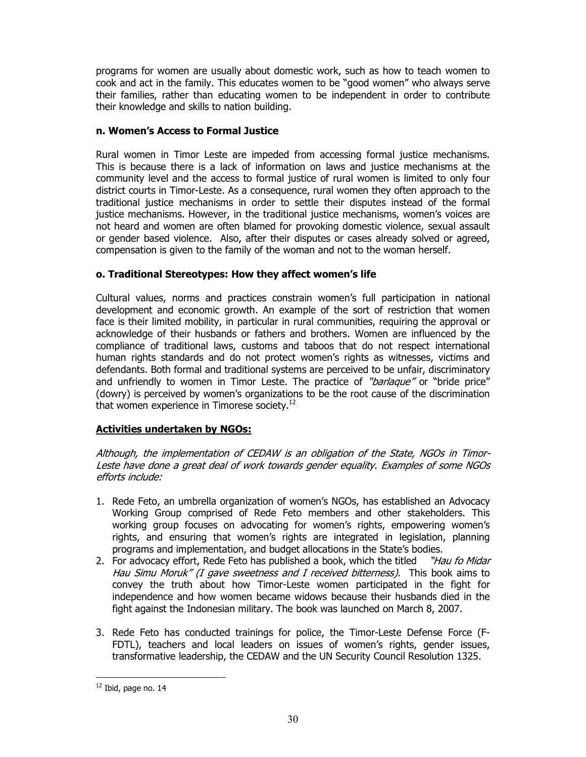programs for women are usually about domestic work, such as how to teach women to cook and act in the family. This educates women to be "good women" who always serve their families, rather than educating women to be independent in order to contribute their knowledge and skills to nation building.

#### n. Women's Access to Formal Justice

Rural women in Timor Leste are impeded from accessing formal justice mechanisms. This is because there is a lack of information on laws and justice mechanisms at the community level and the access to formal justice of rural women is limited to only four district courts in Timor-Leste. As a consequence, rural women they often approach to the traditional justice mechanisms in order to settle their disputes instead of the formal justice mechanisms. However, in the traditional justice mechanisms, women's voices are not heard and women are often blamed for provoking domestic violence, sexual assault or gender based violence. Also, after their disputes or cases already solved or agreed, compensation is given to the family of the woman and not to the woman herself.

## o. Traditional Stereotypes: How they affect women's life

Cultural values, norms and practices constrain women's full participation in national development and economic growth. An example of the sort of restriction that women face is their limited mobility, in particular in rural communities, requiring the approval or acknowledge of their husbands or fathers and brothers. Women are influenced by the compliance of traditional laws, customs and taboos that do not respect international human rights standards and do not protect women's rights as witnesses, victims and defendants. Both formal and traditional systems are perceived to be unfair, discriminatory and unfriendly to women in Timor Leste. The practice of "barlaque" or "bride price" (dowry) is perceived by women's organizations to be the root cause of the discrimination that women experience in Timorese society. $12$ 

## Activities undertaken by NGOs:

Although, the implementation of CEDAW is an obligation of the State, NGOs in Timor-Leste have done a great deal of work towards gender equality. Examples of some NGOs efforts include:

- 1. Rede Feto, an umbrella organization of women's NGOs, has established an Advocacy Working Group comprised of Rede Feto members and other stakeholders. This working group focuses on advocating for women's rights, empowering women's rights, and ensuring that women's rights are integrated in legislation, planning programs and implementation, and budget allocations in the State's bodies.
- 2. For advocacy effort, Rede Feto has published a book, which the titled "Hau fo Midar Hau Simu Moruk" (I gave sweetness and I received bitterness). This book aims to convey the truth about how Timor-Leste women participated in the fight for independence and how women became widows because their husbands died in the fight against the Indonesian military. The book was launched on March 8, 2007.
- 3. Rede Feto has conducted trainings for police, the Timor-Leste Defense Force (F-FDTL), teachers and local leaders on issues of women's rights, gender issues, transformative leadership, the CEDAW and the UN Security Council Resolution 1325.

 $\overline{a}$ 

 $12$  Ibid, page no. 14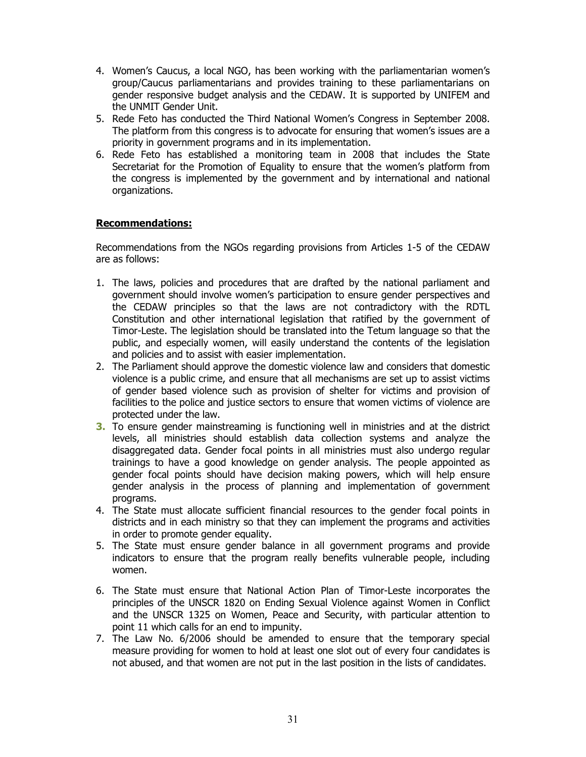- 4. Women's Caucus, a local NGO, has been working with the parliamentarian women's group/Caucus parliamentarians and provides training to these parliamentarians on gender responsive budget analysis and the CEDAW. It is supported by UNIFEM and the UNMIT Gender Unit.
- 5. Rede Feto has conducted the Third National Women's Congress in September 2008. The platform from this congress is to advocate for ensuring that women's issues are a priority in government programs and in its implementation.
- 6. Rede Feto has established a monitoring team in 2008 that includes the State Secretariat for the Promotion of Equality to ensure that the women's platform from the congress is implemented by the government and by international and national organizations.

#### Recommendations:

Recommendations from the NGOs regarding provisions from Articles 1-5 of the CEDAW are as follows:

- 1. The laws, policies and procedures that are drafted by the national parliament and government should involve women's participation to ensure gender perspectives and the CEDAW principles so that the laws are not contradictory with the RDTL Constitution and other international legislation that ratified by the government of Timor-Leste. The legislation should be translated into the Tetum language so that the public, and especially women, will easily understand the contents of the legislation and policies and to assist with easier implementation.
- 2. The Parliament should approve the domestic violence law and considers that domestic violence is a public crime, and ensure that all mechanisms are set up to assist victims of gender based violence such as provision of shelter for victims and provision of facilities to the police and justice sectors to ensure that women victims of violence are protected under the law.
- **3.** To ensure gender mainstreaming is functioning well in ministries and at the district levels, all ministries should establish data collection systems and analyze the disaggregated data. Gender focal points in all ministries must also undergo regular trainings to have a good knowledge on gender analysis. The people appointed as gender focal points should have decision making powers, which will help ensure gender analysis in the process of planning and implementation of government programs.
- 4. The State must allocate sufficient financial resources to the gender focal points in districts and in each ministry so that they can implement the programs and activities in order to promote gender equality.
- 5. The State must ensure gender balance in all government programs and provide indicators to ensure that the program really benefits vulnerable people, including women.
- 6. The State must ensure that National Action Plan of Timor-Leste incorporates the principles of the UNSCR 1820 on Ending Sexual Violence against Women in Conflict and the UNSCR 1325 on Women, Peace and Security, with particular attention to point 11 which calls for an end to impunity.
- 7. The Law No. 6/2006 should be amended to ensure that the temporary special measure providing for women to hold at least one slot out of every four candidates is not abused, and that women are not put in the last position in the lists of candidates.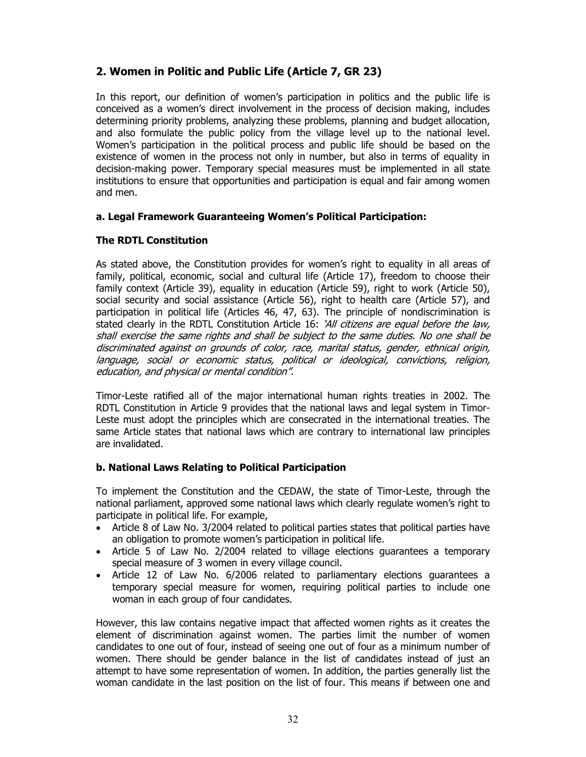# 2. Women in Politic and Public Life (Article 7, GR 23)

In this report, our definition of women's participation in politics and the public life is conceived as a women's direct involvement in the process of decision making, includes determining priority problems, analyzing these problems, planning and budget allocation, and also formulate the public policy from the village level up to the national level. Women's participation in the political process and public life should be based on the existence of women in the process not only in number, but also in terms of equality in decision-making power. Temporary special measures must be implemented in all state institutions to ensure that opportunities and participation is equal and fair among women and men.

## a. Legal Framework Guaranteeing Women's Political Participation:

## The RDTL Constitution

As stated above, the Constitution provides for women's right to equality in all areas of family, political, economic, social and cultural life (Article 17), freedom to choose their family context (Article 39), equality in education (Article 59), right to work (Article 50), social security and social assistance (Article 56), right to health care (Article 57), and participation in political life (Articles 46, 47, 63). The principle of nondiscrimination is stated clearly in the RDTL Constitution Article 16: 'All citizens are equal before the law, shall exercise the same rights and shall be subject to the same duties. No one shall be discriminated against on grounds of color, race, marital status, gender, ethnical origin, language, social or economic status, political or ideological, convictions, religion, education, and physical or mental condition".

Timor-Leste ratified all of the major international human rights treaties in 2002. The RDTL Constitution in Article 9 provides that the national laws and legal system in Timor-Leste must adopt the principles which are consecrated in the international treaties. The same Article states that national laws which are contrary to international law principles are invalidated.

## b. National Laws Relating to Political Participation

To implement the Constitution and the CEDAW, the state of Timor-Leste, through the national parliament, approved some national laws which clearly regulate women's right to participate in political life. For example,

- Article 8 of Law No. 3/2004 related to political parties states that political parties have an obligation to promote women's participation in political life.
- Article 5 of Law No. 2/2004 related to village elections guarantees a temporary special measure of 3 women in every village council.
- Article 12 of Law No. 6/2006 related to parliamentary elections guarantees a temporary special measure for women, requiring political parties to include one woman in each group of four candidates.

However, this law contains negative impact that affected women rights as it creates the element of discrimination against women. The parties limit the number of women candidates to one out of four, instead of seeing one out of four as a minimum number of women. There should be gender balance in the list of candidates instead of just an attempt to have some representation of women. In addition, the parties generally list the woman candidate in the last position on the list of four. This means if between one and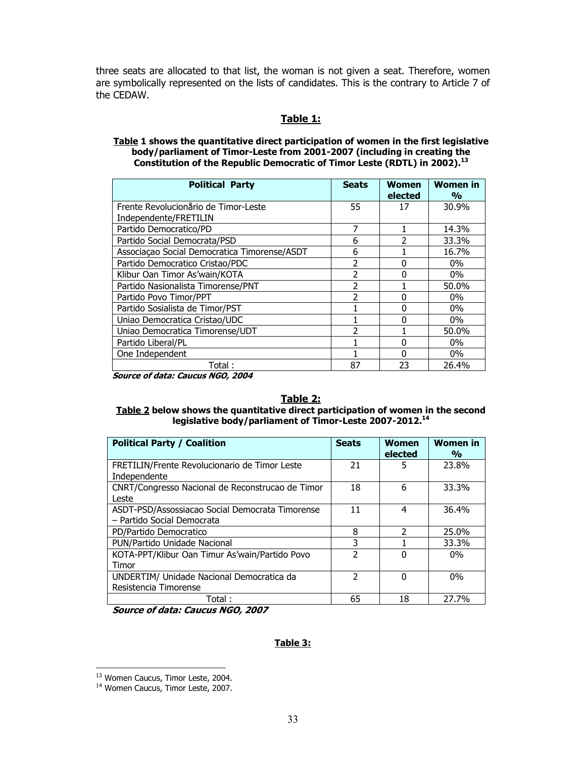three seats are allocated to that list, the woman is not given a seat. Therefore, women are symbolically represented on the lists of candidates. This is the contrary to Article 7 of the CEDAW.

#### Table 1:

#### Table 1 shows the quantitative direct participation of women in the first legislative body/parliament of Timor-Leste from 2001-2007 (including in creating the Constitution of the Republic Democratic of Timor Leste (RDTL) in 2002). $^{13}$

| <b>Political Party</b>                       | <b>Seats</b>   | <b>Women</b><br>elected | <b>Women in</b><br>$\frac{0}{0}$ |
|----------------------------------------------|----------------|-------------------------|----------------------------------|
| Frente Revolucionario de Timor-Leste         | 55             | 17                      | 30.9%                            |
| Independente/FRETILIN                        |                |                         |                                  |
| Partido Democratico/PD                       | 7              |                         | 14.3%                            |
| Partido Social Democrata/PSD                 | 6              |                         | 33.3%                            |
| Associação Social Democratica Timorense/ASDT | 6              |                         | 16.7%                            |
| Partido Democratico Cristao/PDC              | $\overline{2}$ | $\Omega$                | $0\%$                            |
| Klibur Oan Timor As'wain/KOTA                | $\mathfrak{p}$ | $\Omega$                | $0\%$                            |
| Partido Nasionalista Timorense/PNT           | 2              |                         | 50.0%                            |
| Partido Povo Timor/PPT                       | $\mathcal{P}$  | 0                       | $0\%$                            |
| Partido Sosialista de Timor/PST              |                | 0                       | $0\%$                            |
| Uniao Democratica Cristao/UDC                |                | 0                       | $0\%$                            |
| Uniao Democratica Timorense/UDT              | $\mathcal{P}$  |                         | 50.0%                            |
| Partido Liberal/PL                           |                | 0                       | $0\%$                            |
| One Independent                              |                | $\Omega$                | $0\%$                            |
| Total :                                      | 87             | 23                      | 26.4%                            |

Source of data: Caucus NGO, 2004

#### Table 2: Table 2 below shows the quantitative direct participation of women in the second legislative body/parliament of Timor-Leste 2007-2012.<sup>14</sup>

| <b>Political Party / Coalition</b>                                            | <b>Seats</b> | Women<br>elected | <b>Women in</b><br>$\frac{0}{0}$ |
|-------------------------------------------------------------------------------|--------------|------------------|----------------------------------|
| FRETILIN/Frente Revolucionario de Timor Leste<br>Independente                 | 21           | 5                | 23.8%                            |
| CNRT/Congresso Nacional de Reconstrucao de Timor<br>I este                    | 18           | 6                | 33.3%                            |
| ASDT-PSD/Assossiacao Social Democrata Timorense<br>- Partido Social Democrata | 11           | 4                | 36.4%                            |
| PD/Partido Democratico                                                        | 8            | $\mathcal{P}$    | 25.0%                            |
| PUN/Partido Unidade Nacional                                                  | 3            |                  | 33.3%                            |
| KOTA-PPT/Klibur Oan Timur As'wain/Partido Povo<br>Timor                       | 2            | ŋ                | $0\%$                            |
| UNDERTIM/ Unidade Nacional Democratica da<br>Resistencia Timorense            | າ            | O                | $0\%$                            |
| Total :                                                                       | 65           | 18               | 27.7%                            |

Source of data: Caucus NGO, 2007

#### Table 3:

 $\ddot{\phantom{a}}$ <sup>13</sup> Women Caucus, Timor Leste, 2004.

<sup>&</sup>lt;sup>14</sup> Women Caucus, Timor Leste, 2007.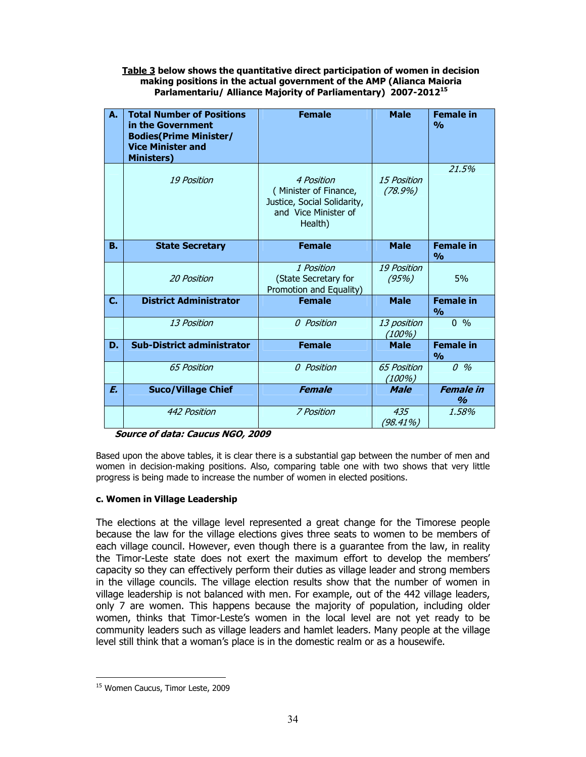#### Table 3 below shows the quantitative direct participation of women in decision making positions in the actual government of the AMP (Alianca Maioria Parlamentariu/ Alliance Majority of Parliamentary) 2007-2012<sup>15</sup>

| Α. | <b>Total Number of Positions</b><br>in the Government<br><b>Bodies</b> (Prime Minister/<br><b>Vice Minister and</b><br><b>Ministers)</b> | <b>Female</b>                                                                                         | <b>Male</b>                      | <b>Female in</b><br>O <sub>0</sub> |
|----|------------------------------------------------------------------------------------------------------------------------------------------|-------------------------------------------------------------------------------------------------------|----------------------------------|------------------------------------|
|    | <b>19 Position</b>                                                                                                                       | 4 Position<br>(Minister of Finance,<br>Justice, Social Solidarity,<br>and Vice Minister of<br>Health) | <i>15 Position</i><br>$(78.9\%)$ | 21.5%                              |
| В. | <b>State Secretary</b>                                                                                                                   | <b>Female</b>                                                                                         | <b>Male</b>                      | <b>Female in</b><br>$\frac{0}{0}$  |
|    | <b>20 Position</b>                                                                                                                       | 1 Position<br>(State Secretary for<br>Promotion and Equality)                                         | <b>19 Position</b><br>(95%)      | 5%                                 |
| C. | <b>District Administrator</b>                                                                                                            | <b>Female</b>                                                                                         | <b>Male</b>                      | <b>Female in</b><br>$\frac{0}{0}$  |
|    | 13 Position                                                                                                                              | 0 Position                                                                                            | 13 position<br>(100%)            | $0 \frac{9}{6}$                    |
| D. | <b>Sub-District administrator</b>                                                                                                        | <b>Female</b>                                                                                         | <b>Male</b>                      | <b>Female in</b><br>$\frac{0}{0}$  |
|    | <b>65 Position</b>                                                                                                                       | 0 Position                                                                                            | <b>65 Position</b><br>(100%)     | $0\%$                              |
| E. | <b>Suco/Village Chief</b>                                                                                                                | <b>Female</b>                                                                                         | <b>Male</b>                      | <b>Female</b> in<br>$\frac{9}{6}$  |
|    | 442 Position                                                                                                                             | 7 Position                                                                                            | 435<br>(98.41%)                  | 1,58%                              |

#### Source of data: Caucus NGO, 2009

Based upon the above tables, it is clear there is a substantial gap between the number of men and women in decision-making positions. Also, comparing table one with two shows that very little progress is being made to increase the number of women in elected positions.

#### c. Women in Village Leadership

The elections at the village level represented a great change for the Timorese people because the law for the village elections gives three seats to women to be members of each village council. However, even though there is a guarantee from the law, in reality the Timor-Leste state does not exert the maximum effort to develop the members' capacity so they can effectively perform their duties as village leader and strong members in the village councils. The village election results show that the number of women in village leadership is not balanced with men. For example, out of the 442 village leaders, only 7 are women. This happens because the majority of population, including older women, thinks that Timor-Leste's women in the local level are not yet ready to be community leaders such as village leaders and hamlet leaders. Many people at the village level still think that a woman's place is in the domestic realm or as a housewife.

 $\overline{a}$ <sup>15</sup> Women Caucus, Timor Leste, 2009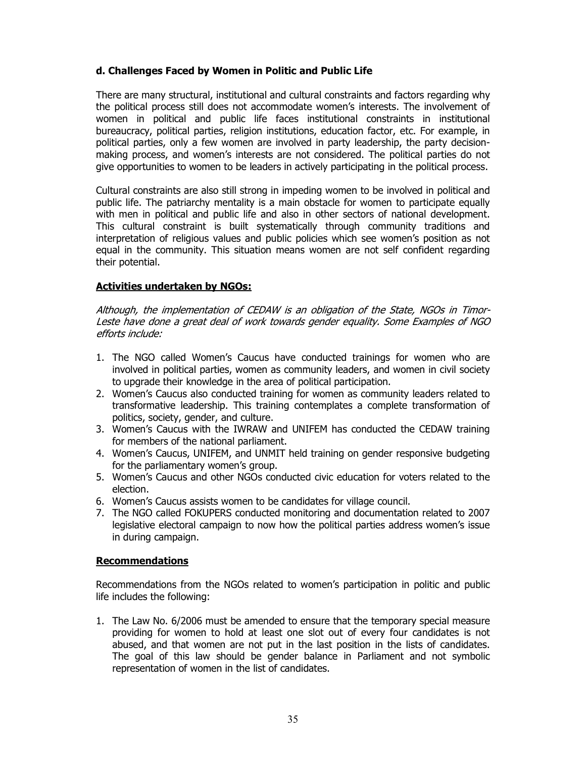## d. Challenges Faced by Women in Politic and Public Life

There are many structural, institutional and cultural constraints and factors regarding why the political process still does not accommodate women's interests. The involvement of women in political and public life faces institutional constraints in institutional bureaucracy, political parties, religion institutions, education factor, etc. For example, in political parties, only a few women are involved in party leadership, the party decisionmaking process, and women's interests are not considered. The political parties do not give opportunities to women to be leaders in actively participating in the political process.

Cultural constraints are also still strong in impeding women to be involved in political and public life. The patriarchy mentality is a main obstacle for women to participate equally with men in political and public life and also in other sectors of national development. This cultural constraint is built systematically through community traditions and interpretation of religious values and public policies which see women's position as not equal in the community. This situation means women are not self confident regarding their potential.

#### Activities undertaken by NGOs:

Although, the implementation of CEDAW is an obligation of the State, NGOs in Timor-Leste have done a great deal of work towards gender equality. Some Examples of NGO efforts include:

- 1. The NGO called Women's Caucus have conducted trainings for women who are involved in political parties, women as community leaders, and women in civil society to upgrade their knowledge in the area of political participation.
- 2. Women's Caucus also conducted training for women as community leaders related to transformative leadership. This training contemplates a complete transformation of politics, society, gender, and culture.
- 3. Women's Caucus with the IWRAW and UNIFEM has conducted the CEDAW training for members of the national parliament.
- 4. Women's Caucus, UNIFEM, and UNMIT held training on gender responsive budgeting for the parliamentary women's group.
- 5. Women's Caucus and other NGOs conducted civic education for voters related to the election.
- 6. Women's Caucus assists women to be candidates for village council.
- 7. The NGO called FOKUPERS conducted monitoring and documentation related to 2007 legislative electoral campaign to now how the political parties address women's issue in during campaign.

#### Recommendations

Recommendations from the NGOs related to women's participation in politic and public life includes the following:

1. The Law No. 6/2006 must be amended to ensure that the temporary special measure providing for women to hold at least one slot out of every four candidates is not abused, and that women are not put in the last position in the lists of candidates. The goal of this law should be gender balance in Parliament and not symbolic representation of women in the list of candidates.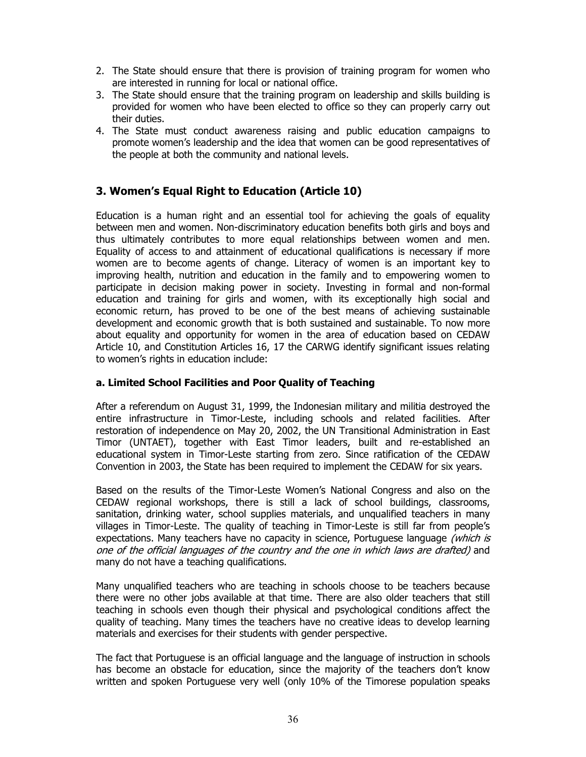- 2. The State should ensure that there is provision of training program for women who are interested in running for local or national office.
- 3. The State should ensure that the training program on leadership and skills building is provided for women who have been elected to office so they can properly carry out their duties.
- 4. The State must conduct awareness raising and public education campaigns to promote women's leadership and the idea that women can be good representatives of the people at both the community and national levels.

# 3. Women's Equal Right to Education (Article 10)

Education is a human right and an essential tool for achieving the goals of equality between men and women. Non-discriminatory education benefits both girls and boys and thus ultimately contributes to more equal relationships between women and men. Equality of access to and attainment of educational qualifications is necessary if more women are to become agents of change. Literacy of women is an important key to improving health, nutrition and education in the family and to empowering women to participate in decision making power in society. Investing in formal and non-formal education and training for girls and women, with its exceptionally high social and economic return, has proved to be one of the best means of achieving sustainable development and economic growth that is both sustained and sustainable. To now more about equality and opportunity for women in the area of education based on CEDAW Article 10, and Constitution Articles 16, 17 the CARWG identify significant issues relating to women's rights in education include:

## a. Limited School Facilities and Poor Quality of Teaching

After a referendum on August 31, 1999, the Indonesian military and militia destroyed the entire infrastructure in Timor-Leste, including schools and related facilities. After restoration of independence on May 20, 2002, the UN Transitional Administration in East Timor (UNTAET), together with East Timor leaders, built and re-established an educational system in Timor-Leste starting from zero. Since ratification of the CEDAW Convention in 2003, the State has been required to implement the CEDAW for six years.

Based on the results of the Timor-Leste Women's National Congress and also on the CEDAW regional workshops, there is still a lack of school buildings, classrooms, sanitation, drinking water, school supplies materials, and unqualified teachers in many villages in Timor-Leste. The quality of teaching in Timor-Leste is still far from people's expectations. Many teachers have no capacity in science, Portuguese language (which is one of the official languages of the country and the one in which laws are drafted) and many do not have a teaching qualifications.

Many unqualified teachers who are teaching in schools choose to be teachers because there were no other jobs available at that time. There are also older teachers that still teaching in schools even though their physical and psychological conditions affect the quality of teaching. Many times the teachers have no creative ideas to develop learning materials and exercises for their students with gender perspective.

The fact that Portuguese is an official language and the language of instruction in schools has become an obstacle for education, since the majority of the teachers don't know written and spoken Portuguese very well (only 10% of the Timorese population speaks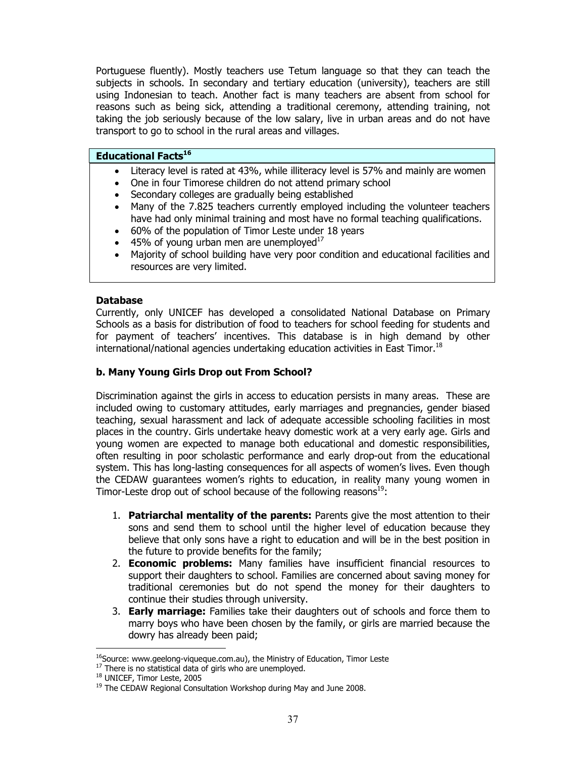Portuguese fluently). Mostly teachers use Tetum language so that they can teach the subjects in schools. In secondary and tertiary education (university), teachers are still using Indonesian to teach. Another fact is many teachers are absent from school for reasons such as being sick, attending a traditional ceremony, attending training, not taking the job seriously because of the low salary, live in urban areas and do not have transport to go to school in the rural areas and villages.

#### **Educational Facts<sup>16</sup>**

- Literacy level is rated at 43%, while illiteracy level is 57% and mainly are women
- One in four Timorese children do not attend primary school
- Secondary colleges are gradually being established
- Many of the 7.825 teachers currently employed including the volunteer teachers have had only minimal training and most have no formal teaching qualifications.
- 60% of the population of Timor Leste under 18 years
- 45% of young urban men are unemployed $17$
- Majority of school building have very poor condition and educational facilities and resources are very limited.

#### Database

Currently, only UNICEF has developed a consolidated National Database on Primary Schools as a basis for distribution of food to teachers for school feeding for students and for payment of teachers' incentives. This database is in high demand by other international/national agencies undertaking education activities in East Timor.<sup>18</sup>

#### b. Many Young Girls Drop out From School?

Discrimination against the girls in access to education persists in many areas. These are included owing to customary attitudes, early marriages and pregnancies, gender biased teaching, sexual harassment and lack of adequate accessible schooling facilities in most places in the country. Girls undertake heavy domestic work at a very early age. Girls and young women are expected to manage both educational and domestic responsibilities, often resulting in poor scholastic performance and early drop-out from the educational system. This has long-lasting consequences for all aspects of women's lives. Even though the CEDAW guarantees women's rights to education, in reality many young women in Timor-Leste drop out of school because of the following reasons $^{19}$ :

- 1. Patriarchal mentality of the parents: Parents give the most attention to their sons and send them to school until the higher level of education because they believe that only sons have a right to education and will be in the best position in the future to provide benefits for the family;
- 2. **Economic problems:** Many families have insufficient financial resources to support their daughters to school. Families are concerned about saving money for traditional ceremonies but do not spend the money for their daughters to continue their studies through university.
- 3. Early marriage: Families take their daughters out of schools and force them to marry boys who have been chosen by the family, or girls are married because the dowry has already been paid;

 $\ddot{\phantom{a}}$ 

<sup>&</sup>lt;sup>16</sup>Source: www.geelong-viguegue.com.au), the Ministry of Education, Timor Leste

<sup>&</sup>lt;sup>17</sup> There is no statistical data of girls who are unemployed.

<sup>18</sup> UNICEF, Timor Leste, 2005

<sup>&</sup>lt;sup>19</sup> The CEDAW Regional Consultation Workshop during May and June 2008.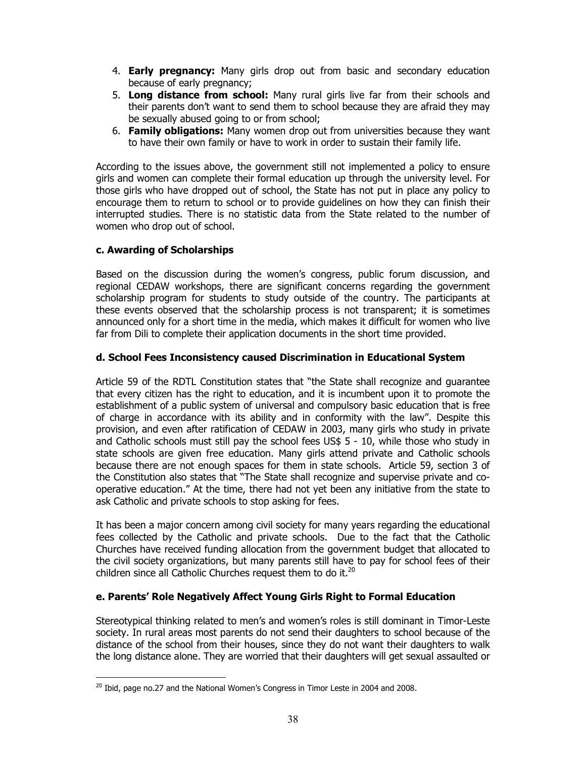- 4. **Early pregnancy:** Many girls drop out from basic and secondary education because of early pregnancy;
- 5. Long distance from school: Many rural girls live far from their schools and their parents don't want to send them to school because they are afraid they may be sexually abused going to or from school;
- 6. Family obligations: Many women drop out from universities because they want to have their own family or have to work in order to sustain their family life.

According to the issues above, the government still not implemented a policy to ensure girls and women can complete their formal education up through the university level. For those girls who have dropped out of school, the State has not put in place any policy to encourage them to return to school or to provide guidelines on how they can finish their interrupted studies. There is no statistic data from the State related to the number of women who drop out of school.

## c. Awarding of Scholarships

Based on the discussion during the women's congress, public forum discussion, and regional CEDAW workshops, there are significant concerns regarding the government scholarship program for students to study outside of the country. The participants at these events observed that the scholarship process is not transparent; it is sometimes announced only for a short time in the media, which makes it difficult for women who live far from Dili to complete their application documents in the short time provided.

## d. School Fees Inconsistency caused Discrimination in Educational System

Article 59 of the RDTL Constitution states that "the State shall recognize and guarantee that every citizen has the right to education, and it is incumbent upon it to promote the establishment of a public system of universal and compulsory basic education that is free of charge in accordance with its ability and in conformity with the law". Despite this provision, and even after ratification of CEDAW in 2003, many girls who study in private and Catholic schools must still pay the school fees US\$ 5 - 10, while those who study in state schools are given free education. Many girls attend private and Catholic schools because there are not enough spaces for them in state schools. Article 59, section 3 of the Constitution also states that "The State shall recognize and supervise private and cooperative education." At the time, there had not yet been any initiative from the state to ask Catholic and private schools to stop asking for fees.

It has been a major concern among civil society for many years regarding the educational fees collected by the Catholic and private schools. Due to the fact that the Catholic Churches have received funding allocation from the government budget that allocated to the civil society organizations, but many parents still have to pay for school fees of their children since all Catholic Churches request them to do it. $^{20}$ 

## e. Parents' Role Negatively Affect Young Girls Right to Formal Education

Stereotypical thinking related to men's and women's roles is still dominant in Timor-Leste society. In rural areas most parents do not send their daughters to school because of the distance of the school from their houses, since they do not want their daughters to walk the long distance alone. They are worried that their daughters will get sexual assaulted or

 $\overline{a}$  $20$  Ibid, page no.27 and the National Women's Congress in Timor Leste in 2004 and 2008.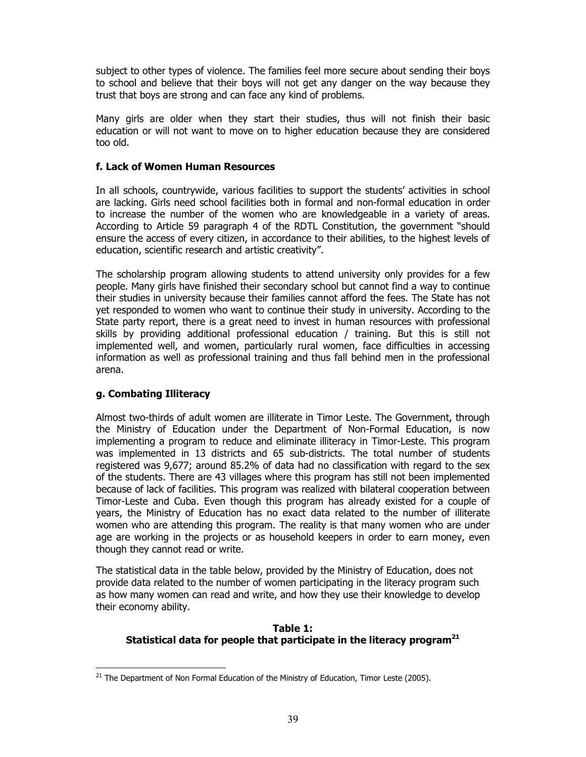subject to other types of violence. The families feel more secure about sending their boys to school and believe that their boys will not get any danger on the way because they trust that boys are strong and can face any kind of problems.

Many girls are older when they start their studies, thus will not finish their basic education or will not want to move on to higher education because they are considered too old.

## f. Lack of Women Human Resources

In all schools, countrywide, various facilities to support the students' activities in school are lacking. Girls need school facilities both in formal and non-formal education in order to increase the number of the women who are knowledgeable in a variety of areas. According to Article 59 paragraph 4 of the RDTL Constitution, the government "should ensure the access of every citizen, in accordance to their abilities, to the highest levels of education, scientific research and artistic creativity".

The scholarship program allowing students to attend university only provides for a few people. Many girls have finished their secondary school but cannot find a way to continue their studies in university because their families cannot afford the fees. The State has not yet responded to women who want to continue their study in university. According to the State party report, there is a great need to invest in human resources with professional skills by providing additional professional education / training. But this is still not implemented well, and women, particularly rural women, face difficulties in accessing information as well as professional training and thus fall behind men in the professional arena.

## g. Combating Illiteracy

Almost two-thirds of adult women are illiterate in Timor Leste. The Government, through the Ministry of Education under the Department of Non-Formal Education, is now implementing a program to reduce and eliminate illiteracy in Timor-Leste. This program was implemented in 13 districts and 65 sub-districts. The total number of students registered was 9,677; around 85.2% of data had no classification with regard to the sex of the students. There are 43 villages where this program has still not been implemented because of lack of facilities. This program was realized with bilateral cooperation between Timor-Leste and Cuba. Even though this program has already existed for a couple of years, the Ministry of Education has no exact data related to the number of illiterate women who are attending this program. The reality is that many women who are under age are working in the projects or as household keepers in order to earn money, even though they cannot read or write.

The statistical data in the table below, provided by the Ministry of Education, does not provide data related to the number of women participating in the literacy program such as how many women can read and write, and how they use their knowledge to develop their economy ability.

## Table 1: Statistical data for people that participate in the literacy program<sup>21</sup>

 $\ddot{\phantom{a}}$  $21$  The Department of Non Formal Education of the Ministry of Education, Timor Leste (2005).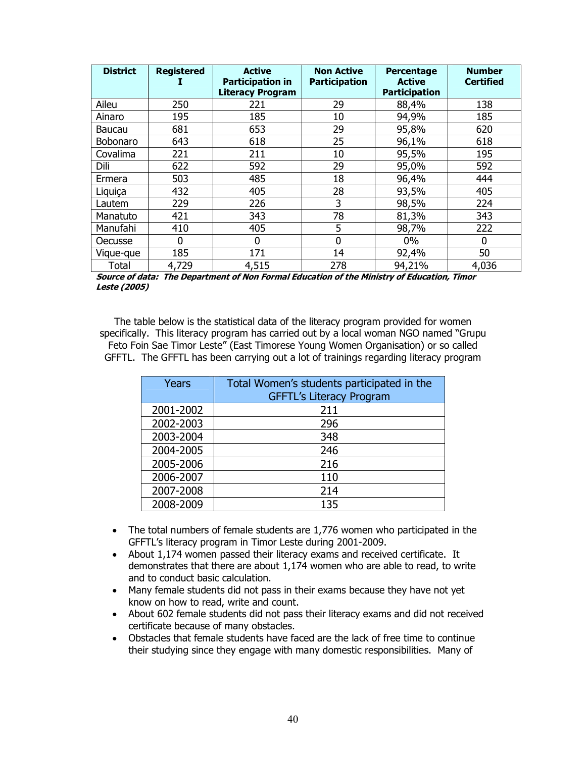| <b>District</b> | <b>Registered</b> | <b>Active</b><br><b>Participation in</b><br><b>Literacy Program</b> | <b>Non Active</b><br><b>Participation</b> | Percentage<br><b>Active</b><br><b>Participation</b> | <b>Number</b><br><b>Certified</b> |
|-----------------|-------------------|---------------------------------------------------------------------|-------------------------------------------|-----------------------------------------------------|-----------------------------------|
| Aileu           | 250               | 221                                                                 | 29                                        | 88,4%                                               | 138                               |
| Ainaro          | 195               | 185                                                                 | 10                                        | 94,9%                                               | 185                               |
| Baucau          | 681               | 653                                                                 | 29                                        | 95,8%                                               | 620                               |
| Bobonaro        | 643               | 618                                                                 | 25                                        | 96,1%                                               | 618                               |
| Covalima        | 221               | 211                                                                 | 10                                        | 95,5%                                               | 195                               |
| Dili            | 622               | 592                                                                 | 29                                        | 95,0%                                               | 592                               |
| Ermera          | 503               | 485                                                                 | 18                                        | 96,4%                                               | 444                               |
| Liquiça         | 432               | 405                                                                 | 28                                        | 93,5%                                               | 405                               |
| Lautem          | 229               | 226                                                                 | 3                                         | 98,5%                                               | 224                               |
| Manatuto        | 421               | 343                                                                 | 78                                        | 81,3%                                               | 343                               |
| Manufahi        | 410               | 405                                                                 | 5                                         | 98,7%                                               | 222                               |
| Oecusse         | 0                 | $\Omega$                                                            | 0                                         | $0\%$                                               | 0                                 |
| Vique-que       | 185               | 171                                                                 | 14                                        | 92,4%                                               | 50                                |
| <b>Total</b>    | 4,729             | 4,515                                                               | 278                                       | 94,21%                                              | 4,036                             |

Source of data: The Department of Non Formal Education of the Ministry of Education, Timor Leste (2005)

The table below is the statistical data of the literacy program provided for women specifically. This literacy program has carried out by a local woman NGO named "Grupu Feto Foin Sae Timor Leste" (East Timorese Young Women Organisation) or so called GFFTL. The GFFTL has been carrying out a lot of trainings regarding literacy program

| Years     | Total Women's students participated in the<br><b>GFFTL's Literacy Program</b> |
|-----------|-------------------------------------------------------------------------------|
| 2001-2002 | 211                                                                           |
| 2002-2003 | 296                                                                           |
| 2003-2004 | 348                                                                           |
| 2004-2005 | 246                                                                           |
| 2005-2006 | 216                                                                           |
| 2006-2007 | 110                                                                           |
| 2007-2008 | 214                                                                           |
| 2008-2009 | 135                                                                           |

- The total numbers of female students are 1,776 women who participated in the GFFTL's literacy program in Timor Leste during 2001-2009.
- About 1,174 women passed their literacy exams and received certificate. It demonstrates that there are about 1,174 women who are able to read, to write and to conduct basic calculation.
- Many female students did not pass in their exams because they have not yet know on how to read, write and count.
- About 602 female students did not pass their literacy exams and did not received certificate because of many obstacles.
- Obstacles that female students have faced are the lack of free time to continue their studying since they engage with many domestic responsibilities. Many of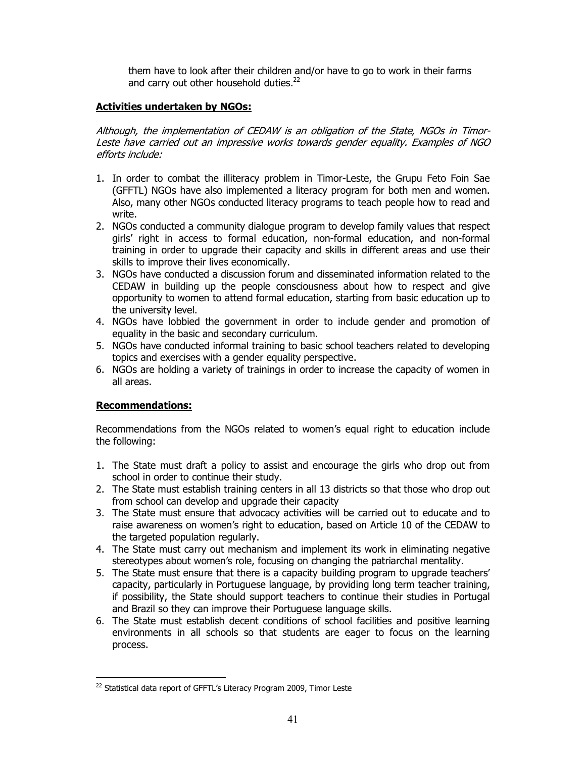them have to look after their children and/or have to go to work in their farms and carry out other household duties. $^{22}$ 

## Activities undertaken by NGOs:

Although, the implementation of CEDAW is an obligation of the State, NGOs in Timor-Leste have carried out an impressive works towards gender equality. Examples of NGO efforts include:

- 1. In order to combat the illiteracy problem in Timor-Leste, the Grupu Feto Foin Sae (GFFTL) NGOs have also implemented a literacy program for both men and women. Also, many other NGOs conducted literacy programs to teach people how to read and write.
- 2. NGOs conducted a community dialogue program to develop family values that respect girls' right in access to formal education, non-formal education, and non-formal training in order to upgrade their capacity and skills in different areas and use their skills to improve their lives economically.
- 3. NGOs have conducted a discussion forum and disseminated information related to the CEDAW in building up the people consciousness about how to respect and give opportunity to women to attend formal education, starting from basic education up to the university level.
- 4. NGOs have lobbied the government in order to include gender and promotion of equality in the basic and secondary curriculum.
- 5. NGOs have conducted informal training to basic school teachers related to developing topics and exercises with a gender equality perspective.
- 6. NGOs are holding a variety of trainings in order to increase the capacity of women in all areas.

## Recommendations:

 $\overline{a}$ 

Recommendations from the NGOs related to women's equal right to education include the following:

- 1. The State must draft a policy to assist and encourage the girls who drop out from school in order to continue their study.
- 2. The State must establish training centers in all 13 districts so that those who drop out from school can develop and upgrade their capacity
- 3. The State must ensure that advocacy activities will be carried out to educate and to raise awareness on women's right to education, based on Article 10 of the CEDAW to the targeted population regularly.
- 4. The State must carry out mechanism and implement its work in eliminating negative stereotypes about women's role, focusing on changing the patriarchal mentality.
- 5. The State must ensure that there is a capacity building program to upgrade teachers' capacity, particularly in Portuguese language, by providing long term teacher training, if possibility, the State should support teachers to continue their studies in Portugal and Brazil so they can improve their Portuguese language skills.
- 6. The State must establish decent conditions of school facilities and positive learning environments in all schools so that students are eager to focus on the learning process.

<sup>&</sup>lt;sup>22</sup> Statistical data report of GFFTL's Literacy Program 2009, Timor Leste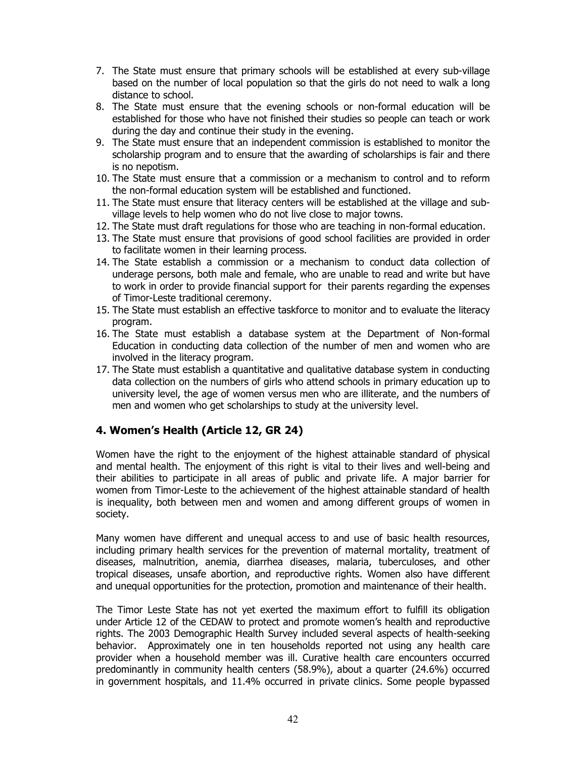- 7. The State must ensure that primary schools will be established at every sub-village based on the number of local population so that the girls do not need to walk a long distance to school.
- 8. The State must ensure that the evening schools or non-formal education will be established for those who have not finished their studies so people can teach or work during the day and continue their study in the evening.
- 9. The State must ensure that an independent commission is established to monitor the scholarship program and to ensure that the awarding of scholarships is fair and there is no nepotism.
- 10. The State must ensure that a commission or a mechanism to control and to reform the non-formal education system will be established and functioned.
- 11. The State must ensure that literacy centers will be established at the village and subvillage levels to help women who do not live close to major towns.
- 12. The State must draft regulations for those who are teaching in non-formal education.
- 13. The State must ensure that provisions of good school facilities are provided in order to facilitate women in their learning process.
- 14. The State establish a commission or a mechanism to conduct data collection of underage persons, both male and female, who are unable to read and write but have to work in order to provide financial support for their parents regarding the expenses of Timor-Leste traditional ceremony.
- 15. The State must establish an effective taskforce to monitor and to evaluate the literacy program.
- 16. The State must establish a database system at the Department of Non-formal Education in conducting data collection of the number of men and women who are involved in the literacy program.
- 17. The State must establish a quantitative and qualitative database system in conducting data collection on the numbers of girls who attend schools in primary education up to university level, the age of women versus men who are illiterate, and the numbers of men and women who get scholarships to study at the university level.

## 4. Women's Health (Article 12, GR 24)

Women have the right to the enjoyment of the highest attainable standard of physical and mental health. The enjoyment of this right is vital to their lives and well-being and their abilities to participate in all areas of public and private life. A major barrier for women from Timor-Leste to the achievement of the highest attainable standard of health is inequality, both between men and women and among different groups of women in society.

Many women have different and unequal access to and use of basic health resources, including primary health services for the prevention of maternal mortality, treatment of diseases, malnutrition, anemia, diarrhea diseases, malaria, tuberculoses, and other tropical diseases, unsafe abortion, and reproductive rights. Women also have different and unequal opportunities for the protection, promotion and maintenance of their health.

The Timor Leste State has not yet exerted the maximum effort to fulfill its obligation under Article 12 of the CEDAW to protect and promote women's health and reproductive rights. The 2003 Demographic Health Survey included several aspects of health-seeking behavior. Approximately one in ten households reported not using any health care provider when a household member was ill. Curative health care encounters occurred predominantly in community health centers (58.9%), about a quarter (24.6%) occurred in government hospitals, and 11.4% occurred in private clinics. Some people bypassed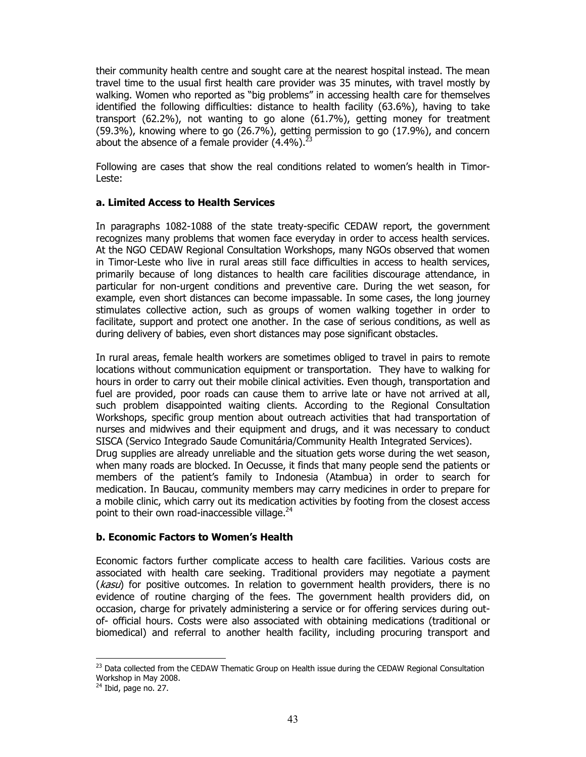their community health centre and sought care at the nearest hospital instead. The mean travel time to the usual first health care provider was 35 minutes, with travel mostly by walking. Women who reported as "big problems" in accessing health care for themselves identified the following difficulties: distance to health facility (63.6%), having to take transport (62.2%), not wanting to go alone (61.7%), getting money for treatment (59.3%), knowing where to go (26.7%), getting permission to go (17.9%), and concern about the absence of a female provider  $(4.4\%)$ .<sup>23</sup>

Following are cases that show the real conditions related to women's health in Timor-Leste:

#### a. Limited Access to Health Services

In paragraphs 1082-1088 of the state treaty-specific CEDAW report, the government recognizes many problems that women face everyday in order to access health services. At the NGO CEDAW Regional Consultation Workshops, many NGOs observed that women in Timor-Leste who live in rural areas still face difficulties in access to health services, primarily because of long distances to health care facilities discourage attendance, in particular for non-urgent conditions and preventive care. During the wet season, for example, even short distances can become impassable. In some cases, the long journey stimulates collective action, such as groups of women walking together in order to facilitate, support and protect one another. In the case of serious conditions, as well as during delivery of babies, even short distances may pose significant obstacles.

In rural areas, female health workers are sometimes obliged to travel in pairs to remote locations without communication equipment or transportation. They have to walking for hours in order to carry out their mobile clinical activities. Even though, transportation and fuel are provided, poor roads can cause them to arrive late or have not arrived at all, such problem disappointed waiting clients. According to the Regional Consultation Workshops, specific group mention about outreach activities that had transportation of nurses and midwives and their equipment and drugs, and it was necessary to conduct SISCA (Servico Integrado Saude Comunitária/Community Health Integrated Services). Drug supplies are already unreliable and the situation gets worse during the wet season, when many roads are blocked. In Oecusse, it finds that many people send the patients or members of the patient's family to Indonesia (Atambua) in order to search for medication. In Baucau, community members may carry medicines in order to prepare for a mobile clinic, which carry out its medication activities by footing from the closest access point to their own road-inaccessible village. $^{24}$ 

#### b. Economic Factors to Women's Health

Economic factors further complicate access to health care facilities. Various costs are associated with health care seeking. Traditional providers may negotiate a payment  $(kasu)$  for positive outcomes. In relation to government health providers, there is no evidence of routine charging of the fees. The government health providers did, on occasion, charge for privately administering a service or for offering services during outof- official hours. Costs were also associated with obtaining medications (traditional or biomedical) and referral to another health facility, including procuring transport and

 $\ddot{\phantom{a}}$ 

<sup>&</sup>lt;sup>23</sup> Data collected from the CEDAW Thematic Group on Health issue during the CEDAW Regional Consultation Workshop in May 2008.

 $24$  Ibid, page no. 27.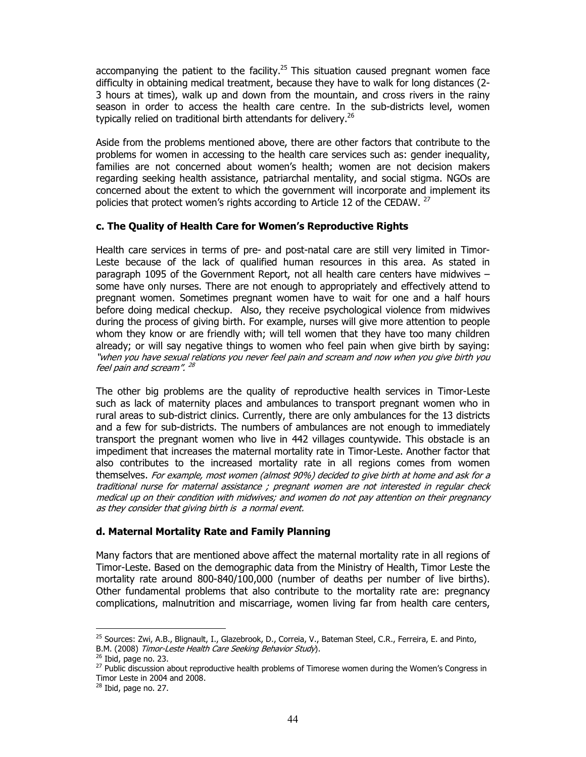accompanying the patient to the facility. $25$  This situation caused pregnant women face difficulty in obtaining medical treatment, because they have to walk for long distances (2- 3 hours at times), walk up and down from the mountain, and cross rivers in the rainy season in order to access the health care centre. In the sub-districts level, women typically relied on traditional birth attendants for delivery.<sup>26</sup>

Aside from the problems mentioned above, there are other factors that contribute to the problems for women in accessing to the health care services such as: gender inequality, families are not concerned about women's health; women are not decision makers regarding seeking health assistance, patriarchal mentality, and social stigma. NGOs are concerned about the extent to which the government will incorporate and implement its policies that protect women's rights according to Article 12 of the CEDAW.  $^{27}$ 

#### c. The Quality of Health Care for Women's Reproductive Rights

Health care services in terms of pre- and post-natal care are still very limited in Timor-Leste because of the lack of qualified human resources in this area. As stated in paragraph 1095 of the Government Report, not all health care centers have midwives – some have only nurses. There are not enough to appropriately and effectively attend to pregnant women. Sometimes pregnant women have to wait for one and a half hours before doing medical checkup. Also, they receive psychological violence from midwives during the process of giving birth. For example, nurses will give more attention to people whom they know or are friendly with; will tell women that they have too many children already; or will say negative things to women who feel pain when give birth by saying: "when you have sexual relations you never feel pain and scream and now when you give birth you feel pain and scream". 28

The other big problems are the quality of reproductive health services in Timor-Leste such as lack of maternity places and ambulances to transport pregnant women who in rural areas to sub-district clinics. Currently, there are only ambulances for the 13 districts and a few for sub-districts. The numbers of ambulances are not enough to immediately transport the pregnant women who live in 442 villages countywide. This obstacle is an impediment that increases the maternal mortality rate in Timor-Leste. Another factor that also contributes to the increased mortality rate in all regions comes from women themselves. For example, most women (almost 90%) decided to give birth at home and ask for a traditional nurse for maternal assistance ; pregnant women are not interested in regular check medical up on their condition with midwives; and women do not pay attention on their pregnancy as they consider that giving birth is a normal event.

#### d. Maternal Mortality Rate and Family Planning

Many factors that are mentioned above affect the maternal mortality rate in all regions of Timor-Leste. Based on the demographic data from the Ministry of Health, Timor Leste the mortality rate around 800-840/100,000 (number of deaths per number of live births). Other fundamental problems that also contribute to the mortality rate are: pregnancy complications, malnutrition and miscarriage, women living far from health care centers,

 $\ddot{\phantom{a}}$ <sup>25</sup> Sources: Zwi, A.B., Blignault, I., Glazebrook, D., Correia, V., Bateman Steel, C.R., Ferreira, E. and Pinto,

B.M. (2008) Timor-Leste Health Care Seeking Behavior Study).

 $26$  Ibid, page no. 23.

<sup>&</sup>lt;sup>27</sup> Public discussion about reproductive health problems of Timorese women during the Women's Congress in Timor Leste in 2004 and 2008.

<sup>28</sup> Ibid, page no. 27.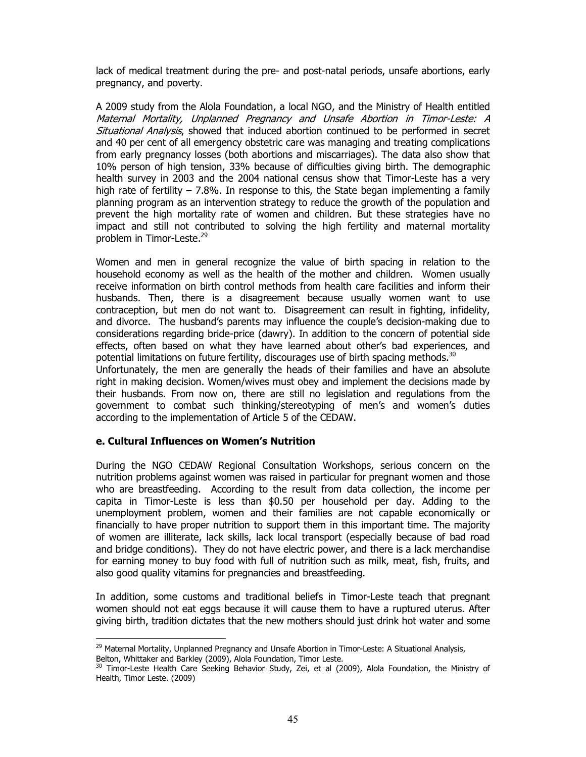lack of medical treatment during the pre- and post-natal periods, unsafe abortions, early pregnancy, and poverty.

A 2009 study from the Alola Foundation, a local NGO, and the Ministry of Health entitled Maternal Mortality, Unplanned Pregnancy and Unsafe Abortion in Timor-Leste: A Situational Analysis, showed that induced abortion continued to be performed in secret and 40 per cent of all emergency obstetric care was managing and treating complications from early pregnancy losses (both abortions and miscarriages). The data also show that 10% person of high tension, 33% because of difficulties giving birth. The demographic health survey in 2003 and the 2004 national census show that Timor-Leste has a very high rate of fertility  $-7.8\%$ . In response to this, the State began implementing a family planning program as an intervention strategy to reduce the growth of the population and prevent the high mortality rate of women and children. But these strategies have no impact and still not contributed to solving the high fertility and maternal mortality problem in Timor-Leste.<sup>29</sup>

Women and men in general recognize the value of birth spacing in relation to the household economy as well as the health of the mother and children. Women usually receive information on birth control methods from health care facilities and inform their husbands. Then, there is a disagreement because usually women want to use contraception, but men do not want to. Disagreement can result in fighting, infidelity, and divorce. The husband's parents may influence the couple's decision-making due to considerations regarding bride-price (dawry). In addition to the concern of potential side effects, often based on what they have learned about other's bad experiences, and potential limitations on future fertility, discourages use of birth spacing methods. $^{30}$ 

Unfortunately, the men are generally the heads of their families and have an absolute right in making decision. Women/wives must obey and implement the decisions made by their husbands. From now on, there are still no legislation and regulations from the government to combat such thinking/stereotyping of men's and women's duties according to the implementation of Article 5 of the CEDAW.

#### e. Cultural Influences on Women's Nutrition

 $\overline{a}$ 

During the NGO CEDAW Regional Consultation Workshops, serious concern on the nutrition problems against women was raised in particular for pregnant women and those who are breastfeeding. According to the result from data collection, the income per capita in Timor-Leste is less than \$0.50 per household per day. Adding to the unemployment problem, women and their families are not capable economically or financially to have proper nutrition to support them in this important time. The majority of women are illiterate, lack skills, lack local transport (especially because of bad road and bridge conditions). They do not have electric power, and there is a lack merchandise for earning money to buy food with full of nutrition such as milk, meat, fish, fruits, and also good quality vitamins for pregnancies and breastfeeding.

In addition, some customs and traditional beliefs in Timor-Leste teach that pregnant women should not eat eggs because it will cause them to have a ruptured uterus. After giving birth, tradition dictates that the new mothers should just drink hot water and some

<sup>&</sup>lt;sup>29</sup> Maternal Mortality, Unplanned Pregnancy and Unsafe Abortion in Timor-Leste: A Situational Analysis, Belton, Whittaker and Barkley (2009), Alola Foundation, Timor Leste.

<sup>&</sup>lt;sup>30</sup> Timor-Leste Health Care Seeking Behavior Study, Zei, et al (2009), Alola Foundation, the Ministry of Health, Timor Leste. (2009)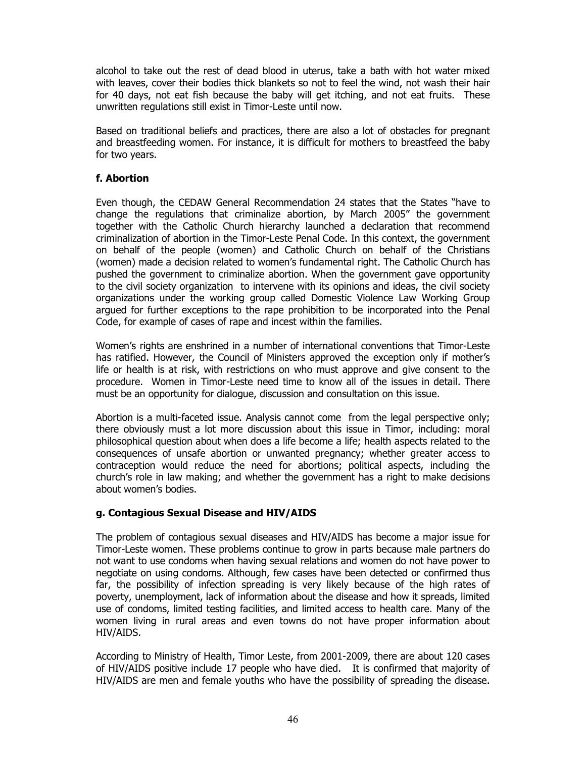alcohol to take out the rest of dead blood in uterus, take a bath with hot water mixed with leaves, cover their bodies thick blankets so not to feel the wind, not wash their hair for 40 days, not eat fish because the baby will get itching, and not eat fruits. These unwritten regulations still exist in Timor-Leste until now.

Based on traditional beliefs and practices, there are also a lot of obstacles for pregnant and breastfeeding women. For instance, it is difficult for mothers to breastfeed the baby for two years.

## f. Abortion

Even though, the CEDAW General Recommendation 24 states that the States "have to change the regulations that criminalize abortion, by March 2005" the government together with the Catholic Church hierarchy launched a declaration that recommend criminalization of abortion in the Timor-Leste Penal Code. In this context, the government on behalf of the people (women) and Catholic Church on behalf of the Christians (women) made a decision related to women's fundamental right. The Catholic Church has pushed the government to criminalize abortion. When the government gave opportunity to the civil society organization to intervene with its opinions and ideas, the civil society organizations under the working group called Domestic Violence Law Working Group argued for further exceptions to the rape prohibition to be incorporated into the Penal Code, for example of cases of rape and incest within the families.

Women's rights are enshrined in a number of international conventions that Timor-Leste has ratified. However, the Council of Ministers approved the exception only if mother's life or health is at risk, with restrictions on who must approve and give consent to the procedure. Women in Timor-Leste need time to know all of the issues in detail. There must be an opportunity for dialogue, discussion and consultation on this issue.

Abortion is a multi-faceted issue. Analysis cannot come from the legal perspective only; there obviously must a lot more discussion about this issue in Timor, including: moral philosophical question about when does a life become a life; health aspects related to the consequences of unsafe abortion or unwanted pregnancy; whether greater access to contraception would reduce the need for abortions; political aspects, including the church's role in law making; and whether the government has a right to make decisions about women's bodies.

#### g. Contagious Sexual Disease and HIV/AIDS

The problem of contagious sexual diseases and HIV/AIDS has become a major issue for Timor-Leste women. These problems continue to grow in parts because male partners do not want to use condoms when having sexual relations and women do not have power to negotiate on using condoms. Although, few cases have been detected or confirmed thus far, the possibility of infection spreading is very likely because of the high rates of poverty, unemployment, lack of information about the disease and how it spreads, limited use of condoms, limited testing facilities, and limited access to health care. Many of the women living in rural areas and even towns do not have proper information about HIV/AIDS.

According to Ministry of Health, Timor Leste, from 2001-2009, there are about 120 cases of HIV/AIDS positive include 17 people who have died. It is confirmed that majority of HIV/AIDS are men and female youths who have the possibility of spreading the disease.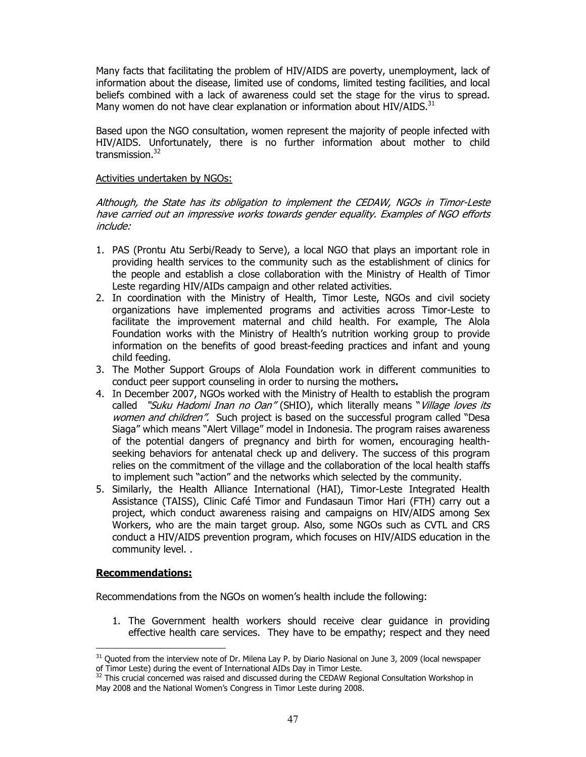Many facts that facilitating the problem of HIV/AIDS are poverty, unemployment, lack of information about the disease, limited use of condoms, limited testing facilities, and local beliefs combined with a lack of awareness could set the stage for the virus to spread. Many women do not have clear explanation or information about HIV/AIDS. $^{31}$ 

Based upon the NGO consultation, women represent the majority of people infected with HIV/AIDS. Unfortunately, there is no further information about mother to child transmission.<sup>32</sup>

#### Activities undertaken by NGOs:

Although, the State has its obligation to implement the CEDAW, NGOs in Timor-Leste have carried out an impressive works towards gender equality. Examples of NGO efforts include:

- 1. PAS (Prontu Atu Serbi/Ready to Serve), a local NGO that plays an important role in providing health services to the community such as the establishment of clinics for the people and establish a close collaboration with the Ministry of Health of Timor Leste regarding HIV/AIDs campaign and other related activities.
- 2. In coordination with the Ministry of Health, Timor Leste, NGOs and civil society organizations have implemented programs and activities across Timor-Leste to facilitate the improvement maternal and child health. For example, The Alola Foundation works with the Ministry of Health's nutrition working group to provide information on the benefits of good breast-feeding practices and infant and young child feeding.
- 3. The Mother Support Groups of Alola Foundation work in different communities to conduct peer support counseling in order to nursing the mothers.
- 4. In December 2007, NGOs worked with the Ministry of Health to establish the program called "Suku Hadomi Inan no Oan" (SHIO), which literally means "Village loves its women and children". Such project is based on the successful program called "Desa Siaga" which means "Alert Village" model in Indonesia. The program raises awareness of the potential dangers of pregnancy and birth for women, encouraging healthseeking behaviors for antenatal check up and delivery. The success of this program relies on the commitment of the village and the collaboration of the local health staffs to implement such "action" and the networks which selected by the community.
- 5. Similarly, the Health Alliance International (HAI), Timor-Leste Integrated Health Assistance (TAISS), Clinic Café Timor and Fundasaun Timor Hari (FTH) carry out a project, which conduct awareness raising and campaigns on HIV/AIDS among Sex Workers, who are the main target group. Also, some NGOs such as CVTL and CRS conduct a HIV/AIDS prevention program, which focuses on HIV/AIDS education in the community level. .

#### Recommendations:

Recommendations from the NGOs on women's health include the following:

1. The Government health workers should receive clear guidance in providing effective health care services. They have to be empathy; respect and they need

 $\ddot{\phantom{a}}$  $31$  Quoted from the interview note of Dr. Milena Lay P. by Diario Nasional on June 3, 2009 (local newspaper of Timor Leste) during the event of International AIDs Day in Timor Leste.

<sup>&</sup>lt;sup>32</sup> This crucial concerned was raised and discussed during the CEDAW Regional Consultation Workshop in May 2008 and the National Women's Congress in Timor Leste during 2008.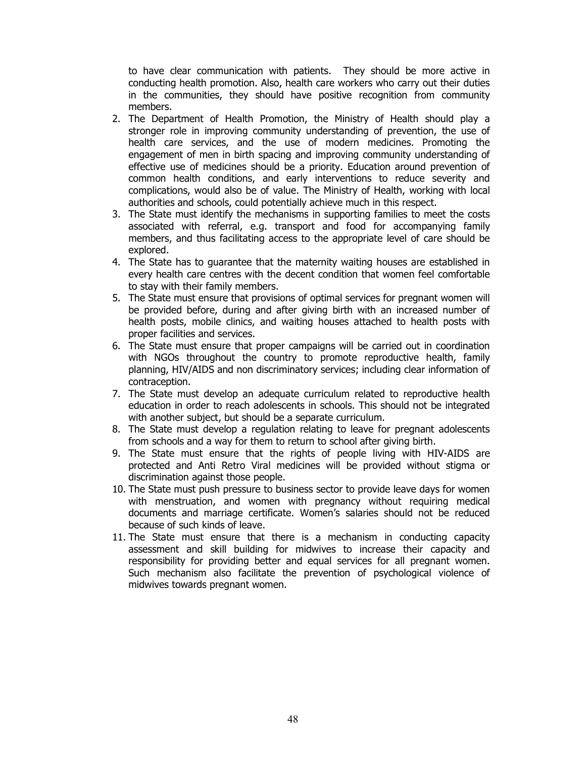to have clear communication with patients. They should be more active in conducting health promotion. Also, health care workers who carry out their duties in the communities, they should have positive recognition from community members.

- 2. The Department of Health Promotion, the Ministry of Health should play a stronger role in improving community understanding of prevention, the use of health care services, and the use of modern medicines. Promoting the engagement of men in birth spacing and improving community understanding of effective use of medicines should be a priority. Education around prevention of common health conditions, and early interventions to reduce severity and complications, would also be of value. The Ministry of Health, working with local authorities and schools, could potentially achieve much in this respect.
- 3. The State must identify the mechanisms in supporting families to meet the costs associated with referral, e.g. transport and food for accompanying family members, and thus facilitating access to the appropriate level of care should be explored.
- 4. The State has to guarantee that the maternity waiting houses are established in every health care centres with the decent condition that women feel comfortable to stay with their family members.
- 5. The State must ensure that provisions of optimal services for pregnant women will be provided before, during and after giving birth with an increased number of health posts, mobile clinics, and waiting houses attached to health posts with proper facilities and services.
- 6. The State must ensure that proper campaigns will be carried out in coordination with NGOs throughout the country to promote reproductive health, family planning, HIV/AIDS and non discriminatory services; including clear information of contraception.
- 7. The State must develop an adequate curriculum related to reproductive health education in order to reach adolescents in schools. This should not be integrated with another subject, but should be a separate curriculum.
- 8. The State must develop a regulation relating to leave for pregnant adolescents from schools and a way for them to return to school after giving birth.
- 9. The State must ensure that the rights of people living with HIV-AIDS are protected and Anti Retro Viral medicines will be provided without stigma or discrimination against those people.
- 10. The State must push pressure to business sector to provide leave days for women with menstruation, and women with pregnancy without requiring medical documents and marriage certificate. Women's salaries should not be reduced because of such kinds of leave.
- 11. The State must ensure that there is a mechanism in conducting capacity assessment and skill building for midwives to increase their capacity and responsibility for providing better and equal services for all pregnant women. Such mechanism also facilitate the prevention of psychological violence of midwives towards pregnant women.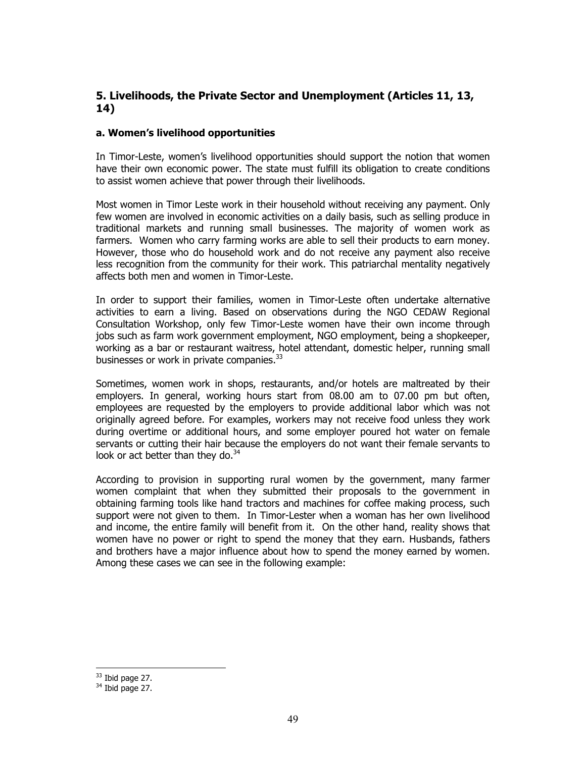## 5. Livelihoods, the Private Sector and Unemployment (Articles 11, 13, 14)

#### a. Women's livelihood opportunities

In Timor-Leste, women's livelihood opportunities should support the notion that women have their own economic power. The state must fulfill its obligation to create conditions to assist women achieve that power through their livelihoods.

Most women in Timor Leste work in their household without receiving any payment. Only few women are involved in economic activities on a daily basis, such as selling produce in traditional markets and running small businesses. The majority of women work as farmers. Women who carry farming works are able to sell their products to earn money. However, those who do household work and do not receive any payment also receive less recognition from the community for their work. This patriarchal mentality negatively affects both men and women in Timor-Leste.

In order to support their families, women in Timor-Leste often undertake alternative activities to earn a living. Based on observations during the NGO CEDAW Regional Consultation Workshop, only few Timor-Leste women have their own income through jobs such as farm work government employment, NGO employment, being a shopkeeper, working as a bar or restaurant waitress, hotel attendant, domestic helper, running small businesses or work in private companies.<sup>33</sup>

Sometimes, women work in shops, restaurants, and/or hotels are maltreated by their employers. In general, working hours start from 08.00 am to 07.00 pm but often, employees are requested by the employers to provide additional labor which was not originally agreed before. For examples, workers may not receive food unless they work during overtime or additional hours, and some employer poured hot water on female servants or cutting their hair because the employers do not want their female servants to look or act better than they do. $34$ 

According to provision in supporting rural women by the government, many farmer women complaint that when they submitted their proposals to the government in obtaining farming tools like hand tractors and machines for coffee making process, such support were not given to them. In Timor-Lester when a woman has her own livelihood and income, the entire family will benefit from it. On the other hand, reality shows that women have no power or right to spend the money that they earn. Husbands, fathers and brothers have a major influence about how to spend the money earned by women. Among these cases we can see in the following example:

 $\ddot{\phantom{a}}$  $33$  Ibid page 27.

 $34$  Ibid page 27.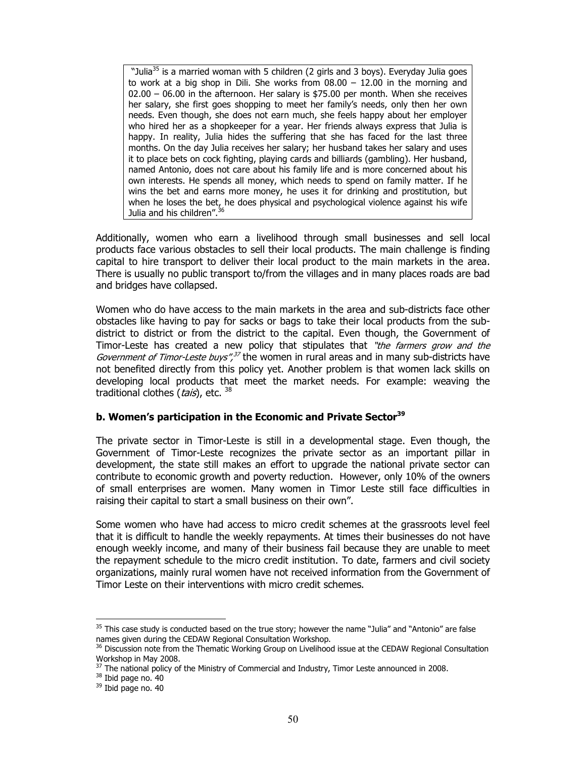"Julia<sup>35</sup> is a married woman with 5 children (2 girls and 3 boys). Everyday Julia goes to work at a big shop in Dili. She works from  $08.00 - 12.00$  in the morning and  $02.00 - 06.00$  in the afternoon. Her salary is \$75.00 per month. When she receives her salary, she first goes shopping to meet her family's needs, only then her own needs. Even though, she does not earn much, she feels happy about her employer who hired her as a shopkeeper for a year. Her friends always express that Julia is happy. In reality, Julia hides the suffering that she has faced for the last three months. On the day Julia receives her salary; her husband takes her salary and uses it to place bets on cock fighting, playing cards and billiards (gambling). Her husband, named Antonio, does not care about his family life and is more concerned about his own interests. He spends all money, which needs to spend on family matter. If he wins the bet and earns more money, he uses it for drinking and prostitution, but when he loses the bet, he does physical and psychological violence against his wife Julia and his children".<sup>36</sup>

Additionally, women who earn a livelihood through small businesses and sell local products face various obstacles to sell their local products. The main challenge is finding capital to hire transport to deliver their local product to the main markets in the area. There is usually no public transport to/from the villages and in many places roads are bad and bridges have collapsed.

Women who do have access to the main markets in the area and sub-districts face other obstacles like having to pay for sacks or bags to take their local products from the subdistrict to district or from the district to the capital. Even though, the Government of Timor-Leste has created a new policy that stipulates that "the farmers grow and the Government of Timor-Leste buys",<sup>37</sup> the women in rural areas and in many sub-districts have not benefited directly from this policy yet. Another problem is that women lack skills on developing local products that meet the market needs. For example: weaving the traditional clothes (*tais*), etc. <sup>38</sup>

#### b. Women's participation in the Economic and Private Sector<sup>39</sup>

The private sector in Timor-Leste is still in a developmental stage. Even though, the Government of Timor-Leste recognizes the private sector as an important pillar in development, the state still makes an effort to upgrade the national private sector can contribute to economic growth and poverty reduction. However, only 10% of the owners of small enterprises are women. Many women in Timor Leste still face difficulties in raising their capital to start a small business on their own".

Some women who have had access to micro credit schemes at the grassroots level feel that it is difficult to handle the weekly repayments. At times their businesses do not have enough weekly income, and many of their business fail because they are unable to meet the repayment schedule to the micro credit institution. To date, farmers and civil society organizations, mainly rural women have not received information from the Government of Timor Leste on their interventions with micro credit schemes.

 $\overline{a}$ 

 $35$  This case study is conducted based on the true story; however the name "Julia" and "Antonio" are false names given during the CEDAW Regional Consultation Workshop.

<sup>&</sup>lt;sup>36</sup> Discussion note from the Thematic Working Group on Livelihood issue at the CEDAW Regional Consultation Workshop in May 2008.

 $37$  The national policy of the Ministry of Commercial and Industry, Timor Leste announced in 2008.

<sup>38</sup> Ibid page no. 40

<sup>39</sup> Ibid page no. 40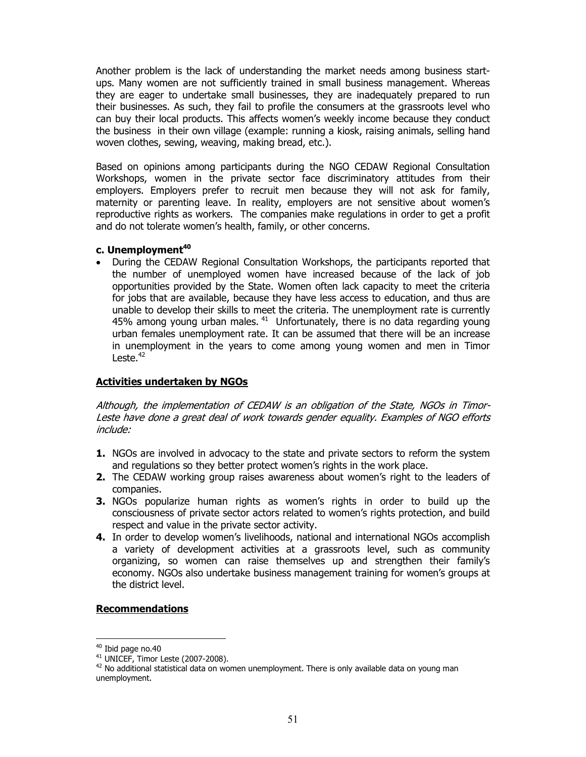Another problem is the lack of understanding the market needs among business startups. Many women are not sufficiently trained in small business management. Whereas they are eager to undertake small businesses, they are inadequately prepared to run their businesses. As such, they fail to profile the consumers at the grassroots level who can buy their local products. This affects women's weekly income because they conduct the business in their own village (example: running a kiosk, raising animals, selling hand woven clothes, sewing, weaving, making bread, etc.).

Based on opinions among participants during the NGO CEDAW Regional Consultation Workshops, women in the private sector face discriminatory attitudes from their employers. Employers prefer to recruit men because they will not ask for family, maternity or parenting leave. In reality, employers are not sensitive about women's reproductive rights as workers. The companies make regulations in order to get a profit and do not tolerate women's health, family, or other concerns.

#### c. Unemployment<sup>40</sup>

• During the CEDAW Regional Consultation Workshops, the participants reported that the number of unemployed women have increased because of the lack of job opportunities provided by the State. Women often lack capacity to meet the criteria for jobs that are available, because they have less access to education, and thus are unable to develop their skills to meet the criteria. The unemployment rate is currently 45% among young urban males.  $41$  Unfortunately, there is no data regarding young urban females unemployment rate. It can be assumed that there will be an increase in unemployment in the years to come among young women and men in Timor Leste. $42$ 

## Activities undertaken by NGOs

Although, the implementation of CEDAW is an obligation of the State, NGOs in Timor-Leste have done a great deal of work towards gender equality. Examples of NGO efforts include:

- **1.** NGOs are involved in advocacy to the state and private sectors to reform the system and regulations so they better protect women's rights in the work place.
- 2. The CEDAW working group raises awareness about women's right to the leaders of companies.
- **3.** NGOs popularize human rights as women's rights in order to build up the consciousness of private sector actors related to women's rights protection, and build respect and value in the private sector activity.
- 4. In order to develop women's livelihoods, national and international NGOs accomplish a variety of development activities at a grassroots level, such as community organizing, so women can raise themselves up and strengthen their family's economy. NGOs also undertake business management training for women's groups at the district level.

#### Recommendations

 $\overline{a}$  $40$  Ibid page no.40

<sup>41</sup> UNICEF, Timor Leste (2007-2008).

 $42$  No additional statistical data on women unemployment. There is only available data on young man unemployment.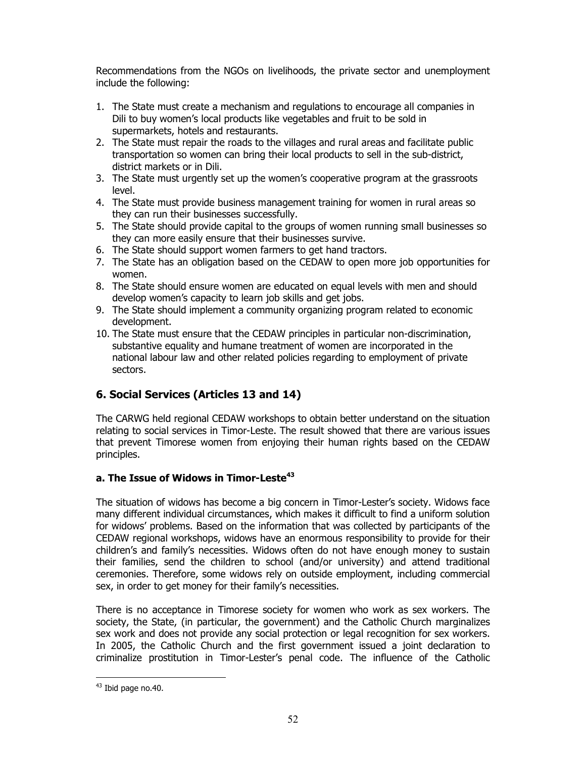Recommendations from the NGOs on livelihoods, the private sector and unemployment include the following:

- 1. The State must create a mechanism and regulations to encourage all companies in Dili to buy women's local products like vegetables and fruit to be sold in supermarkets, hotels and restaurants.
- 2. The State must repair the roads to the villages and rural areas and facilitate public transportation so women can bring their local products to sell in the sub-district, district markets or in Dili.
- 3. The State must urgently set up the women's cooperative program at the grassroots level.
- 4. The State must provide business management training for women in rural areas so they can run their businesses successfully.
- 5. The State should provide capital to the groups of women running small businesses so they can more easily ensure that their businesses survive.
- 6. The State should support women farmers to get hand tractors.
- 7. The State has an obligation based on the CEDAW to open more job opportunities for women.
- 8. The State should ensure women are educated on equal levels with men and should develop women's capacity to learn job skills and get jobs.
- 9. The State should implement a community organizing program related to economic development.
- 10. The State must ensure that the CEDAW principles in particular non-discrimination, substantive equality and humane treatment of women are incorporated in the national labour law and other related policies regarding to employment of private sectors.

# 6. Social Services (Articles 13 and 14)

The CARWG held regional CEDAW workshops to obtain better understand on the situation relating to social services in Timor-Leste. The result showed that there are various issues that prevent Timorese women from enjoying their human rights based on the CEDAW principles.

## a. The Issue of Widows in Timor-Leste $^{43}$

The situation of widows has become a big concern in Timor-Lester's society. Widows face many different individual circumstances, which makes it difficult to find a uniform solution for widows' problems. Based on the information that was collected by participants of the CEDAW regional workshops, widows have an enormous responsibility to provide for their children's and family's necessities. Widows often do not have enough money to sustain their families, send the children to school (and/or university) and attend traditional ceremonies. Therefore, some widows rely on outside employment, including commercial sex, in order to get money for their family's necessities.

There is no acceptance in Timorese society for women who work as sex workers. The society, the State, (in particular, the government) and the Catholic Church marginalizes sex work and does not provide any social protection or legal recognition for sex workers. In 2005, the Catholic Church and the first government issued a joint declaration to criminalize prostitution in Timor-Lester's penal code. The influence of the Catholic

 $\overline{a}$ <sup>43</sup> Ibid page no.40.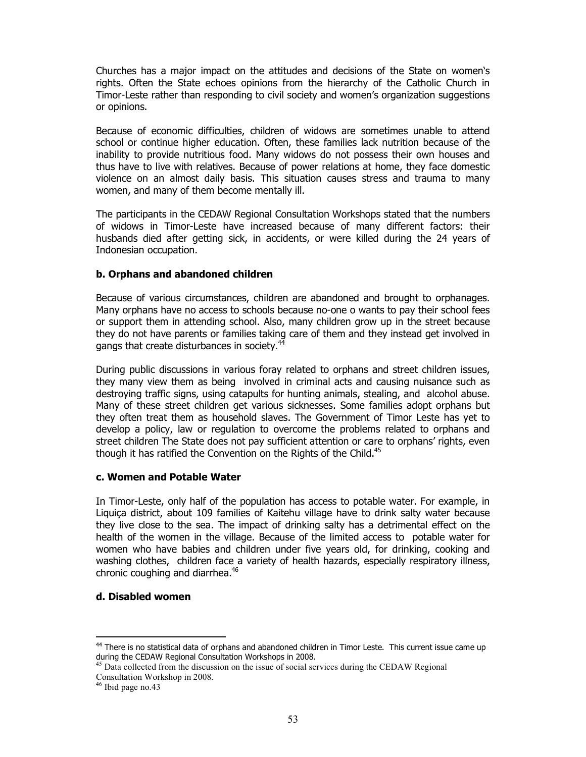Churches has a major impact on the attitudes and decisions of the State on women's rights. Often the State echoes opinions from the hierarchy of the Catholic Church in Timor-Leste rather than responding to civil society and women's organization suggestions or opinions.

Because of economic difficulties, children of widows are sometimes unable to attend school or continue higher education. Often, these families lack nutrition because of the inability to provide nutritious food. Many widows do not possess their own houses and thus have to live with relatives. Because of power relations at home, they face domestic violence on an almost daily basis. This situation causes stress and trauma to many women, and many of them become mentally ill.

The participants in the CEDAW Regional Consultation Workshops stated that the numbers of widows in Timor-Leste have increased because of many different factors: their husbands died after getting sick, in accidents, or were killed during the 24 years of Indonesian occupation.

#### b. Orphans and abandoned children

Because of various circumstances, children are abandoned and brought to orphanages. Many orphans have no access to schools because no-one o wants to pay their school fees or support them in attending school. Also, many children grow up in the street because they do not have parents or families taking care of them and they instead get involved in gangs that create disturbances in society.<sup>44</sup>

During public discussions in various foray related to orphans and street children issues, they many view them as being involved in criminal acts and causing nuisance such as destroying traffic signs, using catapults for hunting animals, stealing, and alcohol abuse. Many of these street children get various sicknesses. Some families adopt orphans but they often treat them as household slaves. The Government of Timor Leste has yet to develop a policy, law or regulation to overcome the problems related to orphans and street children The State does not pay sufficient attention or care to orphans' rights, even though it has ratified the Convention on the Rights of the Child. $45$ 

#### c. Women and Potable Water

In Timor-Leste, only half of the population has access to potable water. For example, in Liquiça district, about 109 families of Kaitehu village have to drink salty water because they live close to the sea. The impact of drinking salty has a detrimental effect on the health of the women in the village. Because of the limited access to potable water for women who have babies and children under five years old, for drinking, cooking and washing clothes, children face a variety of health hazards, especially respiratory illness, chronic coughing and diarrhea.<sup>46</sup>

#### d. Disabled women

 $\ddot{\phantom{a}}$ 

<sup>&</sup>lt;sup>44</sup> There is no statistical data of orphans and abandoned children in Timor Leste. This current issue came up during the CEDAW Regional Consultation Workshops in 2008.

<sup>&</sup>lt;sup>45</sup> Data collected from the discussion on the issue of social services during the CEDAW Regional Consultation Workshop in 2008.

<sup>&</sup>lt;sup>46</sup> Ibid page no.43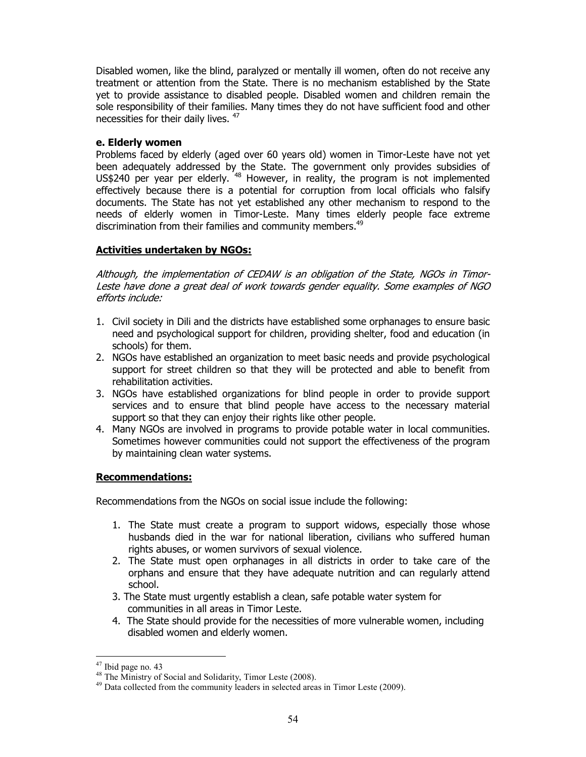Disabled women, like the blind, paralyzed or mentally ill women, often do not receive any treatment or attention from the State. There is no mechanism established by the State yet to provide assistance to disabled people. Disabled women and children remain the sole responsibility of their families. Many times they do not have sufficient food and other necessities for their daily lives. <sup>47</sup>

#### e. Elderly women

Problems faced by elderly (aged over 60 years old) women in Timor-Leste have not yet been adequately addressed by the State. The government only provides subsidies of US\$240 per year per elderly. <sup>48</sup> However, in reality, the program is not implemented effectively because there is a potential for corruption from local officials who falsify documents. The State has not yet established any other mechanism to respond to the needs of elderly women in Timor-Leste. Many times elderly people face extreme discrimination from their families and community members.<sup>49</sup>

## Activities undertaken by NGOs:

Although, the implementation of CEDAW is an obligation of the State, NGOs in Timor-Leste have done a great deal of work towards gender equality. Some examples of NGO efforts include:

- 1. Civil society in Dili and the districts have established some orphanages to ensure basic need and psychological support for children, providing shelter, food and education (in schools) for them.
- 2. NGOs have established an organization to meet basic needs and provide psychological support for street children so that they will be protected and able to benefit from rehabilitation activities.
- 3. NGOs have established organizations for blind people in order to provide support services and to ensure that blind people have access to the necessary material support so that they can enjoy their rights like other people.
- 4. Many NGOs are involved in programs to provide potable water in local communities. Sometimes however communities could not support the effectiveness of the program by maintaining clean water systems.

## Recommendations:

Recommendations from the NGOs on social issue include the following:

- 1. The State must create a program to support widows, especially those whose husbands died in the war for national liberation, civilians who suffered human rights abuses, or women survivors of sexual violence.
- 2. The State must open orphanages in all districts in order to take care of the orphans and ensure that they have adequate nutrition and can regularly attend school.
- 3. The State must urgently establish a clean, safe potable water system for communities in all areas in Timor Leste.
- 4. The State should provide for the necessities of more vulnerable women, including disabled women and elderly women.

 $\ddot{\phantom{a}}$  $47$  Ibid page no. 43

<sup>&</sup>lt;sup>48</sup> The Ministry of Social and Solidarity, Timor Leste (2008).

<sup>&</sup>lt;sup>49</sup> Data collected from the community leaders in selected areas in Timor Leste (2009).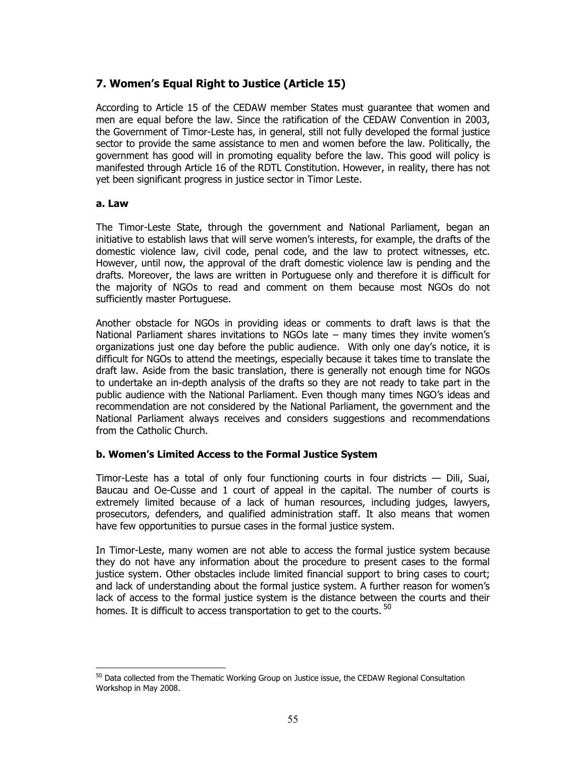# 7. Women's Equal Right to Justice (Article 15)

According to Article 15 of the CEDAW member States must guarantee that women and men are equal before the law. Since the ratification of the CEDAW Convention in 2003, the Government of Timor-Leste has, in general, still not fully developed the formal justice sector to provide the same assistance to men and women before the law. Politically, the government has good will in promoting equality before the law. This good will policy is manifested through Article 16 of the RDTL Constitution. However, in reality, there has not yet been significant progress in justice sector in Timor Leste.

#### a. Law

The Timor-Leste State, through the government and National Parliament, began an initiative to establish laws that will serve women's interests, for example, the drafts of the domestic violence law, civil code, penal code, and the law to protect witnesses, etc. However, until now, the approval of the draft domestic violence law is pending and the drafts. Moreover, the laws are written in Portuguese only and therefore it is difficult for the majority of NGOs to read and comment on them because most NGOs do not sufficiently master Portuguese.

Another obstacle for NGOs in providing ideas or comments to draft laws is that the National Parliament shares invitations to NGOs late – many times they invite women's organizations just one day before the public audience. With only one day's notice, it is difficult for NGOs to attend the meetings, especially because it takes time to translate the draft law. Aside from the basic translation, there is generally not enough time for NGOs to undertake an in-depth analysis of the drafts so they are not ready to take part in the public audience with the National Parliament. Even though many times NGO's ideas and recommendation are not considered by the National Parliament, the government and the National Parliament always receives and considers suggestions and recommendations from the Catholic Church.

## b. Women's Limited Access to the Formal Justice System

Timor-Leste has a total of only four functioning courts in four districts  $-$  Dili, Suai, Baucau and Oe-Cusse and 1 court of appeal in the capital. The number of courts is extremely limited because of a lack of human resources, including judges, lawyers, prosecutors, defenders, and qualified administration staff. It also means that women have few opportunities to pursue cases in the formal justice system.

In Timor-Leste, many women are not able to access the formal justice system because they do not have any information about the procedure to present cases to the formal justice system. Other obstacles include limited financial support to bring cases to court; and lack of understanding about the formal justice system. A further reason for women's lack of access to the formal justice system is the distance between the courts and their homes. It is difficult to access transportation to get to the courts. <sup>50</sup>

 $\ddot{\phantom{a}}$  $50$  Data collected from the Thematic Working Group on Justice issue, the CEDAW Regional Consultation Workshop in May 2008.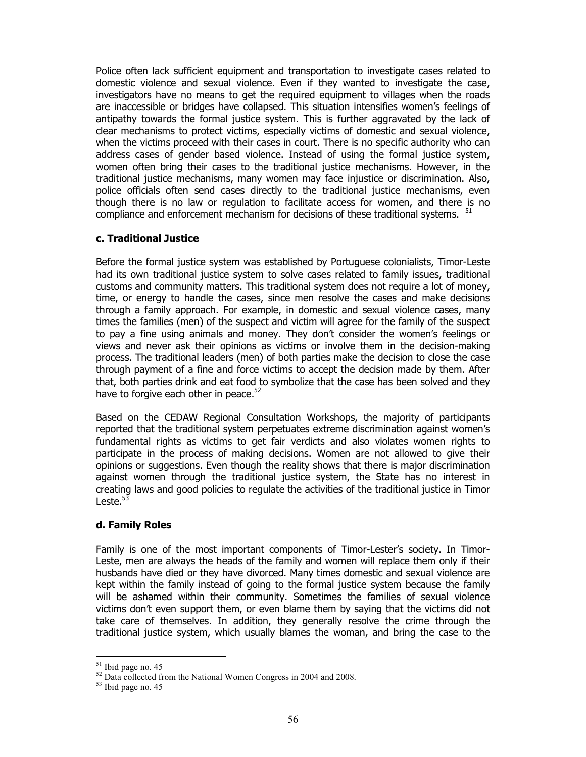Police often lack sufficient equipment and transportation to investigate cases related to domestic violence and sexual violence. Even if they wanted to investigate the case, investigators have no means to get the required equipment to villages when the roads are inaccessible or bridges have collapsed. This situation intensifies women's feelings of antipathy towards the formal justice system. This is further aggravated by the lack of clear mechanisms to protect victims, especially victims of domestic and sexual violence, when the victims proceed with their cases in court. There is no specific authority who can address cases of gender based violence. Instead of using the formal justice system, women often bring their cases to the traditional justice mechanisms. However, in the traditional justice mechanisms, many women may face injustice or discrimination. Also, police officials often send cases directly to the traditional justice mechanisms, even though there is no law or regulation to facilitate access for women, and there is no compliance and enforcement mechanism for decisions of these traditional systems. <sup>51</sup>

#### c. Traditional Justice

Before the formal justice system was established by Portuguese colonialists, Timor-Leste had its own traditional justice system to solve cases related to family issues, traditional customs and community matters. This traditional system does not require a lot of money, time, or energy to handle the cases, since men resolve the cases and make decisions through a family approach. For example, in domestic and sexual violence cases, many times the families (men) of the suspect and victim will agree for the family of the suspect to pay a fine using animals and money. They don't consider the women's feelings or views and never ask their opinions as victims or involve them in the decision-making process. The traditional leaders (men) of both parties make the decision to close the case through payment of a fine and force victims to accept the decision made by them. After that, both parties drink and eat food to symbolize that the case has been solved and they have to forgive each other in peace. $52$ 

Based on the CEDAW Regional Consultation Workshops, the majority of participants reported that the traditional system perpetuates extreme discrimination against women's fundamental rights as victims to get fair verdicts and also violates women rights to participate in the process of making decisions. Women are not allowed to give their opinions or suggestions. Even though the reality shows that there is major discrimination against women through the traditional justice system, the State has no interest in creating laws and good policies to regulate the activities of the traditional justice in Timor Leste. $53$ 

#### d. Family Roles

Family is one of the most important components of Timor-Lester's society. In Timor-Leste, men are always the heads of the family and women will replace them only if their husbands have died or they have divorced. Many times domestic and sexual violence are kept within the family instead of going to the formal justice system because the family will be ashamed within their community. Sometimes the families of sexual violence victims don't even support them, or even blame them by saying that the victims did not take care of themselves. In addition, they generally resolve the crime through the traditional justice system, which usually blames the woman, and bring the case to the

 $\ddot{\phantom{a}}$  $51$  Ibid page no. 45

<sup>&</sup>lt;sup>52</sup> Data collected from the National Women Congress in 2004 and 2008.

<sup>53</sup> Ibid page no. 45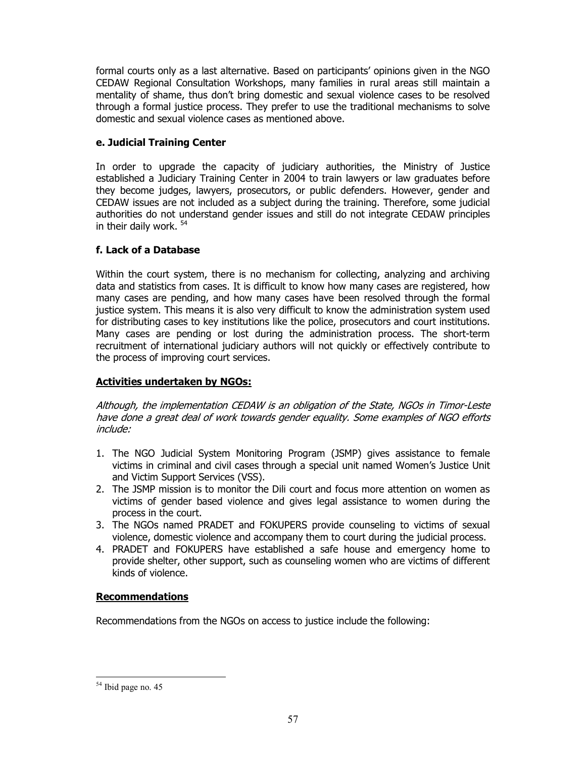formal courts only as a last alternative. Based on participants' opinions given in the NGO CEDAW Regional Consultation Workshops, many families in rural areas still maintain a mentality of shame, thus don't bring domestic and sexual violence cases to be resolved through a formal justice process. They prefer to use the traditional mechanisms to solve domestic and sexual violence cases as mentioned above.

## e. Judicial Training Center

In order to upgrade the capacity of judiciary authorities, the Ministry of Justice established a Judiciary Training Center in 2004 to train lawyers or law graduates before they become judges, lawyers, prosecutors, or public defenders. However, gender and CEDAW issues are not included as a subject during the training. Therefore, some judicial authorities do not understand gender issues and still do not integrate CEDAW principles in their daily work.<sup>54</sup>

## f. Lack of a Database

Within the court system, there is no mechanism for collecting, analyzing and archiving data and statistics from cases. It is difficult to know how many cases are registered, how many cases are pending, and how many cases have been resolved through the formal justice system. This means it is also very difficult to know the administration system used for distributing cases to key institutions like the police, prosecutors and court institutions. Many cases are pending or lost during the administration process. The short-term recruitment of international judiciary authors will not quickly or effectively contribute to the process of improving court services.

## Activities undertaken by NGOs:

Although, the implementation CEDAW is an obligation of the State, NGOs in Timor-Leste have done a great deal of work towards gender equality. Some examples of NGO efforts include:

- 1. The NGO Judicial System Monitoring Program (JSMP) gives assistance to female victims in criminal and civil cases through a special unit named Women's Justice Unit and Victim Support Services (VSS).
- 2. The JSMP mission is to monitor the Dili court and focus more attention on women as victims of gender based violence and gives legal assistance to women during the process in the court.
- 3. The NGOs named PRADET and FOKUPERS provide counseling to victims of sexual violence, domestic violence and accompany them to court during the judicial process.
- 4. PRADET and FOKUPERS have established a safe house and emergency home to provide shelter, other support, such as counseling women who are victims of different kinds of violence.

## Recommendations

Recommendations from the NGOs on access to justice include the following:

 $\ddot{\phantom{a}}$ <sup>54</sup> Ibid page no. 45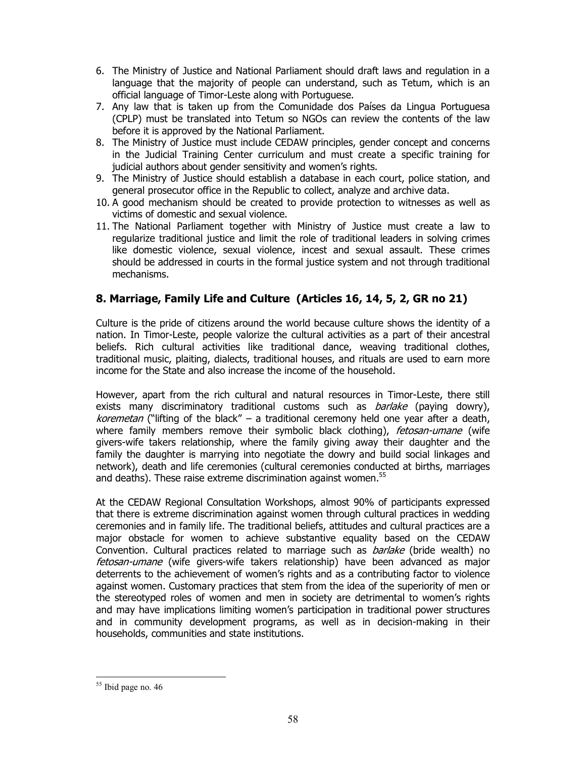- 6. The Ministry of Justice and National Parliament should draft laws and regulation in a language that the majority of people can understand, such as Tetum, which is an official language of Timor-Leste along with Portuguese.
- 7. Any law that is taken up from the Comunidade dos Países da Lingua Portuguesa (CPLP) must be translated into Tetum so NGOs can review the contents of the law before it is approved by the National Parliament.
- 8. The Ministry of Justice must include CEDAW principles, gender concept and concerns in the Judicial Training Center curriculum and must create a specific training for judicial authors about gender sensitivity and women's rights.
- 9. The Ministry of Justice should establish a database in each court, police station, and general prosecutor office in the Republic to collect, analyze and archive data.
- 10. A good mechanism should be created to provide protection to witnesses as well as victims of domestic and sexual violence.
- 11. The National Parliament together with Ministry of Justice must create a law to regularize traditional justice and limit the role of traditional leaders in solving crimes like domestic violence, sexual violence, incest and sexual assault. These crimes should be addressed in courts in the formal justice system and not through traditional mechanisms.

# 8. Marriage, Family Life and Culture (Articles 16, 14, 5, 2, GR no 21)

Culture is the pride of citizens around the world because culture shows the identity of a nation. In Timor-Leste, people valorize the cultural activities as a part of their ancestral beliefs. Rich cultural activities like traditional dance, weaving traditional clothes, traditional music, plaiting, dialects, traditional houses, and rituals are used to earn more income for the State and also increase the income of the household.

However, apart from the rich cultural and natural resources in Timor-Leste, there still exists many discriminatory traditional customs such as *barlake* (paying dowry), koremetan ("lifting of the black" – a traditional ceremony held one year after a death, where family members remove their symbolic black clothing), fetosan-umane (wife givers-wife takers relationship, where the family giving away their daughter and the family the daughter is marrying into negotiate the dowry and build social linkages and network), death and life ceremonies (cultural ceremonies conducted at births, marriages and deaths). These raise extreme discrimination against women.<sup>55</sup>

At the CEDAW Regional Consultation Workshops, almost 90% of participants expressed that there is extreme discrimination against women through cultural practices in wedding ceremonies and in family life. The traditional beliefs, attitudes and cultural practices are a major obstacle for women to achieve substantive equality based on the CEDAW Convention. Cultural practices related to marriage such as *barlake* (bride wealth) no fetosan-umane (wife givers-wife takers relationship) have been advanced as major deterrents to the achievement of women's rights and as a contributing factor to violence against women. Customary practices that stem from the idea of the superiority of men or the stereotyped roles of women and men in society are detrimental to women's rights and may have implications limiting women's participation in traditional power structures and in community development programs, as well as in decision-making in their households, communities and state institutions.

 $\ddot{\phantom{a}}$ <sup>55</sup> Ibid page no. 46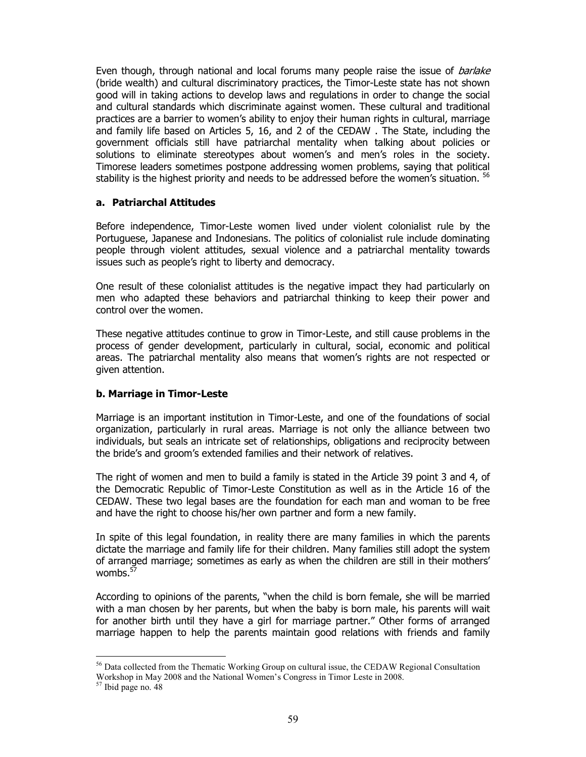Even though, through national and local forums many people raise the issue of *barlake* (bride wealth) and cultural discriminatory practices, the Timor-Leste state has not shown good will in taking actions to develop laws and regulations in order to change the social and cultural standards which discriminate against women. These cultural and traditional practices are a barrier to women's ability to enjoy their human rights in cultural, marriage and family life based on Articles 5, 16, and 2 of the CEDAW . The State, including the government officials still have patriarchal mentality when talking about policies or solutions to eliminate stereotypes about women's and men's roles in the society. Timorese leaders sometimes postpone addressing women problems, saying that political stability is the highest priority and needs to be addressed before the women's situation. <sup>56</sup>

#### a. Patriarchal Attitudes

Before independence, Timor-Leste women lived under violent colonialist rule by the Portuguese, Japanese and Indonesians. The politics of colonialist rule include dominating people through violent attitudes, sexual violence and a patriarchal mentality towards issues such as people's right to liberty and democracy.

One result of these colonialist attitudes is the negative impact they had particularly on men who adapted these behaviors and patriarchal thinking to keep their power and control over the women.

These negative attitudes continue to grow in Timor-Leste, and still cause problems in the process of gender development, particularly in cultural, social, economic and political areas. The patriarchal mentality also means that women's rights are not respected or given attention.

## b. Marriage in Timor-Leste

Marriage is an important institution in Timor-Leste, and one of the foundations of social organization, particularly in rural areas. Marriage is not only the alliance between two individuals, but seals an intricate set of relationships, obligations and reciprocity between the bride's and groom's extended families and their network of relatives.

The right of women and men to build a family is stated in the Article 39 point 3 and 4, of the Democratic Republic of Timor-Leste Constitution as well as in the Article 16 of the CEDAW. These two legal bases are the foundation for each man and woman to be free and have the right to choose his/her own partner and form a new family.

In spite of this legal foundation, in reality there are many families in which the parents dictate the marriage and family life for their children. Many families still adopt the system of arranged marriage; sometimes as early as when the children are still in their mothers' wombs.<sup>57</sup>

According to opinions of the parents, "when the child is born female, she will be married with a man chosen by her parents, but when the baby is born male, his parents will wait for another birth until they have a girl for marriage partner." Other forms of arranged marriage happen to help the parents maintain good relations with friends and family

 $\ddot{\phantom{a}}$ <sup>56</sup> Data collected from the Thematic Working Group on cultural issue, the CEDAW Regional Consultation Workshop in May 2008 and the National Women's Congress in Timor Leste in 2008.

<sup>57</sup> Ibid page no. 48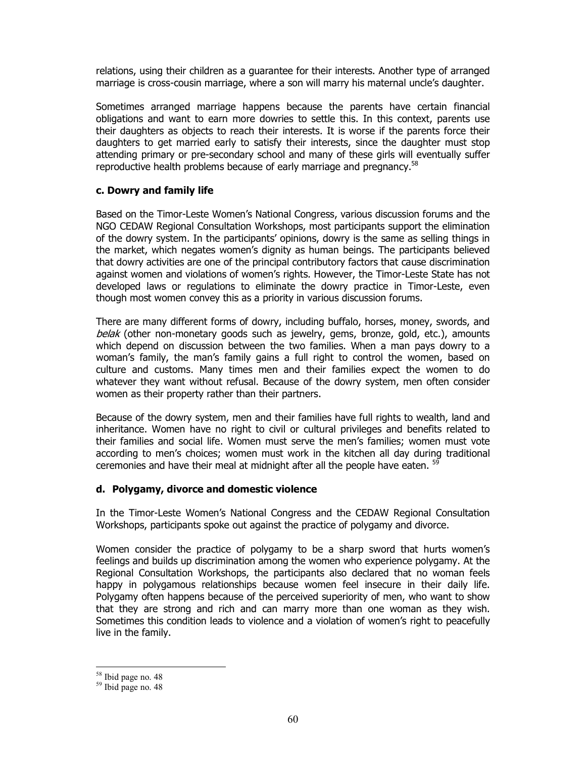relations, using their children as a guarantee for their interests. Another type of arranged marriage is cross-cousin marriage, where a son will marry his maternal uncle's daughter.

Sometimes arranged marriage happens because the parents have certain financial obligations and want to earn more dowries to settle this. In this context, parents use their daughters as objects to reach their interests. It is worse if the parents force their daughters to get married early to satisfy their interests, since the daughter must stop attending primary or pre-secondary school and many of these girls will eventually suffer reproductive health problems because of early marriage and pregnancy.<sup>58</sup>

#### c. Dowry and family life

Based on the Timor-Leste Women's National Congress, various discussion forums and the NGO CEDAW Regional Consultation Workshops, most participants support the elimination of the dowry system. In the participants' opinions, dowry is the same as selling things in the market, which negates women's dignity as human beings. The participants believed that dowry activities are one of the principal contributory factors that cause discrimination against women and violations of women's rights. However, the Timor-Leste State has not developed laws or regulations to eliminate the dowry practice in Timor-Leste, even though most women convey this as a priority in various discussion forums.

There are many different forms of dowry, including buffalo, horses, money, swords, and belak (other non-monetary goods such as jewelry, gems, bronze, gold, etc.), amounts which depend on discussion between the two families. When a man pays dowry to a woman's family, the man's family gains a full right to control the women, based on culture and customs. Many times men and their families expect the women to do whatever they want without refusal. Because of the dowry system, men often consider women as their property rather than their partners.

Because of the dowry system, men and their families have full rights to wealth, land and inheritance. Women have no right to civil or cultural privileges and benefits related to their families and social life. Women must serve the men's families; women must vote according to men's choices; women must work in the kitchen all day during traditional ceremonies and have their meal at midnight after all the people have eaten. <sup>59</sup>

## d. Polygamy, divorce and domestic violence

In the Timor-Leste Women's National Congress and the CEDAW Regional Consultation Workshops, participants spoke out against the practice of polygamy and divorce.

Women consider the practice of polygamy to be a sharp sword that hurts women's feelings and builds up discrimination among the women who experience polygamy. At the Regional Consultation Workshops, the participants also declared that no woman feels happy in polygamous relationships because women feel insecure in their daily life. Polygamy often happens because of the perceived superiority of men, who want to show that they are strong and rich and can marry more than one woman as they wish. Sometimes this condition leads to violence and a violation of women's right to peacefully live in the family.

 $\ddot{\phantom{a}}$ 

<sup>&</sup>lt;sup>58</sup> Ibid page no. 48

<sup>59</sup> Ibid page no. 48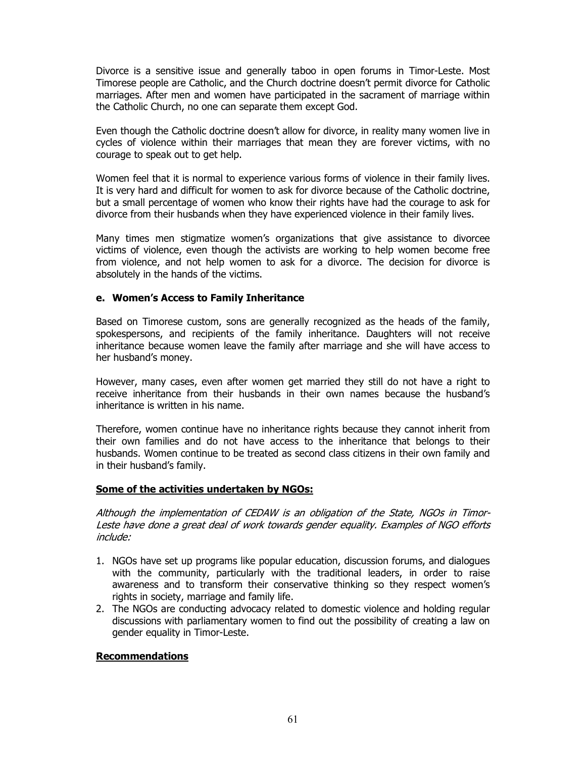Divorce is a sensitive issue and generally taboo in open forums in Timor-Leste. Most Timorese people are Catholic, and the Church doctrine doesn't permit divorce for Catholic marriages. After men and women have participated in the sacrament of marriage within the Catholic Church, no one can separate them except God.

Even though the Catholic doctrine doesn't allow for divorce, in reality many women live in cycles of violence within their marriages that mean they are forever victims, with no courage to speak out to get help.

Women feel that it is normal to experience various forms of violence in their family lives. It is very hard and difficult for women to ask for divorce because of the Catholic doctrine, but a small percentage of women who know their rights have had the courage to ask for divorce from their husbands when they have experienced violence in their family lives.

Many times men stigmatize women's organizations that give assistance to divorcee victims of violence, even though the activists are working to help women become free from violence, and not help women to ask for a divorce. The decision for divorce is absolutely in the hands of the victims.

#### e. Women's Access to Family Inheritance

Based on Timorese custom, sons are generally recognized as the heads of the family, spokespersons, and recipients of the family inheritance. Daughters will not receive inheritance because women leave the family after marriage and she will have access to her husband's money.

However, many cases, even after women get married they still do not have a right to receive inheritance from their husbands in their own names because the husband's inheritance is written in his name.

Therefore, women continue have no inheritance rights because they cannot inherit from their own families and do not have access to the inheritance that belongs to their husbands. Women continue to be treated as second class citizens in their own family and in their husband's family.

#### Some of the activities undertaken by NGOs:

Although the implementation of CEDAW is an obligation of the State, NGOs in Timor-Leste have done a great deal of work towards gender equality. Examples of NGO efforts include:

- 1. NGOs have set up programs like popular education, discussion forums, and dialogues with the community, particularly with the traditional leaders, in order to raise awareness and to transform their conservative thinking so they respect women's rights in society, marriage and family life.
- 2. The NGOs are conducting advocacy related to domestic violence and holding regular discussions with parliamentary women to find out the possibility of creating a law on gender equality in Timor-Leste.

#### Recommendations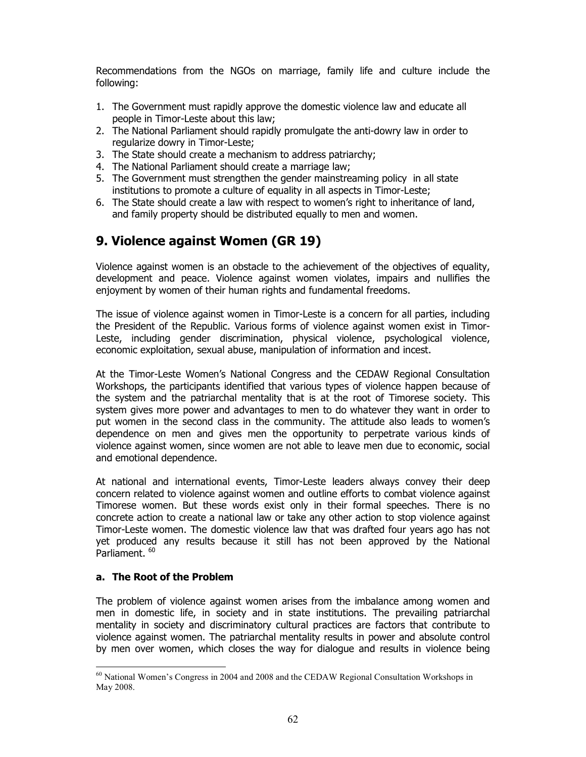Recommendations from the NGOs on marriage, family life and culture include the following:

- 1. The Government must rapidly approve the domestic violence law and educate all people in Timor-Leste about this law;
- 2. The National Parliament should rapidly promulgate the anti-dowry law in order to regularize dowry in Timor-Leste;
- 3. The State should create a mechanism to address patriarchy;
- 4. The National Parliament should create a marriage law;
- 5. The Government must strengthen the gender mainstreaming policy in all state institutions to promote a culture of equality in all aspects in Timor-Leste;
- 6. The State should create a law with respect to women's right to inheritance of land, and family property should be distributed equally to men and women.

# 9. Violence against Women (GR 19)

Violence against women is an obstacle to the achievement of the objectives of equality, development and peace. Violence against women violates, impairs and nullifies the enjoyment by women of their human rights and fundamental freedoms.

The issue of violence against women in Timor-Leste is a concern for all parties, including the President of the Republic. Various forms of violence against women exist in Timor-Leste, including gender discrimination, physical violence, psychological violence, economic exploitation, sexual abuse, manipulation of information and incest.

At the Timor-Leste Women's National Congress and the CEDAW Regional Consultation Workshops, the participants identified that various types of violence happen because of the system and the patriarchal mentality that is at the root of Timorese society. This system gives more power and advantages to men to do whatever they want in order to put women in the second class in the community. The attitude also leads to women's dependence on men and gives men the opportunity to perpetrate various kinds of violence against women, since women are not able to leave men due to economic, social and emotional dependence.

At national and international events, Timor-Leste leaders always convey their deep concern related to violence against women and outline efforts to combat violence against Timorese women. But these words exist only in their formal speeches. There is no concrete action to create a national law or take any other action to stop violence against Timor-Leste women. The domestic violence law that was drafted four years ago has not yet produced any results because it still has not been approved by the National Parliament.<sup>60</sup>

## a. The Root of the Problem

The problem of violence against women arises from the imbalance among women and men in domestic life, in society and in state institutions. The prevailing patriarchal mentality in society and discriminatory cultural practices are factors that contribute to violence against women. The patriarchal mentality results in power and absolute control by men over women, which closes the way for dialogue and results in violence being

 $\ddot{\phantom{a}}$  $60$  National Women's Congress in 2004 and 2008 and the CEDAW Regional Consultation Workshops in May 2008.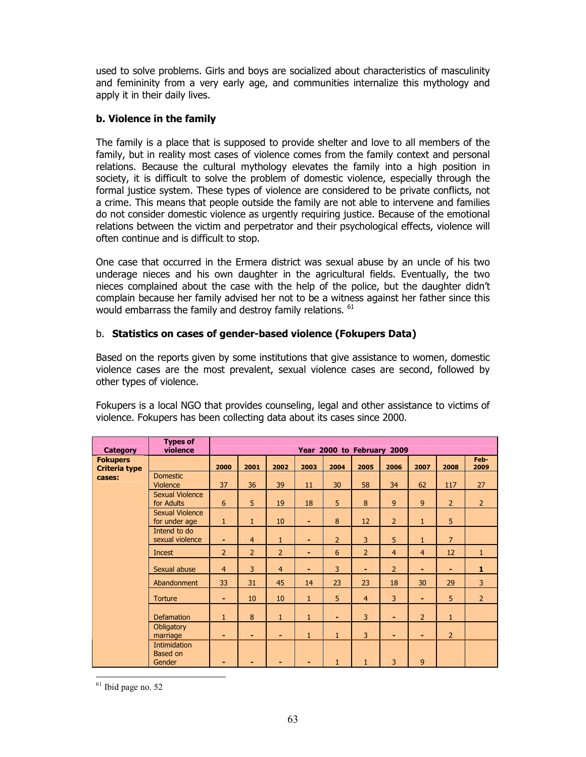used to solve problems. Girls and boys are socialized about characteristics of masculinity and femininity from a very early age, and communities internalize this mythology and apply it in their daily lives.

## b. Violence in the family

The family is a place that is supposed to provide shelter and love to all members of the family, but in reality most cases of violence comes from the family context and personal relations. Because the cultural mythology elevates the family into a high position in society, it is difficult to solve the problem of domestic violence, especially through the formal justice system. These types of violence are considered to be private conflicts, not a crime. This means that people outside the family are not able to intervene and families do not consider domestic violence as urgently requiring justice. Because of the emotional relations between the victim and perpetrator and their psychological effects, violence will often continue and is difficult to stop.

One case that occurred in the Ermera district was sexual abuse by an uncle of his two underage nieces and his own daughter in the agricultural fields. Eventually, the two nieces complained about the case with the help of the police, but the daughter didn't complain because her family advised her not to be a witness against her father since this would embarrass the family and destroy family relations. <sup>61</sup>

#### b. Statistics on cases of gender-based violence (Fokupers Data)

Based on the reports given by some institutions that give assistance to women, domestic violence cases are the most prevalent, sexual violence cases are second, followed by other types of violence.

| <b>Category</b>                         | <b>Types of</b><br>violence               | Year 2000 to February 2009 |                |                |              |                |                |                |                |                |                |
|-----------------------------------------|-------------------------------------------|----------------------------|----------------|----------------|--------------|----------------|----------------|----------------|----------------|----------------|----------------|
| <b>Fokupers</b><br><b>Criteria type</b> |                                           | 2000                       | 2001           | 2002           | 2003         | 2004           | 2005           | 2006           | 2007           | 2008           | Feb-<br>2009   |
| cases:                                  | <b>Domestic</b><br><b>Violence</b>        | 37                         | 36             | 39             | 11           | 30             | 58             | 34             | 62             | 117            | 27             |
|                                         | <b>Sexual Violence</b><br>for Adults      | 6                          | 5              | 19             | 18           | 5              | 8              | $\overline{9}$ | 9              | $\overline{2}$ | $\overline{2}$ |
|                                         | <b>Sexual Violence</b><br>for under age   | $\mathbf{1}$               | $\mathbf{1}$   | 10             | ۰            | 8              | 12             | $\overline{2}$ | $\mathbf{1}$   | 5              |                |
|                                         | Intend to do<br>sexual violence           | ٠                          | $\overline{4}$ | $\mathbf{1}$   | ۰            | $\overline{2}$ | $\overline{3}$ | 5              | $\mathbf{1}$   | $\overline{7}$ |                |
|                                         | Incest                                    | $\overline{2}$             | $\overline{2}$ | $\overline{2}$ | ۰            | 6              | $\overline{2}$ | $\overline{4}$ | $\overline{4}$ | 12             | $\mathbf{1}$   |
|                                         | Sexual abuse                              | $\overline{4}$             | 3              | $\overline{4}$ | ۰            | 3              | ٠              | $\overline{2}$ | $\blacksquare$ | ٠              | $\mathbf{1}$   |
|                                         | Abandonment                               | 33                         | 31             | 45             | 14           | 23             | 23             | 18             | 30             | 29             | 3              |
|                                         | <b>Torture</b>                            | ٠                          | 10             | 10             | $\mathbf{1}$ | 5              | $\overline{4}$ | 3              | $\sim$         | 5              | $\overline{2}$ |
|                                         | <b>Defamation</b>                         | $\mathbf{1}$               | 8              | $\mathbf{1}$   | $\mathbf{1}$ | ۰              | $\overline{3}$ | $\blacksquare$ | $\overline{2}$ | $\mathbf{1}$   |                |
|                                         | Obligatory<br>marriage                    | ٠                          | ٠              | ٠              | $\mathbf{1}$ | $\mathbf{1}$   | 3              | ٠              | ۰              | $\overline{2}$ |                |
|                                         | Intimidation<br><b>Based on</b><br>Gender |                            | ۰              | ٠              |              | 1              | $\mathbf{1}$   | 3              | $\mathbf{9}$   |                |                |

Fokupers is a local NGO that provides counseling, legal and other assistance to victims of violence. Fokupers has been collecting data about its cases since 2000.

 $\ddot{\phantom{a}}$ <sup>61</sup> Ibid page no. 52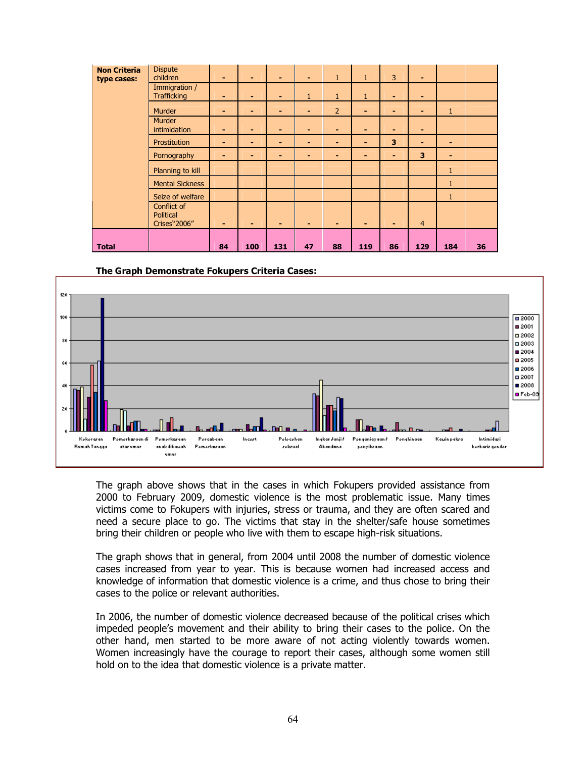| <b>Non Criteria</b><br>type cases: | <b>Dispute</b><br>children                              | ۰              | ٠              | ٠   | ۰            | $\mathbf{1}$   | $\mathbf{1}$ | 3  | ٠              |              |    |
|------------------------------------|---------------------------------------------------------|----------------|----------------|-----|--------------|----------------|--------------|----|----------------|--------------|----|
|                                    | Immigration /<br><b>Trafficking</b>                     | -              | ٠              | ٠   | $\mathbf{1}$ | $\mathbf{1}$   | $\mathbf{1}$ | ٠  | $\blacksquare$ |              |    |
|                                    | Murder                                                  | ۰.             | ۰.             | -   |              | $\overline{2}$ |              | ۰. | $\blacksquare$ | $\mathbf{1}$ |    |
|                                    | <b>Murder</b><br>intimidation                           | $\blacksquare$ | ٠              | ٠   | -            | ۰              | ۰            | ۰  | $\blacksquare$ |              |    |
|                                    | Prostitution                                            | ٠              | ٠              | ٠   | ۰            | ۰              | ۰            | 3  | ٠              | ۰            |    |
|                                    | Pornography                                             | ٠              | ٠              | ٠   | -            | ۰              | ۰            | ۰  | 3              | ۰            |    |
|                                    | Planning to kill                                        |                |                |     |              |                |              |    |                | $\mathbf{1}$ |    |
|                                    | <b>Mental Sickness</b>                                  |                |                |     |              |                |              |    |                | $\mathbf{1}$ |    |
|                                    | Seize of welfare                                        |                |                |     |              |                |              |    |                | $\mathbf{1}$ |    |
|                                    | Conflict of<br><b>Political</b><br><b>Crises</b> "2006" | $\blacksquare$ | $\blacksquare$ | ٠   | -            |                | ٠            | ۰  | $\overline{4}$ |              |    |
| <b>Total</b>                       |                                                         | 84             | 100            | 131 | 47           | 88             | 119          | 86 | 129            | 184          | 36 |

The Graph Demonstrate Fokupers Criteria Cases:



The graph above shows that in the cases in which Fokupers provided assistance from 2000 to February 2009, domestic violence is the most problematic issue. Many times victims come to Fokupers with injuries, stress or trauma, and they are often scared and need a secure place to go. The victims that stay in the shelter/safe house sometimes bring their children or people who live with them to escape high-risk situations.

The graph shows that in general, from 2004 until 2008 the number of domestic violence cases increased from year to year. This is because women had increased access and knowledge of information that domestic violence is a crime, and thus chose to bring their cases to the police or relevant authorities.

In 2006, the number of domestic violence decreased because of the political crises which impeded people's movement and their ability to bring their cases to the police. On the other hand, men started to be more aware of not acting violently towards women. Women increasingly have the courage to report their cases, although some women still hold on to the idea that domestic violence is a private matter.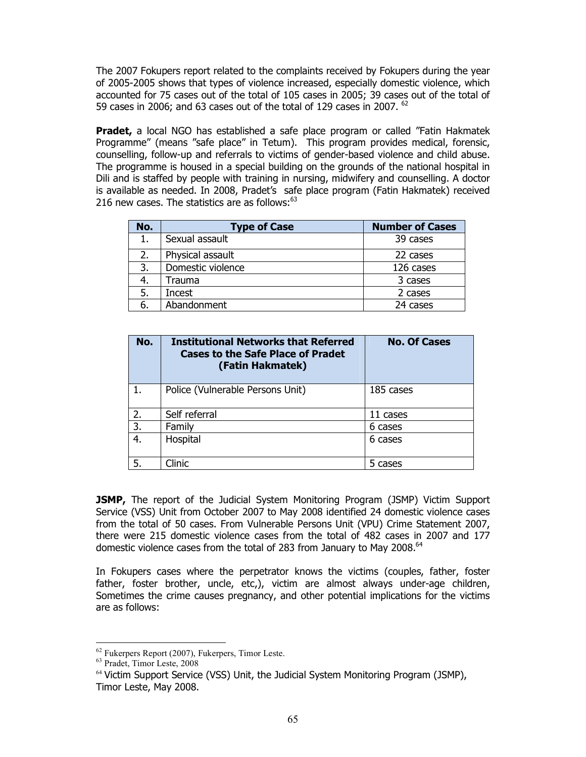The 2007 Fokupers report related to the complaints received by Fokupers during the year of 2005-2005 shows that types of violence increased, especially domestic violence, which accounted for 75 cases out of the total of 105 cases in 2005; 39 cases out of the total of 59 cases in 2006; and 63 cases out of the total of 129 cases in 2007.  $62$ 

**Pradet,** a local NGO has established a safe place program or called "Fatin Hakmatek" Programme" (means "safe place" in Tetum). This program provides medical, forensic, counselling, follow-up and referrals to victims of gender-based violence and child abuse. The programme is housed in a special building on the grounds of the national hospital in Dili and is staffed by people with training in nursing, midwifery and counselling. A doctor is available as needed. In 2008, Pradet's safe place program (Fatin Hakmatek) received 216 new cases. The statistics are as follows: $63$ 

| No. | <b>Type of Case</b> | <b>Number of Cases</b> |
|-----|---------------------|------------------------|
|     | Sexual assault      | 39 cases               |
| 2.  | Physical assault    | 22 cases               |
| 3.  | Domestic violence   | 126 cases              |
| 4.  | Trauma              | 3 cases                |
| 5.  | Incest              | 2 cases                |
| 6.  | Abandonment         | 24 cases               |

| No. | <b>Institutional Networks that Referred</b><br>Cases to the Safe Place of Pradet<br>(Fatin Hakmatek) | <b>No. Of Cases</b> |
|-----|------------------------------------------------------------------------------------------------------|---------------------|
|     | Police (Vulnerable Persons Unit)                                                                     | 185 cases           |
| 2.  | Self referral                                                                                        | 11 cases            |
| 3.  | Family                                                                                               | 6 cases             |
| 4.  | Hospital                                                                                             | 6 cases             |
| 5.  | Clinic                                                                                               | 5 cases             |

**JSMP,** The report of the Judicial System Monitoring Program (JSMP) Victim Support Service (VSS) Unit from October 2007 to May 2008 identified 24 domestic violence cases from the total of 50 cases. From Vulnerable Persons Unit (VPU) Crime Statement 2007, there were 215 domestic violence cases from the total of 482 cases in 2007 and 177 domestic violence cases from the total of 283 from January to May 2008. $^{64}$ 

In Fokupers cases where the perpetrator knows the victims (couples, father, foster father, foster brother, uncle, etc,), victim are almost always under-age children, Sometimes the crime causes pregnancy, and other potential implications for the victims are as follows:

 $\ddot{\phantom{a}}$  $62$  Fukerpers Report (2007), Fukerpers, Timor Leste.

<sup>63</sup> Pradet, Timor Leste, 2008

 $64$  Victim Support Service (VSS) Unit, the Judicial System Monitoring Program (JSMP), Timor Leste, May 2008.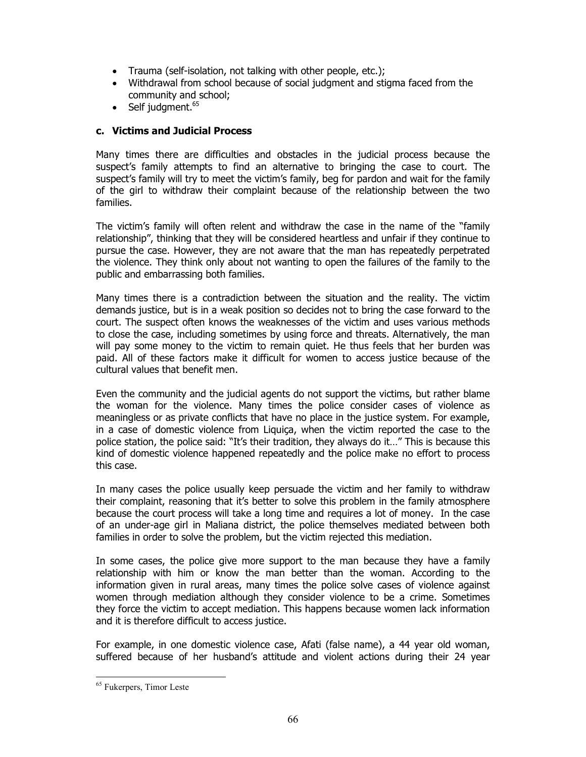- Trauma (self-isolation, not talking with other people, etc.);
- Withdrawal from school because of social judgment and stigma faced from the community and school;
- Self judgment. $65$

#### c. Victims and Judicial Process

Many times there are difficulties and obstacles in the judicial process because the suspect's family attempts to find an alternative to bringing the case to court. The suspect's family will try to meet the victim's family, beg for pardon and wait for the family of the girl to withdraw their complaint because of the relationship between the two families.

The victim's family will often relent and withdraw the case in the name of the "family relationship", thinking that they will be considered heartless and unfair if they continue to pursue the case. However, they are not aware that the man has repeatedly perpetrated the violence. They think only about not wanting to open the failures of the family to the public and embarrassing both families.

Many times there is a contradiction between the situation and the reality. The victim demands justice, but is in a weak position so decides not to bring the case forward to the court. The suspect often knows the weaknesses of the victim and uses various methods to close the case, including sometimes by using force and threats. Alternatively, the man will pay some money to the victim to remain quiet. He thus feels that her burden was paid. All of these factors make it difficult for women to access justice because of the cultural values that benefit men.

Even the community and the judicial agents do not support the victims, but rather blame the woman for the violence. Many times the police consider cases of violence as meaningless or as private conflicts that have no place in the justice system. For example, in a case of domestic violence from Liquiça, when the victim reported the case to the police station, the police said: "It's their tradition, they always do it…" This is because this kind of domestic violence happened repeatedly and the police make no effort to process this case.

In many cases the police usually keep persuade the victim and her family to withdraw their complaint, reasoning that it's better to solve this problem in the family atmosphere because the court process will take a long time and requires a lot of money. In the case of an under-age girl in Maliana district, the police themselves mediated between both families in order to solve the problem, but the victim rejected this mediation.

In some cases, the police give more support to the man because they have a family relationship with him or know the man better than the woman. According to the information given in rural areas, many times the police solve cases of violence against women through mediation although they consider violence to be a crime. Sometimes they force the victim to accept mediation. This happens because women lack information and it is therefore difficult to access justice.

For example, in one domestic violence case, Afati (false name), a 44 year old woman, suffered because of her husband's attitude and violent actions during their 24 year

 $\ddot{\phantom{a}}$ <sup>65</sup> Fukerpers, Timor Leste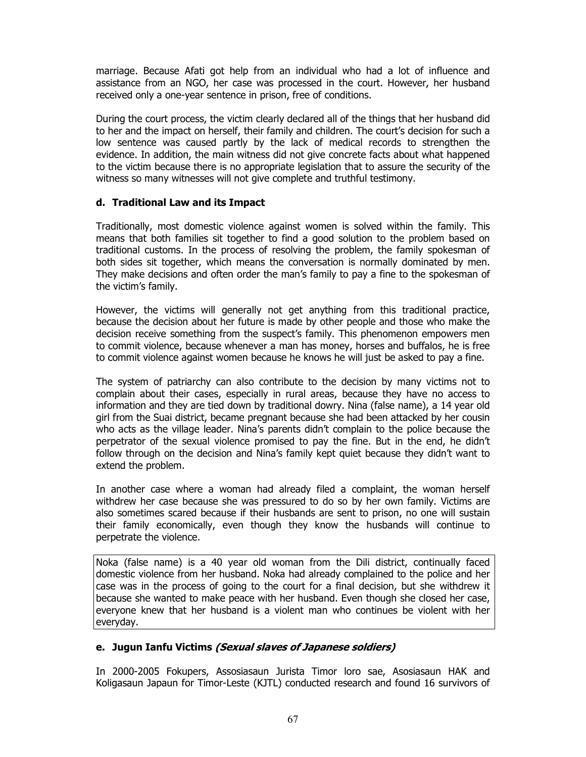marriage. Because Afati got help from an individual who had a lot of influence and assistance from an NGO, her case was processed in the court. However, her husband received only a one-year sentence in prison, free of conditions.

During the court process, the victim clearly declared all of the things that her husband did to her and the impact on herself, their family and children. The court's decision for such a low sentence was caused partly by the lack of medical records to strengthen the evidence. In addition, the main witness did not give concrete facts about what happened to the victim because there is no appropriate legislation that to assure the security of the witness so many witnesses will not give complete and truthful testimony.

#### d. Traditional Law and its Impact

Traditionally, most domestic violence against women is solved within the family. This means that both families sit together to find a good solution to the problem based on traditional customs. In the process of resolving the problem, the family spokesman of both sides sit together, which means the conversation is normally dominated by men. They make decisions and often order the man's family to pay a fine to the spokesman of the victim's family.

However, the victims will generally not get anything from this traditional practice, because the decision about her future is made by other people and those who make the decision receive something from the suspect's family. This phenomenon empowers men to commit violence, because whenever a man has money, horses and buffalos, he is free to commit violence against women because he knows he will just be asked to pay a fine.

The system of patriarchy can also contribute to the decision by many victims not to complain about their cases, especially in rural areas, because they have no access to information and they are tied down by traditional dowry. Nina (false name), a 14 year old girl from the Suai district, became pregnant because she had been attacked by her cousin who acts as the village leader. Nina's parents didn't complain to the police because the perpetrator of the sexual violence promised to pay the fine. But in the end, he didn't follow through on the decision and Nina's family kept quiet because they didn't want to extend the problem.

In another case where a woman had already filed a complaint, the woman herself withdrew her case because she was pressured to do so by her own family. Victims are also sometimes scared because if their husbands are sent to prison, no one will sustain their family economically, even though they know the husbands will continue to perpetrate the violence.

Noka (false name) is a 40 year old woman from the Dili district, continually faced domestic violence from her husband. Noka had already complained to the police and her case was in the process of going to the court for a final decision, but she withdrew it because she wanted to make peace with her husband. Even though she closed her case, everyone knew that her husband is a violent man who continues be violent with her everyday.

## e. Jugun Ianfu Victims (Sexual slaves of Japanese soldiers)

In 2000-2005 Fokupers, Assosiasaun Jurista Timor loro sae, Asosiasaun HAK and Koligasaun Japaun for Timor-Leste (KJTL) conducted research and found 16 survivors of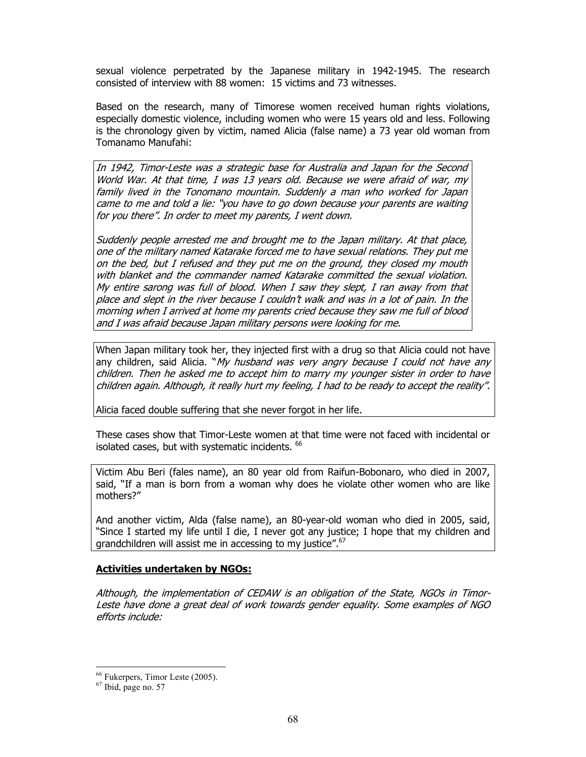sexual violence perpetrated by the Japanese military in 1942-1945. The research consisted of interview with 88 women: 15 victims and 73 witnesses.

Based on the research, many of Timorese women received human rights violations, especially domestic violence, including women who were 15 years old and less. Following is the chronology given by victim, named Alicia (false name) a 73 year old woman from Tomanamo Manufahi:

In 1942, Timor-Leste was a strategic base for Australia and Japan for the Second World War. At that time, I was 13 years old. Because we were afraid of war, my family lived in the Tonomano mountain. Suddenly a man who worked for Japan came to me and told a lie: "you have to go down because your parents are waiting for you there". In order to meet my parents, I went down.

Suddenly people arrested me and brought me to the Japan military. At that place, one of the military named Katarake forced me to have sexual relations. They put me on the bed, but I refused and they put me on the ground, they closed my mouth with blanket and the commander named Katarake committed the sexual violation. My entire sarong was full of blood. When I saw they slept, I ran away from that place and slept in the river because I couldn't walk and was in a lot of pain. In the morning when I arrived at home my parents cried because they saw me full of blood and I was afraid because Japan military persons were looking for me.

When Japan military took her, they injected first with a drug so that Alicia could not have any children, said Alicia. "My husband was very angry because I could not have any children. Then he asked me to accept him to marry my younger sister in order to have children again. Although, it really hurt my feeling, I had to be ready to accept the reality".

Alicia faced double suffering that she never forgot in her life.

These cases show that Timor-Leste women at that time were not faced with incidental or isolated cases, but with systematic incidents. <sup>66</sup>

Victim Abu Beri (fales name), an 80 year old from Raifun-Bobonaro, who died in 2007, said, "If a man is born from a woman why does he violate other women who are like mothers?"

And another victim, Alda (false name), an 80-year-old woman who died in 2005, said, "Since I started my life until I die, I never got any justice; I hope that my children and grandchildren will assist me in accessing to my justice".<sup>67</sup>

#### Activities undertaken by NGOs:

Although, the implementation of CEDAW is an obligation of the State, NGOs in Timor-Leste have done a great deal of work towards gender equality. Some examples of NGO efforts include:

 $\ddot{\phantom{a}}$ 

<sup>66</sup> Fukerpers, Timor Leste (2005).

<sup>67</sup> Ibid, page no. 57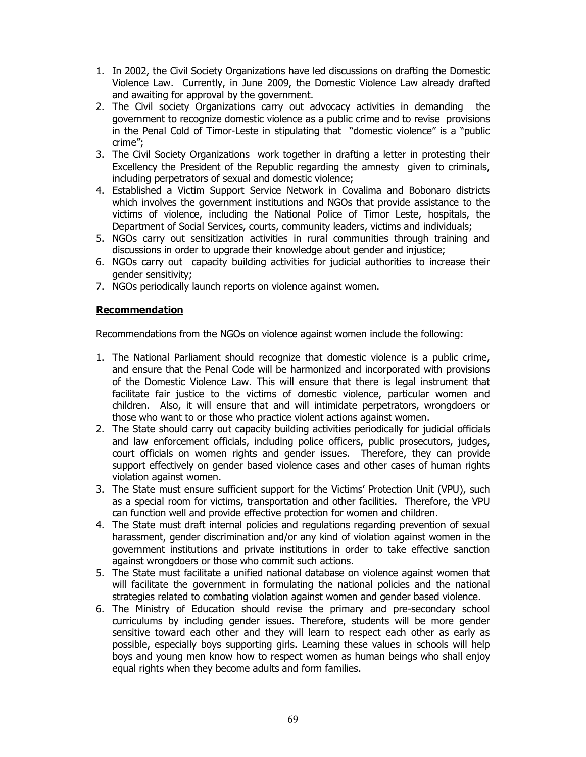- 1. In 2002, the Civil Society Organizations have led discussions on drafting the Domestic Violence Law. Currently, in June 2009, the Domestic Violence Law already drafted and awaiting for approval by the government.
- 2. The Civil society Organizations carry out advocacy activities in demanding the government to recognize domestic violence as a public crime and to revise provisions in the Penal Cold of Timor-Leste in stipulating that "domestic violence" is a "public crime";
- 3. The Civil Society Organizations work together in drafting a letter in protesting their Excellency the President of the Republic regarding the amnesty given to criminals, including perpetrators of sexual and domestic violence;
- 4. Established a Victim Support Service Network in Covalima and Bobonaro districts which involves the government institutions and NGOs that provide assistance to the victims of violence, including the National Police of Timor Leste, hospitals, the Department of Social Services, courts, community leaders, victims and individuals;
- 5. NGOs carry out sensitization activities in rural communities through training and discussions in order to upgrade their knowledge about gender and injustice;
- 6. NGOs carry out capacity building activities for judicial authorities to increase their gender sensitivity;
- 7. NGOs periodically launch reports on violence against women.

#### Recommendation

Recommendations from the NGOs on violence against women include the following:

- 1. The National Parliament should recognize that domestic violence is a public crime, and ensure that the Penal Code will be harmonized and incorporated with provisions of the Domestic Violence Law. This will ensure that there is legal instrument that facilitate fair justice to the victims of domestic violence, particular women and children. Also, it will ensure that and will intimidate perpetrators, wrongdoers or those who want to or those who practice violent actions against women.
- 2. The State should carry out capacity building activities periodically for judicial officials and law enforcement officials, including police officers, public prosecutors, judges, court officials on women rights and gender issues. Therefore, they can provide support effectively on gender based violence cases and other cases of human rights violation against women.
- 3. The State must ensure sufficient support for the Victims' Protection Unit (VPU), such as a special room for victims, transportation and other facilities. Therefore, the VPU can function well and provide effective protection for women and children.
- 4. The State must draft internal policies and regulations regarding prevention of sexual harassment, gender discrimination and/or any kind of violation against women in the government institutions and private institutions in order to take effective sanction against wrongdoers or those who commit such actions.
- 5. The State must facilitate a unified national database on violence against women that will facilitate the government in formulating the national policies and the national strategies related to combating violation against women and gender based violence.
- 6. The Ministry of Education should revise the primary and pre-secondary school curriculums by including gender issues. Therefore, students will be more gender sensitive toward each other and they will learn to respect each other as early as possible, especially boys supporting girls. Learning these values in schools will help boys and young men know how to respect women as human beings who shall enjoy equal rights when they become adults and form families.